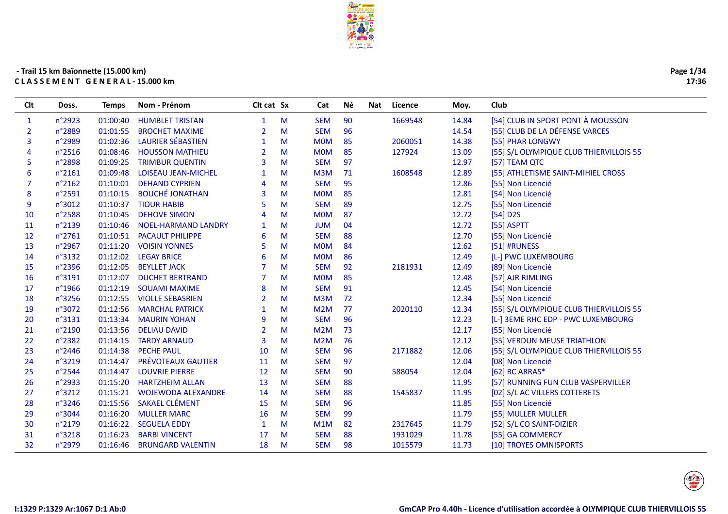

| Page 1/34 |       |
|-----------|-------|
|           | 17:36 |

| Clt          | Doss.           | Temps    | Nom - Prénom                 | Clt cat Sx     |   | Cat              | Né | Licence<br>Nat | Moy.  | Club                                    |
|--------------|-----------------|----------|------------------------------|----------------|---|------------------|----|----------------|-------|-----------------------------------------|
| $\mathbf{1}$ | n°2923          | 01:00:40 | <b>HUMBLET TRISTAN</b>       | $\mathbf{1}$   | M | <b>SEM</b>       | 90 | 1669548        | 14.84 | [54] CLUB IN SPORT PONT À MOUSSON       |
| 2            | n°2889          | 01:01:55 | <b>BROCHET MAXIME</b>        | 2              | M | <b>SEM</b>       | 96 |                | 14.54 | [55] CLUB DE LA DÉFENSE VARCES          |
| 3            | n°2989          | 01:02:36 | <b>LAURIER SÉBASTIEN</b>     | $\mathbf{1}$   | M | <b>MOM</b>       | 85 | 2060051        | 14.38 | [55] PHAR LONGWY                        |
| 4            | $n^{\circ}2516$ | 01:08:46 | <b>HOUSSON MATHIEU</b>       | $\overline{2}$ | M | <b>MOM</b>       | 85 | 127924         | 13.09 | [55] S/L OLYMPIQUE CLUB THIERVILLOIS 55 |
| 5            | n°2898          | 01:09:25 | <b>TRIMBUR QUENTIN</b>       | 3              | M | <b>SEM</b>       | 97 |                | 12.97 | [57] TEAM QTC                           |
| 6            | n°2161          |          | 01:09:48 LOISEAU JEAN-MICHEL |                | M | M3M              | 71 | 1608548        | 12.89 | [55] ATHLETISME SAINT-MIHIEL CROSS      |
| 7            | n°2162          |          | 01:10:01 DEHAND CYPRIEN      | $\overline{A}$ | M | <b>SEM</b>       | 95 |                | 12.86 | [55] Non Licencié                       |
| 8            | n°2591          | 01:10:15 | <b>BOUCHÉ JONATHAN</b>       | 3              | M | <b>MOM</b>       | 85 |                | 12.81 | [54] Non Licencié                       |
| 9            | n°3012          | 01:10:37 | <b>TIOUR HABIB</b>           | 5              | M | <b>SEM</b>       | 89 |                | 12.75 | [55] Non Licencié                       |
| 10           | n°2588          | 01:10:45 | <b>DEHOVE SIMON</b>          | $\overline{4}$ | M | <b>MOM</b>       | 87 |                | 12.72 | $[54]$ D2S                              |
| 11           | n°2139          | 01:10:46 | <b>NOEL-HARMAND LANDRY</b>   | 1              | M | <b>JUM</b>       | 04 |                | 12.72 | [55] ASPTT                              |
| 12           | n°2761          | 01:10:51 | <b>PACAULT PHILIPPE</b>      | 6              | M | <b>SEM</b>       | 88 |                | 12.70 | [55] Non Licencié                       |
| 13           | n°2967          | 01:11:20 | <b>VOISIN YONNES</b>         | 5              | M | <b>MOM</b>       | 84 |                | 12.62 | [51] #RUNESS                            |
| 14           | n°3132          | 01:12:02 | <b>LEGAY BRICE</b>           | 6              | M | <b>MOM</b>       | 86 |                | 12.49 | [L-] PWC LUXEMBOURG                     |
| 15           | n°2396          | 01:12:05 | <b>BEYLLET JACK</b>          |                | M | <b>SEM</b>       | 92 | 2181931        | 12.49 | [89] Non Licencié                       |
| 16           | n°3191          | 01:12:07 | <b>DUCHET BERTRAND</b>       |                | M | <b>MOM</b>       | 85 |                | 12.48 | [57] AJR RIMLING                        |
| 17           | n°1966          | 01:12:19 | <b>SOUAMI MAXIME</b>         | 8              | M | <b>SEM</b>       | 91 |                | 12.45 | [54] Non Licencié                       |
| 18           | n°3256          | 01:12:55 | <b>VIOLLE SEBASRIEN</b>      | $\overline{2}$ | M | M3M              | 72 |                | 12.34 | [55] Non Licencié                       |
| 19           | n°3072          | 01:12:56 | <b>MARCHAL PATRICK</b>       | -1             | M | M <sub>2</sub> M | 77 | 2020110        | 12.34 | [55] S/L OLYMPIQUE CLUB THIERVILLOIS 55 |
| 20           | n°3131          | 01:13:34 | <b>MAURIN YOHAN</b>          | 9              | M | <b>SEM</b>       | 96 |                | 12.23 | [L-] 3EME RHC EDP - PWC LUXEMBOURG      |
| 21           | n°2190          | 01:13:56 | <b>DELIAU DAVID</b>          | $\overline{2}$ | M | M2M              | 73 |                | 12.17 | [55] Non Licencié                       |
| 22           | n°2382          | 01:14:15 | <b>TARDY ARNAUD</b>          | $\overline{3}$ | M | M <sub>2</sub> M | 76 |                | 12.12 | [55] VERDUN MEUSE TRIATHLON             |
| 23           | n°2446          | 01:14:38 | PECHE PAUL                   | 10             | M | <b>SEM</b>       | 96 | 2171882        | 12.06 | [55] S/L OLYMPIQUE CLUB THIERVILLOIS 55 |
| 24           | n°3219          | 01:14:47 | PRÉVOTEAUX GAUTIER           | 11             | M | <b>SEM</b>       | 97 |                | 12.04 | [08] Non Licencié                       |
| 25           | n°2544          | 01:14:47 | <b>LOUVRIE PIERRE</b>        | 12             | M | <b>SEM</b>       | 90 | 588054         | 12.04 | [62] RC ARRAS*                          |
| 26           | n°2933          | 01:15:20 | <b>HARTZHEIM ALLAN</b>       | 13             | M | <b>SEM</b>       | 88 |                | 11.95 | [57] RUNNING FUN CLUB VASPERVILLER      |
| 27           | n°3212          | 01:15:21 | <b>WOJEWODA ALEXANDRE</b>    | 14             | M | <b>SEM</b>       | 88 | 1545837        | 11.95 | [02] S/L AC VILLERS COTTERETS           |
| 28           | n°3246          |          | 01:15:56 SAKAEL CLÉMENT      | 15             | M | <b>SEM</b>       | 96 |                | 11.85 | [55] Non Licencié                       |
| 29           | n°3044          | 01:16:20 | <b>MULLER MARC</b>           | 16             | M | <b>SEM</b>       | 99 |                | 11.79 | [55] MULLER MULLER                      |
| 30           | n°2179          | 01:16:22 | <b>SEGUELA EDDY</b>          | 1              | M | M <sub>1</sub> M | 82 | 2317645        | 11.79 | [52] S/L CO SAINT-DIZIER                |
| 31           | n°3218          | 01:16:23 | <b>BARBI VINCENT</b>         | 17             | M | <b>SEM</b>       | 88 | 1931029        | 11.78 | [55] GA COMMERCY                        |
| 32           | n°2979          | 01:16:46 | <b>BRUNGARD VALENTIN</b>     | 18             | M | <b>SEM</b>       | 98 | 1015579        | 11.73 | [10] TROYES OMNISPORTS                  |
|              |                 |          |                              |                |   |                  |    |                |       |                                         |

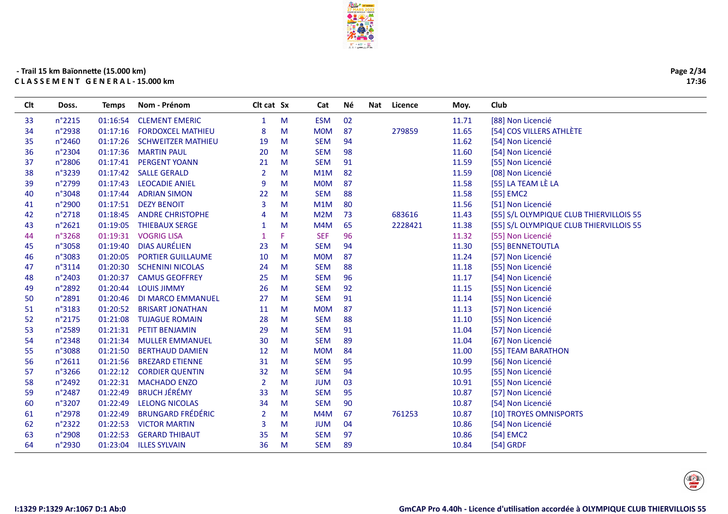

| Clt | Doss.           | <b>Temps</b> | Nom - Prénom              | Clt cat Sx   |   | Cat              | Né | Nat | Licence | Moy.  | Club                                    |
|-----|-----------------|--------------|---------------------------|--------------|---|------------------|----|-----|---------|-------|-----------------------------------------|
| 33  | $n^{\circ}2215$ | 01:16:54     | <b>CLEMENT EMERIC</b>     | $\mathbf{1}$ | M | <b>ESM</b>       | 02 |     |         | 11.71 | [88] Non Licencié                       |
| 34  | n°2938          | 01:17:16     | <b>FORDOXCEL MATHIEU</b>  | 8            | M | <b>MOM</b>       | 87 |     | 279859  | 11.65 | [54] COS VILLERS ATHLÈTE                |
| 35  | n°2460          | 01:17:26     | <b>SCHWEITZER MATHIEU</b> | 19           | M | <b>SEM</b>       | 94 |     |         | 11.62 | [54] Non Licencié                       |
| 36  | n°2304          | 01:17:36     | <b>MARTIN PAUL</b>        | 20           | M | <b>SEM</b>       | 98 |     |         | 11.60 | [54] Non Licencié                       |
| 37  | n°2806          | 01:17:41     | <b>PERGENT YOANN</b>      | 21           | M | <b>SEM</b>       | 91 |     |         | 11.59 | [55] Non Licencié                       |
| 38  | n°3239          | 01:17:42     | <b>SALLE GERALD</b>       | 2            | M | M1M              | 82 |     |         | 11.59 | [08] Non Licencié                       |
| 39  | n°2799          | 01:17:43     | <b>LEOCADIE ANIEL</b>     | 9            | M | <b>MOM</b>       | 87 |     |         | 11.58 | [55] LA TEAM LÈ LA                      |
| 40  | n°3048          | 01:17:44     | <b>ADRIAN SIMON</b>       | 22           | M | <b>SEM</b>       | 88 |     |         | 11.58 | [55] EMC2                               |
| 41  | n°2900          | 01:17:51     | <b>DEZY BENOIT</b>        | 3            | M | M1M              | 80 |     |         | 11.56 | [51] Non Licencié                       |
| 42  | n°2718          | 01:18:45     | <b>ANDRE CHRISTOPHE</b>   | 4            | M | M <sub>2</sub> M | 73 |     | 683616  | 11.43 | [55] S/L OLYMPIQUE CLUB THIERVILLOIS 55 |
| 43  | n°2621          | 01:19:05     | <b>THIEBAUX SERGE</b>     | -1           | M | M4M              | 65 |     | 2228421 | 11.38 | [55] S/L OLYMPIQUE CLUB THIERVILLOIS 55 |
| 44  | n°3268          | 01:19:31     | <b>VOGRIG LISA</b>        |              | F | <b>SEF</b>       | 96 |     |         | 11.32 | [55] Non Licencié                       |
| 45  | n°3058          | 01:19:40     | <b>DIAS AURÉLIEN</b>      | 23           | M | <b>SEM</b>       | 94 |     |         | 11.30 | [55] BENNETOUTLA                        |
| 46  | n°3083          | 01:20:05     | <b>PORTIER GUILLAUME</b>  | 10           | M | <b>MOM</b>       | 87 |     |         | 11.24 | [57] Non Licencié                       |
| 47  | n°3114          | 01:20:30     | <b>SCHENINI NICOLAS</b>   | 24           | M | <b>SEM</b>       | 88 |     |         | 11.18 | [55] Non Licencié                       |
| 48  | n°2403          | 01:20:37     | <b>CAMUS GEOFFREY</b>     | 25           | M | <b>SEM</b>       | 96 |     |         | 11.17 | [54] Non Licencié                       |
| 49  | n°2892          | 01:20:44     | <b>LOUIS JIMMY</b>        | 26           | M | <b>SEM</b>       | 92 |     |         | 11.15 | [55] Non Licencié                       |
| 50  | n°2891          | 01:20:46     | <b>DI MARCO EMMANUEL</b>  | 27           | M | <b>SEM</b>       | 91 |     |         | 11.14 | [55] Non Licencié                       |
| 51  | n°3183          | 01:20:52     | <b>BRISART JONATHAN</b>   | 11           | M | <b>MOM</b>       | 87 |     |         | 11.13 | [57] Non Licencié                       |
| 52  | n°2175          | 01:21:08     | <b>TUJAGUE ROMAIN</b>     | 28           | M | <b>SEM</b>       | 88 |     |         | 11.10 | [55] Non Licencié                       |
| 53  | n°2589          | 01:21:31     | PETIT BENJAMIN            | 29           | M | <b>SEM</b>       | 91 |     |         | 11.04 | [57] Non Licencié                       |
| 54  | n°2348          | 01:21:34     | <b>MULLER EMMANUEL</b>    | 30           | M | <b>SEM</b>       | 89 |     |         | 11.04 | [67] Non Licencié                       |
| 55  | n°3088          | 01:21:50     | <b>BERTHAUD DAMIEN</b>    | 12           | M | <b>MOM</b>       | 84 |     |         | 11.00 | [55] TEAM BARATHON                      |
| 56  | $n^{\circ}2611$ | 01:21:56     | <b>BREZARD ETIENNE</b>    | 31           | M | <b>SEM</b>       | 95 |     |         | 10.99 | [56] Non Licencié                       |
| 57  | n°3266          | 01:22:12     | <b>CORDIER QUENTIN</b>    | 32           | M | <b>SEM</b>       | 94 |     |         | 10.95 | [55] Non Licencié                       |
| 58  | n°2492          | 01:22:31     | <b>MACHADO ENZO</b>       | 2            | M | <b>JUM</b>       | 03 |     |         | 10.91 | [55] Non Licencié                       |
| 59  | n°2487          | 01:22:49     | <b>BRUCH JÉRÉMY</b>       | 33           | M | <b>SEM</b>       | 95 |     |         | 10.87 | [57] Non Licencié                       |
| 60  | n°3207          | 01:22:49     | <b>LELONG NICOLAS</b>     | 34           | M | <b>SEM</b>       | 90 |     |         | 10.87 | [54] Non Licencié                       |
| 61  | n°2978          | 01:22:49     | <b>BRUNGARD FRÉDÉRIC</b>  | 2            | M | M4M              | 67 |     | 761253  | 10.87 | [10] TROYES OMNISPORTS                  |
| 62  | n°2322          | 01:22:53     | <b>VICTOR MARTIN</b>      | 3            | M | <b>JUM</b>       | 04 |     |         | 10.86 | [54] Non Licencié                       |
| 63  | n°2908          | 01:22:53     | <b>GERARD THIBAUT</b>     | 35           | M | <b>SEM</b>       | 97 |     |         | 10.86 | [54] EMC2                               |
| 64  | n°2930          | 01:23:04     | <b>ILLES SYLVAIN</b>      | 36           | M | <b>SEM</b>       | 89 |     |         | 10.84 | $[54]$ GRDF                             |
|     |                 |              |                           |              |   |                  |    |     |         |       |                                         |

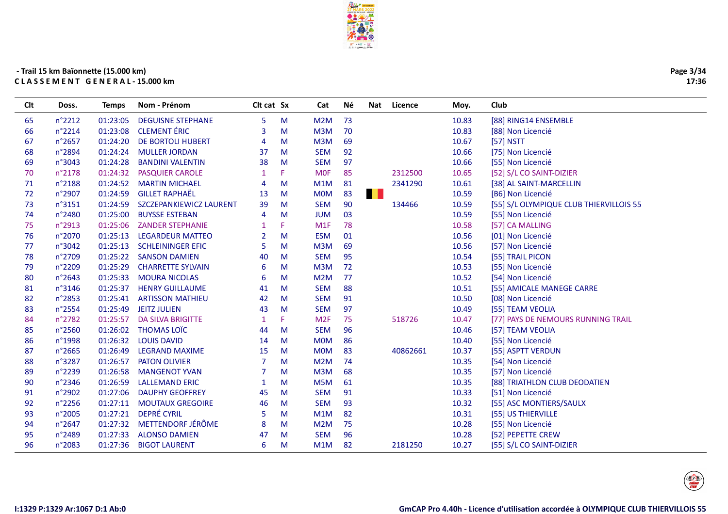

Clt Doss. Temps Nom-Prénom <br />
Clt cat Sx <br />
Cat Né Nat Licence Moy. Club

# **- Trail 15 km Baïonnee (15.000 km)C L A S S E M E N T G E N E R A L - 15.000 km**

| 65 | $n^{\circ}2212$  | 01:23:05 | <b>DEGUISNE STEPHANE</b> | 5  | M  | M2M              | 73  |          | 10.83 | [88] RING14 ENSEMBLE                    |
|----|------------------|----------|--------------------------|----|----|------------------|-----|----------|-------|-----------------------------------------|
| 66 | n°2214           | 01:23:08 | <b>CLEMENT ÉRIC</b>      | 3  | M  | M3M              | 70  |          | 10.83 | [88] Non Licencié                       |
| 67 | n°2657           | 01:24:20 | <b>DE BORTOLI HUBERT</b> | 4  | M  | M3M              | 69  |          | 10.67 | [57] NSTT                               |
| 68 | n°2894           | 01:24:24 | <b>MULLER JORDAN</b>     | 37 | M  | <b>SEM</b>       | 92  |          | 10.66 | [75] Non Licencié                       |
| 69 | n°3043           | 01:24:28 | <b>BANDINI VALENTIN</b>  | 38 | M  | <b>SEM</b>       | 97  |          | 10.66 | [55] Non Licencié                       |
| 70 | n°2178           | 01:24:32 | <b>PASQUIER CAROLE</b>   | 1  | F. | <b>MOF</b>       | 85  | 2312500  | 10.65 | [52] S/L CO SAINT-DIZIER                |
| 71 | n°2188           | 01:24:52 | <b>MARTIN MICHAEL</b>    | 4  | M  | M1M              | -81 | 2341290  | 10.61 | [38] AL SAINT-MARCELLIN                 |
| 72 | n°2907           | 01:24:59 | <b>GILLET RAPHAËL</b>    | 13 | M  | <b>MOM</b>       | 83  | H.       | 10.59 | [B6] Non Licencié                       |
| 73 | n°3151           | 01:24:59 | SZCZEPANKIEWICZ LAURENT  | 39 | M  | <b>SEM</b>       | 90  | 134466   | 10.59 | [55] S/L OLYMPIQUE CLUB THIERVILLOIS 55 |
| 74 | n°2480           | 01:25:00 | <b>BUYSSE ESTEBAN</b>    | 4  | M  | <b>JUM</b>       | 03  |          | 10.59 | [55] Non Licencié                       |
| 75 | n°2913           | 01:25:06 | <b>ZANDER STEPHANIE</b>  |    | F. | M1F              | 78  |          | 10.58 | [57] CA MALLING                         |
| 76 | n°2070           | 01:25:13 | <b>LEGARDEUR MATTEO</b>  | 2  | M  | <b>ESM</b>       | 01  |          | 10.56 | [01] Non Licencié                       |
| 77 | n°3042           | 01:25:13 | <b>SCHLEININGER EFIC</b> | 5  | M  | M <sub>3</sub> M | 69  |          | 10.56 | [57] Non Licencié                       |
| 78 | n°2709           | 01:25:22 | <b>SANSON DAMIEN</b>     | 40 | M  | <b>SEM</b>       | 95  |          | 10.54 | [55] TRAIL PICON                        |
| 79 | n°2209           | 01:25:29 | <b>CHARRETTE SYLVAIN</b> | 6  | M  | M <sub>3</sub> M | 72  |          | 10.53 | [55] Non Licencié                       |
| 80 | $n^{\circ}2643$  | 01:25:33 | <b>MOURA NICOLAS</b>     | 6  | M  | M2M              | 77  |          | 10.52 | [54] Non Licencié                       |
| 81 | n°3146           | 01:25:37 | <b>HENRY GUILLAUME</b>   | 41 | M  | <b>SEM</b>       | 88  |          | 10.51 | [55] AMICALE MANEGE CARRE               |
| 82 | n°2853           | 01:25:41 | <b>ARTISSON MATHIEU</b>  | 42 | M  | <b>SEM</b>       | 91  |          | 10.50 | [08] Non Licencié                       |
| 83 | n°2554           | 01:25:49 | <b>JEITZ JULIEN</b>      | 43 | M  | <b>SEM</b>       | 97  |          | 10.49 | [55] TEAM VEOLIA                        |
| 84 | n°2782           | 01:25:57 | <b>DA SILVA BRIGITTE</b> |    | F  | M <sub>2F</sub>  | 75  | 518726   | 10.47 | [77] PAYS DE NEMOURS RUNNING TRAIL      |
| 85 | n°2560           | 01:26:02 | <b>THOMAS LOÏC</b>       | 44 | M  | <b>SEM</b>       | 96  |          | 10.46 | [57] TEAM VEOLIA                        |
| 86 | n°1998           | 01:26:32 | <b>LOUIS DAVID</b>       | 14 | M  | <b>MOM</b>       | 86  |          | 10.40 | [55] Non Licencié                       |
| 87 | $n^{\circ}2665$  | 01:26:49 | <b>LEGRAND MAXIME</b>    | 15 | M  | <b>MOM</b>       | 83  | 40862661 | 10.37 | [55] ASPTT VERDUN                       |
| 88 | n°3287           | 01:26:57 | <b>PATON OLIVIER</b>     |    | M  | M <sub>2</sub> M | 74  |          | 10.35 | [54] Non Licencié                       |
| 89 | n°2239           | 01:26:58 | <b>MANGENOT YVAN</b>     |    | M  | M3M              | 68  |          | 10.35 | [57] Non Licencié                       |
| 90 | n°2346           | 01:26:59 | <b>LALLEMAND ERIC</b>    | 1  | M  | M <sub>5</sub> M | 61  |          | 10.35 | [88] TRIATHLON CLUB DEODATIEN           |
| 91 | n°2902           | 01:27:06 | <b>DAUPHY GEOFFREY</b>   | 45 | M  | <b>SEM</b>       | 91  |          | 10.33 | [51] Non Licencié                       |
| 92 | $n^{\circ}$ 2256 | 01:27:11 | <b>MOUTAUX GREGOIRE</b>  | 46 | M  | <b>SEM</b>       | 93  |          | 10.32 | [55] ASC MONTIERS/SAULX                 |
| 93 | n°2005           | 01:27:21 | <b>DEPRÉ CYRIL</b>       | 5  | M  | M1M              | 82  |          | 10.31 | [55] US THIERVILLE                      |
| 94 | n°2647           | 01:27:32 | METTENDORF JÉRÔME        | 8  | M  | M2M              | 75  |          | 10.28 | [55] Non Licencié                       |
| 95 | n°2489           | 01:27:33 | <b>ALONSO DAMIEN</b>     | 47 | M  | <b>SEM</b>       | 96  |          | 10.28 | [52] PEPETTE CREW                       |
| 96 | n°2083           | 01:27:36 | <b>BIGOT LAURENT</b>     | 6  | M  | M1M              | 82  | 2181250  | 10.27 | [55] S/L CO SAINT-DIZIER                |
|    |                  |          |                          |    |    |                  |     |          |       |                                         |



 $\begin{pmatrix}\n\frac{\partial f}{\partial x}\\
\frac{\partial f}{\partial y}\n\end{pmatrix}$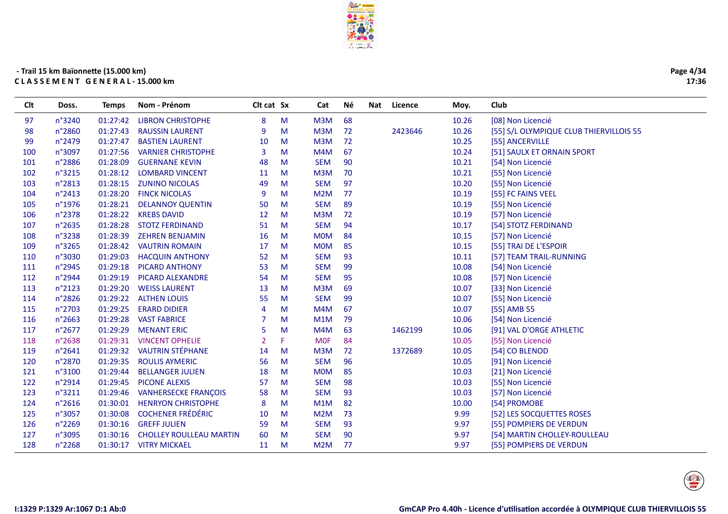

| Page 4/34 |
|-----------|
| 17:36     |

| Clt | Doss.           | <b>Temps</b> | Nom - Prénom                   | Clt cat Sx     |   | Cat              | Νé | Nat | Licence | Moy.  | Club                                    |
|-----|-----------------|--------------|--------------------------------|----------------|---|------------------|----|-----|---------|-------|-----------------------------------------|
| 97  | n°3240          | 01:27:42     | <b>LIBRON CHRISTOPHE</b>       | 8              | M | M3M              | 68 |     |         | 10.26 | [08] Non Licencié                       |
| 98  | n°2860          | 01:27:43     | <b>RAUSSIN LAURENT</b>         | 9              | M | M3M              | 72 |     | 2423646 | 10.26 | [55] S/L OLYMPIQUE CLUB THIERVILLOIS 55 |
| 99  | n°2479          | 01:27:47     | <b>BASTIEN LAURENT</b>         | 10             | M | M3M              | 72 |     |         | 10.25 | [55] ANCERVILLE                         |
| 100 | n°3097          | 01:27:56     | <b>VARNIER CHRISTOPHE</b>      | 3              | м | M4M              | 67 |     |         | 10.24 | [51] SAULX ET ORNAIN SPORT              |
| 101 | n°2886          | 01:28:09     | <b>GUERNANE KEVIN</b>          | 48             | M | <b>SEM</b>       | 90 |     |         | 10.21 | [54] Non Licencié                       |
| 102 | n°3215          | 01:28:12     | <b>LOMBARD VINCENT</b>         | 11             | M | M3M              | 70 |     |         | 10.21 | [55] Non Licencié                       |
| 103 | n°2813          | 01:28:15     | <b>ZUNINO NICOLAS</b>          | 49             | M | <b>SEM</b>       | 97 |     |         | 10.20 | [55] Non Licencié                       |
| 104 | n°2413          | 01:28:20     | <b>FINCK NICOLAS</b>           | 9              | м | M <sub>2</sub> M | 77 |     |         | 10.19 | [55] FC FAINS VEEL                      |
| 105 | n°1976          | 01:28:21     | <b>DELANNOY QUENTIN</b>        | 50             | M | <b>SEM</b>       | 89 |     |         | 10.19 | [55] Non Licencié                       |
| 106 | n°2378          | 01:28:22     | <b>KREBS DAVID</b>             | 12             | M | M3M              | 72 |     |         | 10.19 | [57] Non Licencié                       |
| 107 | n°2635          | 01:28:28     | <b>STOTZ FERDINAND</b>         | 51             | M | <b>SEM</b>       | 94 |     |         | 10.17 | [54] STOTZ FERDINAND                    |
| 108 | n°3238          | 01:28:39     | <b>ZEHREN BENJAMIN</b>         | 16             | M | <b>MOM</b>       | 84 |     |         | 10.15 | [57] Non Licencié                       |
| 109 | n°3265          | 01:28:42     | <b>VAUTRIN ROMAIN</b>          | 17             | M | <b>MOM</b>       | 85 |     |         | 10.15 | [55] TRAI DE L'ESPOIR                   |
| 110 | n°3030          | 01:29:03     | <b>HACQUIN ANTHONY</b>         | 52             | M | <b>SEM</b>       | 93 |     |         | 10.11 | [57] TEAM TRAIL-RUNNING                 |
| 111 | n°2945          | 01:29:18     | <b>PICARD ANTHONY</b>          | 53             | M | <b>SEM</b>       | 99 |     |         | 10.08 | [54] Non Licencié                       |
| 112 | n°2944          | 01:29:19     | <b>PICARD ALEXANDRE</b>        | 54             | M | <b>SEM</b>       | 95 |     |         | 10.08 | [57] Non Licencié                       |
| 113 | n°2123          | 01:29:20     | <b>WEISS LAURENT</b>           | 13             | M | M3M              | 69 |     |         | 10.07 | [33] Non Licencié                       |
| 114 | n°2826          | 01:29:22     | <b>ALTHEN LOUIS</b>            | 55             | M | <b>SEM</b>       | 99 |     |         | 10.07 | [55] Non Licencié                       |
| 115 | n°2703          | 01:29:25     | <b>ERARD DIDIER</b>            | $\overline{A}$ | м | M4M              | 67 |     |         | 10.07 | [55] AMB 55                             |
| 116 | n°2663          | 01:29:28     | <b>VAST FABRICE</b>            |                | M | M1M              | 79 |     |         | 10.06 | [54] Non Licencié                       |
| 117 | n°2677          | 01:29:29     | <b>MENANT ERIC</b>             | 5              | M | M4M              | 63 |     | 1462199 | 10.06 | [91] VAL D'ORGE ATHLETIC                |
| 118 | n°2638          | 01:29:31     | <b>VINCENT OPHELIE</b>         | $\overline{2}$ | p | <b>MOF</b>       | 84 |     |         | 10.05 | [55] Non Licencié                       |
| 119 | $n^{\circ}2641$ | 01:29:32     | <b>VAUTRIN STÉPHANE</b>        | 14             | M | M3M              | 72 |     | 1372689 | 10.05 | [54] CO BLENOD                          |
| 120 | n°2870          | 01:29:35     | <b>ROULIS AYMERIC</b>          | 56             | M | <b>SEM</b>       | 96 |     |         | 10.05 | [91] Non Licencié                       |
| 121 | n°3100          | 01:29:44     | <b>BELLANGER JULIEN</b>        | 18             | M | <b>MOM</b>       | 85 |     |         | 10.03 | [21] Non Licencié                       |
| 122 | n°2914          | 01:29:45     | <b>PICONE ALEXIS</b>           | 57             | M | <b>SEM</b>       | 98 |     |         | 10.03 | [55] Non Licencié                       |
| 123 | n°3211          | 01:29:46     | <b>VANHERSECKE FRANÇOIS</b>    | 58             | M | <b>SEM</b>       | 93 |     |         | 10.03 | [57] Non Licencié                       |
| 124 | n°2616          | 01:30:01     | <b>HENRYON CHRISTOPHE</b>      | 8              | M | M1M              | 82 |     |         | 10.00 | [54] PROMOBE                            |
| 125 | n°3057          | 01:30:08     | <b>COCHENER FRÉDÉRIC</b>       | 10             | M | M <sub>2</sub> M | 73 |     |         | 9.99  | [52] LES SOCQUETTES ROSES               |
| 126 | n°2269          | 01:30:16     | <b>GREFF JULIEN</b>            | 59             | M | <b>SEM</b>       | 93 |     |         | 9.97  | [55] POMPIERS DE VERDUN                 |
| 127 | n°3095          | 01:30:16     | <b>CHOLLEY ROULLEAU MARTIN</b> | 60             | M | <b>SEM</b>       | 90 |     |         | 9.97  | [54] MARTIN CHOLLEY-ROULLEAU            |
| 128 | n°2268          | 01:30:17     | <b>VITRY MICKAEL</b>           | 11             | M | M <sub>2</sub> M | 77 |     |         | 9.97  | [55] POMPIERS DE VERDUN                 |
|     |                 |              |                                |                |   |                  |    |     |         |       |                                         |

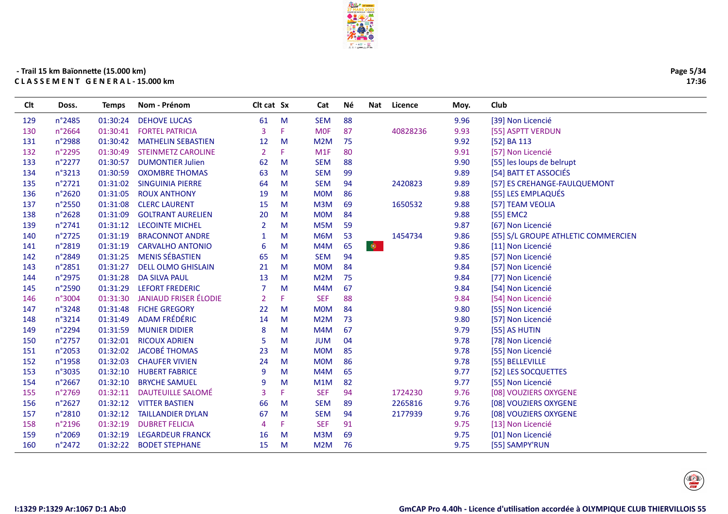

Clt Doss. Temps Nom-Prénom <br />
Clt cat Sx <br />
Cat Né Nat Licence Moy. Club

# **- Trail 15 km Baïonnee (15.000 km)C L A S S E M E N T G E N E R A L - 15.000 km**

| 129 | n°2485          | 01:30:24 | <b>DEHOVE LUCAS</b>          | 61             | M  | <b>SEM</b> | 88              |          | 9.96 | [39] Non Licencié                   |
|-----|-----------------|----------|------------------------------|----------------|----|------------|-----------------|----------|------|-------------------------------------|
| 130 | n°2664          | 01:30:41 | <b>FORTEL PATRICIA</b>       | 3              | F. | <b>MOF</b> | 87              | 40828236 | 9.93 | [55] ASPTT VERDUN                   |
| 131 | n°2988          | 01:30:42 | <b>MATHELIN SEBASTIEN</b>    | 12             | M  | M2M        | 75              |          | 9.92 | [52] BA 113                         |
| 132 | n°2295          | 01:30:49 | <b>STEINMETZ CAROLINE</b>    | $\overline{2}$ | F. | M1F        | 80              |          | 9.91 | [57] Non Licencié                   |
| 133 | $n^{\circ}2277$ | 01:30:57 | <b>DUMONTIER Julien</b>      | 62             | M  | <b>SEM</b> | 88              |          | 9.90 | [55] les loups de belrupt           |
| 134 | n°3213          | 01:30:59 | <b>OXOMBRE THOMAS</b>        | 63             | M  | <b>SEM</b> | 99              |          | 9.89 | [54] BATT ET ASSOCIÉS               |
| 135 | n°2721          | 01:31:02 | <b>SINGUINIA PIERRE</b>      | 64             | M  | <b>SEM</b> | 94              | 2420823  | 9.89 | [57] ES CREHANGE-FAULQUEMONT        |
| 136 | n°2620          | 01:31:05 | <b>ROUX ANTHONY</b>          | 19             | M  | <b>MOM</b> | 86              |          | 9.88 | [55] LES EMPLAQUÉS                  |
| 137 | n°2550          | 01:31:08 | <b>CLERC LAURENT</b>         | 15             | M  | M3M        | 69              | 1650532  | 9.88 | [57] TEAM VEOLIA                    |
| 138 | n°2628          | 01:31:09 | <b>GOLTRANT AURELIEN</b>     | 20             | M  | <b>MOM</b> | 84              |          | 9.88 | [55] EMC2                           |
| 139 | n°2741          | 01:31:12 | <b>LECOINTE MICHEL</b>       | $\overline{2}$ | M  | M5M        | 59              |          | 9.87 | [67] Non Licencié                   |
| 140 | n°2725          | 01:31:19 | <b>BRACONNOT ANDRE</b>       | 1              | M  | M6M        | 53              | 1454734  | 9.86 | [55] S/L GROUPE ATHLETIC COMMERCIEN |
| 141 | n°2819          | 01:31:19 | <b>CARVALHO ANTONIO</b>      | 6              | M  | M4M        | $\bullet$<br>65 |          | 9.86 | [11] Non Licencié                   |
| 142 | n°2849          | 01:31:25 | <b>MENIS SÉBASTIEN</b>       | 65             | M  | <b>SEM</b> | 94              |          | 9.85 | [57] Non Licencié                   |
| 143 | n°2851          | 01:31:27 | <b>DELL OLMO GHISLAIN</b>    | 21             | M  | <b>MOM</b> | 84              |          | 9.84 | [57] Non Licencié                   |
| 144 | n°2975          | 01:31:28 | <b>DA SILVA PAUL</b>         | 13             | M  | M2M        | 75              |          | 9.84 | [77] Non Licencié                   |
| 145 | n°2590          | 01:31:29 | <b>LEFORT FREDERIC</b>       | $\overline{7}$ | M  | M4M        | 67              |          | 9.84 | [54] Non Licencié                   |
| 146 | n°3004          | 01:31:30 | <b>JANIAUD FRISER ÉLODIE</b> | $\overline{2}$ | F. | <b>SEF</b> | 88              |          | 9.84 | [54] Non Licencié                   |
| 147 | n°3248          | 01:31:48 | <b>FICHE GREGORY</b>         | 22             | M  | <b>MOM</b> | 84              |          | 9.80 | [55] Non Licencié                   |
| 148 | n°3214          | 01:31:49 | <b>ADAM FRÉDÉRIC</b>         | 14             | M  | M2M        | 73              |          | 9.80 | [57] Non Licencié                   |
| 149 | n°2294          | 01:31:59 | <b>MUNIER DIDIER</b>         | 8              | M  | M4M        | 67              |          | 9.79 | [55] AS HUTIN                       |
| 150 | n°2757          | 01:32:01 | <b>RICOUX ADRIEN</b>         | 5              | M  | <b>JUM</b> | 04              |          | 9.78 | [78] Non Licencié                   |
| 151 | n°2053          | 01:32:02 | <b>JACOBÉ THOMAS</b>         | 23             | M  | <b>MOM</b> | 85              |          | 9.78 | [55] Non Licencié                   |
| 152 | n°1958          | 01:32:03 | <b>CHAUFER VIVIEN</b>        | 24             | M  | <b>MOM</b> | 86              |          | 9.78 | [55] BELLEVILLE                     |
| 153 | n°3035          | 01:32:10 | <b>HUBERT FABRICE</b>        | 9              | M  | M4M        | 65              |          | 9.77 | [52] LES SOCQUETTES                 |
| 154 | n°2667          | 01:32:10 | <b>BRYCHE SAMUEL</b>         | 9              | M  | M1M        | 82              |          | 9.77 | [55] Non Licencié                   |
| 155 | n°2769          | 01:32:11 | <b>DAUTEUILLE SALOMÉ</b>     | 3              | F. | <b>SEF</b> | 94              | 1724230  | 9.76 | [08] VOUZIERS OXYGENE               |
| 156 | n°2627          | 01:32:12 | <b>VITTER BASTIEN</b>        | 66             | M  | <b>SEM</b> | 89              | 2265816  | 9.76 | [08] VOUZIERS OXYGENE               |
| 157 | n°2810          | 01:32:12 | <b>TAILLANDIER DYLAN</b>     | 67             | M  | <b>SEM</b> | 94              | 2177939  | 9.76 | [08] VOUZIERS OXYGENE               |
| 158 | n°2196          | 01:32:19 | <b>DUBRET FELICIA</b>        | 4              | F. | <b>SEF</b> | 91              |          | 9.75 | [13] Non Licencié                   |
| 159 | n°2069          | 01:32:19 | <b>LEGARDEUR FRANCK</b>      | 16             | M  | M3M        | 69              |          | 9.75 | [01] Non Licencié                   |
| 160 | n°2472          | 01:32:22 | <b>BODET STEPHANE</b>        | 15             | M  | M2M        | 76              |          | 9.75 | [55] SAMPY'RUN                      |
|     |                 |          |                              |                |    |            |                 |          |      |                                     |

**Page 5/3417:36**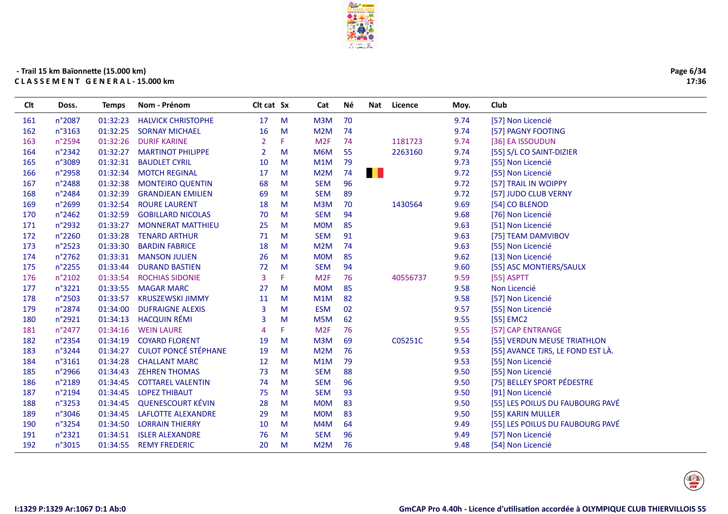

| Clt | Doss.            | <b>Temps</b> | Nom - Prénom                | Clt cat Sx            |    | Cat             | Νé | Nat          | Licence  | Moy. | Club                              |
|-----|------------------|--------------|-----------------------------|-----------------------|----|-----------------|----|--------------|----------|------|-----------------------------------|
| 161 | n°2087           | 01:32:23     | <b>HALVICK CHRISTOPHE</b>   | 17                    | M  | M3M             | 70 |              |          | 9.74 | [57] Non Licencié                 |
| 162 | n°3163           | 01:32:25     | <b>SORNAY MICHAEL</b>       | 16                    | M  | M2M             | 74 |              |          | 9.74 | [57] PAGNY FOOTING                |
| 163 | n°2594           | 01:32:26     | <b>DURIF KARINE</b>         | 2                     | F. | M <sub>2F</sub> | 74 |              | 1181723  | 9.74 | [36] EA ISSOUDUN                  |
| 164 | n°2342           | 01:32:27     | <b>MARTINOT PHILIPPE</b>    | $\overline{2}$        | M  | M6M             | 55 |              | 2263160  | 9.74 | [55] S/L CO SAINT-DIZIER          |
| 165 | n°3089           | 01:32:31     | <b>BAUDLET CYRIL</b>        | 10                    | M  | M1M             | 79 |              |          | 9.73 | [55] Non Licencié                 |
| 166 | n°2958           | 01:32:34     | <b>MOTCH REGINAL</b>        | 17                    | M  | M2M             | 74 | <b>THE R</b> |          | 9.72 | [55] Non Licencié                 |
| 167 | n°2488           | 01:32:38     | <b>MONTEIRO QUENTIN</b>     | 68                    | M  | <b>SEM</b>      | 96 |              |          | 9.72 | [57] TRAIL IN WOIPPY              |
| 168 | n°2484           | 01:32:39     | <b>GRANDJEAN EMILIEN</b>    | 69                    | M  | <b>SEM</b>      | 89 |              |          | 9.72 | [57] JUDO CLUB VERNY              |
| 169 | n°2699           | 01:32:54     | <b>ROURE LAURENT</b>        | 18                    | M  | M3M             | 70 |              | 1430564  | 9.69 | [54] CO BLENOD                    |
| 170 | n°2462           | 01:32:59     | <b>GOBILLARD NICOLAS</b>    | 70                    | M  | <b>SEM</b>      | 94 |              |          | 9.68 | [76] Non Licencié                 |
| 171 | n°2932           | 01:33:27     | <b>MONNERAT MATTHIEU</b>    | 25                    | M  | <b>MOM</b>      | 85 |              |          | 9.63 | [51] Non Licencié                 |
| 172 | n°2260           | 01:33:28     | <b>TENARD ARTHUR</b>        | 71                    | M  | <b>SEM</b>      | 91 |              |          | 9.63 | [75] TEAM DAMVIBOV                |
| 173 | $n^{\circ}$ 2523 | 01:33:30     | <b>BARDIN FABRICE</b>       | 18                    | M  | M2M             | 74 |              |          | 9.63 | [55] Non Licencié                 |
| 174 | n°2762           | 01:33:31     | <b>MANSON JULIEN</b>        | 26                    | M  | <b>MOM</b>      | 85 |              |          | 9.62 | [13] Non Licencié                 |
| 175 | n°2255           | 01:33:44     | <b>DURAND BASTIEN</b>       | 72                    | M  | <b>SEM</b>      | 94 |              |          | 9.60 | [55] ASC MONTIERS/SAULX           |
| 176 | n°2102           | 01:33:54     | <b>ROCHIAS SIDONIE</b>      | 3                     | F  | M2F             | 76 |              | 40556737 | 9.59 | $[55]$ ASPTT                      |
| 177 | n°3221           | 01:33:55     | <b>MAGAR MARC</b>           | 27                    | M  | <b>MOM</b>      | 85 |              |          | 9.58 | Non Licencié                      |
| 178 | $n^{\circ}2503$  | 01:33:57     | <b>KRUSZEWSKI JIMMY</b>     | 11                    | M  | M1M             | 82 |              |          | 9.58 | [57] Non Licencié                 |
| 179 | n°2874           | 01:34:00     | <b>DUFRAIGNE ALEXIS</b>     | 3                     | M  | <b>ESM</b>      | 02 |              |          | 9.57 | [55] Non Licencié                 |
| 180 | n°2921           | 01:34:13     | <b>HACQUIN RÉMI</b>         | 3                     | M  | M5M             | 62 |              |          | 9.55 | [55] EMC2                         |
| 181 | n°2477           | 01:34:16     | <b>WEIN LAURE</b>           | $\boldsymbol{\Delta}$ | F  | M <sub>2F</sub> | 76 |              |          | 9.55 | [57] CAP ENTRANGE                 |
| 182 | n°2354           | 01:34:19     | <b>COYARD FLORENT</b>       | 19                    | M  | M3M             | 69 |              | C05251C  | 9.54 | [55] VERDUN MEUSE TRIATHLON       |
| 183 | n°3244           | 01:34:27     | <b>CULOT PONCÉ STÉPHANE</b> | 19                    | M  | M2M             | 76 |              |          | 9.53 | [55] AVANCE TJRS, LE FOND EST LÀ. |
| 184 | n°3161           | 01:34:28     | <b>CHALLANT MARC</b>        | 12                    | M  | M1M             | 79 |              |          | 9.53 | [55] Non Licencié                 |
| 185 | n°2966           | 01:34:43     | <b>ZEHREN THOMAS</b>        | 73                    | M  | <b>SEM</b>      | 88 |              |          | 9.50 | [55] Non Licencié                 |
| 186 | n°2189           | 01:34:45     | <b>COTTAREL VALENTIN</b>    | 74                    | M  | <b>SEM</b>      | 96 |              |          | 9.50 | [75] BELLEY SPORT PÉDESTRE        |
| 187 | n°2194           | 01:34:45     | <b>LOPEZ THIBAUT</b>        | 75                    | M  | <b>SEM</b>      | 93 |              |          | 9.50 | [91] Non Licencié                 |
| 188 | n°3253           | 01:34:45     | <b>QUENESCOURT KÉVIN</b>    | 28                    | M  | <b>MOM</b>      | 83 |              |          | 9.50 | [55] LES POILUS DU FAUBOURG PAVÉ  |
| 189 | n°3046           | 01:34:45     | LAFLOTTE ALEXANDRE          | 29                    | M  | <b>MOM</b>      | 83 |              |          | 9.50 | [55] KARIN MULLER                 |
| 190 | n°3254           | 01:34:50     | <b>LORRAIN THIERRY</b>      | 10                    | M  | M4M             | 64 |              |          | 9.49 | [55] LES POILUS DU FAUBOURG PAVÉ  |
| 191 | n°2321           | 01:34:51     | <b>ISLER ALEXANDRE</b>      | 76                    | M  | <b>SEM</b>      | 96 |              |          | 9.49 | [57] Non Licencié                 |
| 192 | n°3015           | 01:34:55     | <b>REMY FREDERIC</b>        | 20                    | M  | M2M             | 76 |              |          | 9.48 | [54] Non Licencié                 |
|     |                  |              |                             |                       |    |                 |    |              |          |      |                                   |

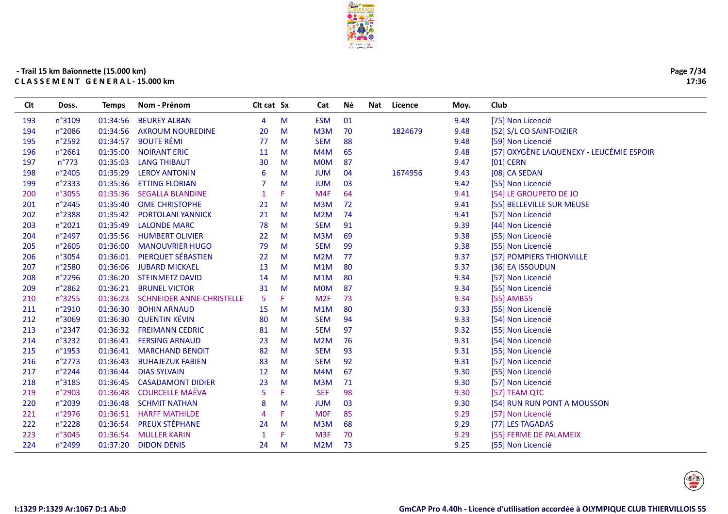

| Page 7/34 |       |  |
|-----------|-------|--|
|           | 17:36 |  |

| 01<br><b>BEUREY ALBAN</b><br><b>ESM</b><br>9.48<br>n°3109<br>01:34:56<br>М<br>[75] Non Licencié<br>193<br>$\overline{4}$<br>n°2086<br>1824679<br>01:34:56<br><b>AKROUM NOUREDINE</b><br>20<br>M<br>M3M<br>70<br>9.48<br>[52] S/L CO SAINT-DIZIER<br>194<br><b>BOUTE RÉMI</b><br>n°2592<br>01:34:57<br><b>SEM</b><br>88<br>77<br>M<br>9.48<br>[59] Non Licencié<br>195<br>[57] OXYGÈNE LAQUENEXY - LEUCÉMIE ESPOIR<br>n°2661<br>01:35:00<br><b>NOIRANT ERIC</b><br>196<br>11<br>M<br>M4M<br>65<br>9.48<br>$n^{\circ}773$<br>01:35:03<br><b>LANG THIBAUT</b><br><b>MOM</b><br>87<br>9.47<br>$[01]$ CERN<br>197<br>30<br>M<br>n°2405<br>01:35:29<br><b>LEROY ANTONIN</b><br>04<br>1674956<br>9.43<br>[08] CA SEDAN<br>198<br>6<br>M<br><b>JUM</b><br>n°2333<br>01:35:36<br><b>ETTING FLORIAN</b><br><b>JUM</b><br>03<br>9.42<br>[55] Non Licencié<br>199<br>м<br>M4F<br>n°3055<br>01:35:36<br><b>SEGALLA BLANDINE</b><br>F<br>64<br>9.41<br>[54] LE GROUPETO DE JO<br>200<br>1<br>n°2445<br>01:35:40<br><b>OME CHRISTOPHE</b><br>M3M<br>72<br>9.41<br>[55] BELLEVILLE SUR MEUSE<br>201<br>21<br>M<br>n°2388<br>01:35:42<br>21<br>M <sub>2</sub> M<br>74<br>9.41<br>[57] Non Licencié<br>202<br><b>PORTOLANI YANNICK</b><br>M<br>91<br>n°2021<br>01:35:49<br><b>LALONDE MARC</b><br>78<br><b>SEM</b><br>9.39<br>203<br>M<br>[44] Non Licencié<br>69<br>n°2497<br>01:35:56<br><b>HUMBERT OLIVIER</b><br>M3M<br>9.38<br>[55] Non Licencié<br>204<br>22<br>M<br>n°2605<br>01:36:00<br><b>SEM</b><br>99<br><b>MANOUVRIER HUGO</b><br>79<br>M<br>9.38<br>[55] Non Licencié<br>205<br>PIERQUET SÉBASTIEN<br>206<br>n°3054<br>01:36:01<br>22<br>M<br>M <sub>2</sub> M<br>77<br>9.37<br>[57] POMPIERS THIONVILLE<br>01:36:06<br><b>JUBARD MICKAEL</b><br>M1M<br>80<br>9.37<br>[36] EA ISSOUDUN<br>207<br>n°2580<br>13<br>M<br>01:36:20<br><b>STEINMETZ DAVID</b><br>80<br>9.34<br>208<br>n°2296<br>14<br>M<br>M1M<br>[57] Non Licencié<br>n°2862<br>01:36:21<br><b>MOM</b><br>87<br>9.34<br><b>BRUNEL VICTOR</b><br>M<br>[55] Non Licencié<br>209<br>31<br>n°3255<br>73<br>01:36:23<br><b>SCHNEIDER ANNE-CHRISTELLE</b><br>5<br>F.<br>M2F<br>9.34<br>[55] AMB55<br>210<br>n°2910<br>01:36:30<br><b>BOHIN ARNAUD</b><br>M1M<br>80<br>9.33<br>211<br>[55] Non Licencié<br>15<br>M<br><b>QUENTIN KÉVIN</b><br>n°3069<br>01:36:30<br><b>SEM</b><br>94<br>9.33<br>212<br>80<br>M<br>[54] Non Licencié<br>97<br>n°2347<br>01:36:32<br><b>FREIMANN CEDRIC</b><br>81<br><b>SEM</b><br>9.32<br>213<br>[55] Non Licencié<br>M<br>n°3232<br>01:36:41<br><b>FERSING ARNAUD</b><br>M <sub>2</sub> M<br>76<br>9.31<br>214<br>23<br>M<br>[54] Non Licencié<br>93<br>n°1953<br>01:36:41<br>82<br><b>SEM</b><br>9.31<br>215<br><b>MARCHAND BENOIT</b><br>M<br>[55] Non Licencié<br>n°2773<br>01:36:43<br><b>BUHAJEZUK FABIEN</b><br><b>SEM</b><br>92<br>9.31<br>[57] Non Licencié<br>216<br>83<br>M<br>67<br>n°2244<br>01:36:44<br><b>DIAS SYLVAIN</b><br>M<br>M4M<br>9.30<br>[55] Non Licencié<br>217<br>12<br>n°3185<br>01:36:45<br><b>CASADAMONT DIDIER</b><br>23<br>M3M<br>71<br>9.30<br>[57] Non Licencié<br>218<br>M<br><b>COURCELLE MAËVA</b><br>98<br>n°2903<br>01:36:48<br>5<br>F.<br><b>SEF</b><br>9.30<br>[57] TEAM QTC<br>219<br>n°2039<br>01:36:48<br><b>SCHMIT NATHAN</b><br>8<br><b>JUM</b><br>03<br>9.30<br>[54] RUN RUN PONT A MOUSSON<br>220<br>м<br><b>MOF</b><br>85<br>n°2976<br>01:36:51<br><b>HARFF MATHILDE</b><br>F<br>9.29<br>221<br>[57] Non Licencié<br>$\overline{A}$<br><b>PREUX STÉPHANE</b><br>n°2228<br>01:36:54<br>68<br>9.29<br>222<br>M3M<br>[77] LES TAGADAS<br>24<br>M<br><b>MULLER KARIN</b><br>70<br>223<br>n°3045<br>01:36:54<br>$\mathbf{1}$<br>F<br>M <sub>3F</sub><br>9.29<br>[55] FERME DE PALAMEIX<br><b>DIDON DENIS</b><br>73<br>n°2499<br>01:37:20<br>M <sub>2</sub> M<br>9.25<br>[55] Non Licencié<br>224<br>24<br>M | Clt | Doss. | <b>Temps</b> | Nom - Prénom | Clt cat Sx | Cat | Νé | Nat | Licence | Moy. | Club |
|-----------------------------------------------------------------------------------------------------------------------------------------------------------------------------------------------------------------------------------------------------------------------------------------------------------------------------------------------------------------------------------------------------------------------------------------------------------------------------------------------------------------------------------------------------------------------------------------------------------------------------------------------------------------------------------------------------------------------------------------------------------------------------------------------------------------------------------------------------------------------------------------------------------------------------------------------------------------------------------------------------------------------------------------------------------------------------------------------------------------------------------------------------------------------------------------------------------------------------------------------------------------------------------------------------------------------------------------------------------------------------------------------------------------------------------------------------------------------------------------------------------------------------------------------------------------------------------------------------------------------------------------------------------------------------------------------------------------------------------------------------------------------------------------------------------------------------------------------------------------------------------------------------------------------------------------------------------------------------------------------------------------------------------------------------------------------------------------------------------------------------------------------------------------------------------------------------------------------------------------------------------------------------------------------------------------------------------------------------------------------------------------------------------------------------------------------------------------------------------------------------------------------------------------------------------------------------------------------------------------------------------------------------------------------------------------------------------------------------------------------------------------------------------------------------------------------------------------------------------------------------------------------------------------------------------------------------------------------------------------------------------------------------------------------------------------------------------------------------------------------------------------------------------------------------------------------------------------------------------------------------------------------------------------------------------------------------------------------------------------------------------------------------------------------------------------------------------------------------------------------------------------------------------------------------------------------------------------------------------------------------------------------------------------------------------------------------------------------------------------------------------------------------------------------------------------------------------------|-----|-------|--------------|--------------|------------|-----|----|-----|---------|------|------|
|                                                                                                                                                                                                                                                                                                                                                                                                                                                                                                                                                                                                                                                                                                                                                                                                                                                                                                                                                                                                                                                                                                                                                                                                                                                                                                                                                                                                                                                                                                                                                                                                                                                                                                                                                                                                                                                                                                                                                                                                                                                                                                                                                                                                                                                                                                                                                                                                                                                                                                                                                                                                                                                                                                                                                                                                                                                                                                                                                                                                                                                                                                                                                                                                                                                                                                                                                                                                                                                                                                                                                                                                                                                                                                                                                                                                                                         |     |       |              |              |            |     |    |     |         |      |      |
|                                                                                                                                                                                                                                                                                                                                                                                                                                                                                                                                                                                                                                                                                                                                                                                                                                                                                                                                                                                                                                                                                                                                                                                                                                                                                                                                                                                                                                                                                                                                                                                                                                                                                                                                                                                                                                                                                                                                                                                                                                                                                                                                                                                                                                                                                                                                                                                                                                                                                                                                                                                                                                                                                                                                                                                                                                                                                                                                                                                                                                                                                                                                                                                                                                                                                                                                                                                                                                                                                                                                                                                                                                                                                                                                                                                                                                         |     |       |              |              |            |     |    |     |         |      |      |
|                                                                                                                                                                                                                                                                                                                                                                                                                                                                                                                                                                                                                                                                                                                                                                                                                                                                                                                                                                                                                                                                                                                                                                                                                                                                                                                                                                                                                                                                                                                                                                                                                                                                                                                                                                                                                                                                                                                                                                                                                                                                                                                                                                                                                                                                                                                                                                                                                                                                                                                                                                                                                                                                                                                                                                                                                                                                                                                                                                                                                                                                                                                                                                                                                                                                                                                                                                                                                                                                                                                                                                                                                                                                                                                                                                                                                                         |     |       |              |              |            |     |    |     |         |      |      |
|                                                                                                                                                                                                                                                                                                                                                                                                                                                                                                                                                                                                                                                                                                                                                                                                                                                                                                                                                                                                                                                                                                                                                                                                                                                                                                                                                                                                                                                                                                                                                                                                                                                                                                                                                                                                                                                                                                                                                                                                                                                                                                                                                                                                                                                                                                                                                                                                                                                                                                                                                                                                                                                                                                                                                                                                                                                                                                                                                                                                                                                                                                                                                                                                                                                                                                                                                                                                                                                                                                                                                                                                                                                                                                                                                                                                                                         |     |       |              |              |            |     |    |     |         |      |      |
|                                                                                                                                                                                                                                                                                                                                                                                                                                                                                                                                                                                                                                                                                                                                                                                                                                                                                                                                                                                                                                                                                                                                                                                                                                                                                                                                                                                                                                                                                                                                                                                                                                                                                                                                                                                                                                                                                                                                                                                                                                                                                                                                                                                                                                                                                                                                                                                                                                                                                                                                                                                                                                                                                                                                                                                                                                                                                                                                                                                                                                                                                                                                                                                                                                                                                                                                                                                                                                                                                                                                                                                                                                                                                                                                                                                                                                         |     |       |              |              |            |     |    |     |         |      |      |
|                                                                                                                                                                                                                                                                                                                                                                                                                                                                                                                                                                                                                                                                                                                                                                                                                                                                                                                                                                                                                                                                                                                                                                                                                                                                                                                                                                                                                                                                                                                                                                                                                                                                                                                                                                                                                                                                                                                                                                                                                                                                                                                                                                                                                                                                                                                                                                                                                                                                                                                                                                                                                                                                                                                                                                                                                                                                                                                                                                                                                                                                                                                                                                                                                                                                                                                                                                                                                                                                                                                                                                                                                                                                                                                                                                                                                                         |     |       |              |              |            |     |    |     |         |      |      |
|                                                                                                                                                                                                                                                                                                                                                                                                                                                                                                                                                                                                                                                                                                                                                                                                                                                                                                                                                                                                                                                                                                                                                                                                                                                                                                                                                                                                                                                                                                                                                                                                                                                                                                                                                                                                                                                                                                                                                                                                                                                                                                                                                                                                                                                                                                                                                                                                                                                                                                                                                                                                                                                                                                                                                                                                                                                                                                                                                                                                                                                                                                                                                                                                                                                                                                                                                                                                                                                                                                                                                                                                                                                                                                                                                                                                                                         |     |       |              |              |            |     |    |     |         |      |      |
|                                                                                                                                                                                                                                                                                                                                                                                                                                                                                                                                                                                                                                                                                                                                                                                                                                                                                                                                                                                                                                                                                                                                                                                                                                                                                                                                                                                                                                                                                                                                                                                                                                                                                                                                                                                                                                                                                                                                                                                                                                                                                                                                                                                                                                                                                                                                                                                                                                                                                                                                                                                                                                                                                                                                                                                                                                                                                                                                                                                                                                                                                                                                                                                                                                                                                                                                                                                                                                                                                                                                                                                                                                                                                                                                                                                                                                         |     |       |              |              |            |     |    |     |         |      |      |
|                                                                                                                                                                                                                                                                                                                                                                                                                                                                                                                                                                                                                                                                                                                                                                                                                                                                                                                                                                                                                                                                                                                                                                                                                                                                                                                                                                                                                                                                                                                                                                                                                                                                                                                                                                                                                                                                                                                                                                                                                                                                                                                                                                                                                                                                                                                                                                                                                                                                                                                                                                                                                                                                                                                                                                                                                                                                                                                                                                                                                                                                                                                                                                                                                                                                                                                                                                                                                                                                                                                                                                                                                                                                                                                                                                                                                                         |     |       |              |              |            |     |    |     |         |      |      |
|                                                                                                                                                                                                                                                                                                                                                                                                                                                                                                                                                                                                                                                                                                                                                                                                                                                                                                                                                                                                                                                                                                                                                                                                                                                                                                                                                                                                                                                                                                                                                                                                                                                                                                                                                                                                                                                                                                                                                                                                                                                                                                                                                                                                                                                                                                                                                                                                                                                                                                                                                                                                                                                                                                                                                                                                                                                                                                                                                                                                                                                                                                                                                                                                                                                                                                                                                                                                                                                                                                                                                                                                                                                                                                                                                                                                                                         |     |       |              |              |            |     |    |     |         |      |      |
|                                                                                                                                                                                                                                                                                                                                                                                                                                                                                                                                                                                                                                                                                                                                                                                                                                                                                                                                                                                                                                                                                                                                                                                                                                                                                                                                                                                                                                                                                                                                                                                                                                                                                                                                                                                                                                                                                                                                                                                                                                                                                                                                                                                                                                                                                                                                                                                                                                                                                                                                                                                                                                                                                                                                                                                                                                                                                                                                                                                                                                                                                                                                                                                                                                                                                                                                                                                                                                                                                                                                                                                                                                                                                                                                                                                                                                         |     |       |              |              |            |     |    |     |         |      |      |
|                                                                                                                                                                                                                                                                                                                                                                                                                                                                                                                                                                                                                                                                                                                                                                                                                                                                                                                                                                                                                                                                                                                                                                                                                                                                                                                                                                                                                                                                                                                                                                                                                                                                                                                                                                                                                                                                                                                                                                                                                                                                                                                                                                                                                                                                                                                                                                                                                                                                                                                                                                                                                                                                                                                                                                                                                                                                                                                                                                                                                                                                                                                                                                                                                                                                                                                                                                                                                                                                                                                                                                                                                                                                                                                                                                                                                                         |     |       |              |              |            |     |    |     |         |      |      |
|                                                                                                                                                                                                                                                                                                                                                                                                                                                                                                                                                                                                                                                                                                                                                                                                                                                                                                                                                                                                                                                                                                                                                                                                                                                                                                                                                                                                                                                                                                                                                                                                                                                                                                                                                                                                                                                                                                                                                                                                                                                                                                                                                                                                                                                                                                                                                                                                                                                                                                                                                                                                                                                                                                                                                                                                                                                                                                                                                                                                                                                                                                                                                                                                                                                                                                                                                                                                                                                                                                                                                                                                                                                                                                                                                                                                                                         |     |       |              |              |            |     |    |     |         |      |      |
|                                                                                                                                                                                                                                                                                                                                                                                                                                                                                                                                                                                                                                                                                                                                                                                                                                                                                                                                                                                                                                                                                                                                                                                                                                                                                                                                                                                                                                                                                                                                                                                                                                                                                                                                                                                                                                                                                                                                                                                                                                                                                                                                                                                                                                                                                                                                                                                                                                                                                                                                                                                                                                                                                                                                                                                                                                                                                                                                                                                                                                                                                                                                                                                                                                                                                                                                                                                                                                                                                                                                                                                                                                                                                                                                                                                                                                         |     |       |              |              |            |     |    |     |         |      |      |
|                                                                                                                                                                                                                                                                                                                                                                                                                                                                                                                                                                                                                                                                                                                                                                                                                                                                                                                                                                                                                                                                                                                                                                                                                                                                                                                                                                                                                                                                                                                                                                                                                                                                                                                                                                                                                                                                                                                                                                                                                                                                                                                                                                                                                                                                                                                                                                                                                                                                                                                                                                                                                                                                                                                                                                                                                                                                                                                                                                                                                                                                                                                                                                                                                                                                                                                                                                                                                                                                                                                                                                                                                                                                                                                                                                                                                                         |     |       |              |              |            |     |    |     |         |      |      |
|                                                                                                                                                                                                                                                                                                                                                                                                                                                                                                                                                                                                                                                                                                                                                                                                                                                                                                                                                                                                                                                                                                                                                                                                                                                                                                                                                                                                                                                                                                                                                                                                                                                                                                                                                                                                                                                                                                                                                                                                                                                                                                                                                                                                                                                                                                                                                                                                                                                                                                                                                                                                                                                                                                                                                                                                                                                                                                                                                                                                                                                                                                                                                                                                                                                                                                                                                                                                                                                                                                                                                                                                                                                                                                                                                                                                                                         |     |       |              |              |            |     |    |     |         |      |      |
|                                                                                                                                                                                                                                                                                                                                                                                                                                                                                                                                                                                                                                                                                                                                                                                                                                                                                                                                                                                                                                                                                                                                                                                                                                                                                                                                                                                                                                                                                                                                                                                                                                                                                                                                                                                                                                                                                                                                                                                                                                                                                                                                                                                                                                                                                                                                                                                                                                                                                                                                                                                                                                                                                                                                                                                                                                                                                                                                                                                                                                                                                                                                                                                                                                                                                                                                                                                                                                                                                                                                                                                                                                                                                                                                                                                                                                         |     |       |              |              |            |     |    |     |         |      |      |
|                                                                                                                                                                                                                                                                                                                                                                                                                                                                                                                                                                                                                                                                                                                                                                                                                                                                                                                                                                                                                                                                                                                                                                                                                                                                                                                                                                                                                                                                                                                                                                                                                                                                                                                                                                                                                                                                                                                                                                                                                                                                                                                                                                                                                                                                                                                                                                                                                                                                                                                                                                                                                                                                                                                                                                                                                                                                                                                                                                                                                                                                                                                                                                                                                                                                                                                                                                                                                                                                                                                                                                                                                                                                                                                                                                                                                                         |     |       |              |              |            |     |    |     |         |      |      |
|                                                                                                                                                                                                                                                                                                                                                                                                                                                                                                                                                                                                                                                                                                                                                                                                                                                                                                                                                                                                                                                                                                                                                                                                                                                                                                                                                                                                                                                                                                                                                                                                                                                                                                                                                                                                                                                                                                                                                                                                                                                                                                                                                                                                                                                                                                                                                                                                                                                                                                                                                                                                                                                                                                                                                                                                                                                                                                                                                                                                                                                                                                                                                                                                                                                                                                                                                                                                                                                                                                                                                                                                                                                                                                                                                                                                                                         |     |       |              |              |            |     |    |     |         |      |      |
|                                                                                                                                                                                                                                                                                                                                                                                                                                                                                                                                                                                                                                                                                                                                                                                                                                                                                                                                                                                                                                                                                                                                                                                                                                                                                                                                                                                                                                                                                                                                                                                                                                                                                                                                                                                                                                                                                                                                                                                                                                                                                                                                                                                                                                                                                                                                                                                                                                                                                                                                                                                                                                                                                                                                                                                                                                                                                                                                                                                                                                                                                                                                                                                                                                                                                                                                                                                                                                                                                                                                                                                                                                                                                                                                                                                                                                         |     |       |              |              |            |     |    |     |         |      |      |
|                                                                                                                                                                                                                                                                                                                                                                                                                                                                                                                                                                                                                                                                                                                                                                                                                                                                                                                                                                                                                                                                                                                                                                                                                                                                                                                                                                                                                                                                                                                                                                                                                                                                                                                                                                                                                                                                                                                                                                                                                                                                                                                                                                                                                                                                                                                                                                                                                                                                                                                                                                                                                                                                                                                                                                                                                                                                                                                                                                                                                                                                                                                                                                                                                                                                                                                                                                                                                                                                                                                                                                                                                                                                                                                                                                                                                                         |     |       |              |              |            |     |    |     |         |      |      |
|                                                                                                                                                                                                                                                                                                                                                                                                                                                                                                                                                                                                                                                                                                                                                                                                                                                                                                                                                                                                                                                                                                                                                                                                                                                                                                                                                                                                                                                                                                                                                                                                                                                                                                                                                                                                                                                                                                                                                                                                                                                                                                                                                                                                                                                                                                                                                                                                                                                                                                                                                                                                                                                                                                                                                                                                                                                                                                                                                                                                                                                                                                                                                                                                                                                                                                                                                                                                                                                                                                                                                                                                                                                                                                                                                                                                                                         |     |       |              |              |            |     |    |     |         |      |      |
|                                                                                                                                                                                                                                                                                                                                                                                                                                                                                                                                                                                                                                                                                                                                                                                                                                                                                                                                                                                                                                                                                                                                                                                                                                                                                                                                                                                                                                                                                                                                                                                                                                                                                                                                                                                                                                                                                                                                                                                                                                                                                                                                                                                                                                                                                                                                                                                                                                                                                                                                                                                                                                                                                                                                                                                                                                                                                                                                                                                                                                                                                                                                                                                                                                                                                                                                                                                                                                                                                                                                                                                                                                                                                                                                                                                                                                         |     |       |              |              |            |     |    |     |         |      |      |
|                                                                                                                                                                                                                                                                                                                                                                                                                                                                                                                                                                                                                                                                                                                                                                                                                                                                                                                                                                                                                                                                                                                                                                                                                                                                                                                                                                                                                                                                                                                                                                                                                                                                                                                                                                                                                                                                                                                                                                                                                                                                                                                                                                                                                                                                                                                                                                                                                                                                                                                                                                                                                                                                                                                                                                                                                                                                                                                                                                                                                                                                                                                                                                                                                                                                                                                                                                                                                                                                                                                                                                                                                                                                                                                                                                                                                                         |     |       |              |              |            |     |    |     |         |      |      |
|                                                                                                                                                                                                                                                                                                                                                                                                                                                                                                                                                                                                                                                                                                                                                                                                                                                                                                                                                                                                                                                                                                                                                                                                                                                                                                                                                                                                                                                                                                                                                                                                                                                                                                                                                                                                                                                                                                                                                                                                                                                                                                                                                                                                                                                                                                                                                                                                                                                                                                                                                                                                                                                                                                                                                                                                                                                                                                                                                                                                                                                                                                                                                                                                                                                                                                                                                                                                                                                                                                                                                                                                                                                                                                                                                                                                                                         |     |       |              |              |            |     |    |     |         |      |      |
|                                                                                                                                                                                                                                                                                                                                                                                                                                                                                                                                                                                                                                                                                                                                                                                                                                                                                                                                                                                                                                                                                                                                                                                                                                                                                                                                                                                                                                                                                                                                                                                                                                                                                                                                                                                                                                                                                                                                                                                                                                                                                                                                                                                                                                                                                                                                                                                                                                                                                                                                                                                                                                                                                                                                                                                                                                                                                                                                                                                                                                                                                                                                                                                                                                                                                                                                                                                                                                                                                                                                                                                                                                                                                                                                                                                                                                         |     |       |              |              |            |     |    |     |         |      |      |
|                                                                                                                                                                                                                                                                                                                                                                                                                                                                                                                                                                                                                                                                                                                                                                                                                                                                                                                                                                                                                                                                                                                                                                                                                                                                                                                                                                                                                                                                                                                                                                                                                                                                                                                                                                                                                                                                                                                                                                                                                                                                                                                                                                                                                                                                                                                                                                                                                                                                                                                                                                                                                                                                                                                                                                                                                                                                                                                                                                                                                                                                                                                                                                                                                                                                                                                                                                                                                                                                                                                                                                                                                                                                                                                                                                                                                                         |     |       |              |              |            |     |    |     |         |      |      |
|                                                                                                                                                                                                                                                                                                                                                                                                                                                                                                                                                                                                                                                                                                                                                                                                                                                                                                                                                                                                                                                                                                                                                                                                                                                                                                                                                                                                                                                                                                                                                                                                                                                                                                                                                                                                                                                                                                                                                                                                                                                                                                                                                                                                                                                                                                                                                                                                                                                                                                                                                                                                                                                                                                                                                                                                                                                                                                                                                                                                                                                                                                                                                                                                                                                                                                                                                                                                                                                                                                                                                                                                                                                                                                                                                                                                                                         |     |       |              |              |            |     |    |     |         |      |      |
|                                                                                                                                                                                                                                                                                                                                                                                                                                                                                                                                                                                                                                                                                                                                                                                                                                                                                                                                                                                                                                                                                                                                                                                                                                                                                                                                                                                                                                                                                                                                                                                                                                                                                                                                                                                                                                                                                                                                                                                                                                                                                                                                                                                                                                                                                                                                                                                                                                                                                                                                                                                                                                                                                                                                                                                                                                                                                                                                                                                                                                                                                                                                                                                                                                                                                                                                                                                                                                                                                                                                                                                                                                                                                                                                                                                                                                         |     |       |              |              |            |     |    |     |         |      |      |
|                                                                                                                                                                                                                                                                                                                                                                                                                                                                                                                                                                                                                                                                                                                                                                                                                                                                                                                                                                                                                                                                                                                                                                                                                                                                                                                                                                                                                                                                                                                                                                                                                                                                                                                                                                                                                                                                                                                                                                                                                                                                                                                                                                                                                                                                                                                                                                                                                                                                                                                                                                                                                                                                                                                                                                                                                                                                                                                                                                                                                                                                                                                                                                                                                                                                                                                                                                                                                                                                                                                                                                                                                                                                                                                                                                                                                                         |     |       |              |              |            |     |    |     |         |      |      |
|                                                                                                                                                                                                                                                                                                                                                                                                                                                                                                                                                                                                                                                                                                                                                                                                                                                                                                                                                                                                                                                                                                                                                                                                                                                                                                                                                                                                                                                                                                                                                                                                                                                                                                                                                                                                                                                                                                                                                                                                                                                                                                                                                                                                                                                                                                                                                                                                                                                                                                                                                                                                                                                                                                                                                                                                                                                                                                                                                                                                                                                                                                                                                                                                                                                                                                                                                                                                                                                                                                                                                                                                                                                                                                                                                                                                                                         |     |       |              |              |            |     |    |     |         |      |      |
|                                                                                                                                                                                                                                                                                                                                                                                                                                                                                                                                                                                                                                                                                                                                                                                                                                                                                                                                                                                                                                                                                                                                                                                                                                                                                                                                                                                                                                                                                                                                                                                                                                                                                                                                                                                                                                                                                                                                                                                                                                                                                                                                                                                                                                                                                                                                                                                                                                                                                                                                                                                                                                                                                                                                                                                                                                                                                                                                                                                                                                                                                                                                                                                                                                                                                                                                                                                                                                                                                                                                                                                                                                                                                                                                                                                                                                         |     |       |              |              |            |     |    |     |         |      |      |

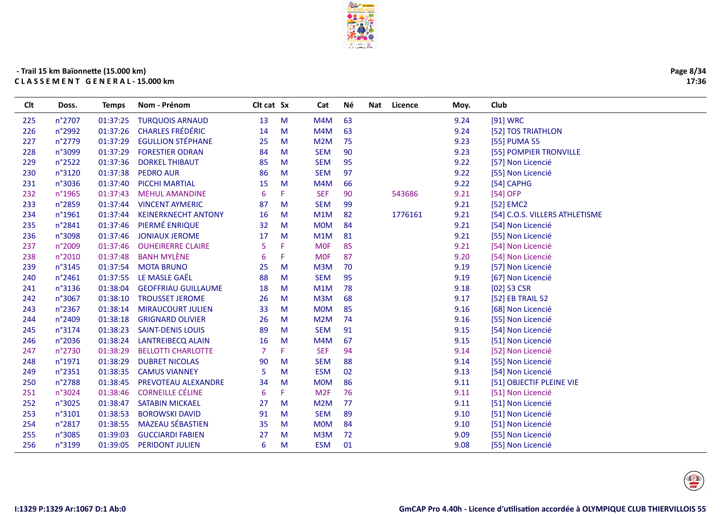

| CIt | Doss.  | Temps    | Nom - Prénom               | CIt cat Sx |           | Cat             | Né | Nat<br>Licence | Moy. | Club                           |
|-----|--------|----------|----------------------------|------------|-----------|-----------------|----|----------------|------|--------------------------------|
| 225 | n°2707 | 01:37:25 | <b>TURQUOIS ARNAUD</b>     | 13         | M         | M4M             | 63 |                | 9.24 | [91] WRC                       |
| 226 | n°2992 | 01:37:26 | <b>CHARLES FRÉDÉRIC</b>    | 14         | ${\sf M}$ | M4M             | 63 |                | 9.24 | [52] TOS TRIATHLON             |
| 227 | n°2779 | 01:37:29 | <b>EGULLION STÉPHANE</b>   | 25         | M         | M2M             | 75 |                | 9.23 | [55] PUMA 55                   |
| 228 | n°3099 | 01:37:29 | <b>FORESTIER ODRAN</b>     | 84         | M         | <b>SEM</b>      | 90 |                | 9.23 | [55] POMPIER TRONVILLE         |
| 229 | n°2522 | 01:37:36 | <b>DORKEL THIBAUT</b>      | 85         | M         | <b>SEM</b>      | 95 |                | 9.22 | [57] Non Licencié              |
| 230 | n°3120 | 01:37:38 | <b>PEDRO AUR</b>           | 86         | M         | <b>SEM</b>      | 97 |                | 9.22 | [55] Non Licencié              |
| 231 | n°3036 | 01:37:40 | <b>PICCHI MARTIAL</b>      | 15         | M         | M4M             | 66 |                | 9.22 | [54] CAPHG                     |
| 232 | n°1965 | 01:37:43 | <b>MEHUL AMANDINE</b>      | 6          | F.        | <b>SEF</b>      | 90 | 543686         | 9.21 | [54] OFP                       |
| 233 | n°2859 | 01:37:44 | <b>VINCENT AYMERIC</b>     | 87         | M         | <b>SEM</b>      | 99 |                | 9.21 | [52] EMC2                      |
| 234 | n°1961 | 01:37:44 | <b>KEINERKNECHT ANTONY</b> | 16         | M         | M1M             | 82 | 1776161        | 9.21 | [54] C.O.S. VILLERS ATHLETISME |
| 235 | n°2841 | 01:37:46 | PIERMÉ ENRIQUE             | 32         | M         | <b>MOM</b>      | 84 |                | 9.21 | [54] Non Licencié              |
| 236 | n°3098 | 01:37:46 | <b>JONIAUX JEROME</b>      | 17         | M         | M1M             | 81 |                | 9.21 | [55] Non Licencié              |
| 237 | n°2009 | 01:37:46 | <b>OUHEIRERRE CLAIRE</b>   | 5          | F         | <b>MOF</b>      | 85 |                | 9.21 | [54] Non Licencié              |
| 238 | n°2010 | 01:37:48 | <b>BANH MYLÈNE</b>         | 6          | F.        | <b>MOF</b>      | 87 |                | 9.20 | [54] Non Licencié              |
| 239 | n°3145 | 01:37:54 | <b>MOTA BRUNO</b>          | 25         | M         | M3M             | 70 |                | 9.19 | [57] Non Licencié              |
| 240 | n°2461 | 01:37:55 | LE MASLE GAËL              | 88         | M         | <b>SEM</b>      | 95 |                | 9.19 | [67] Non Licencié              |
| 241 | n°3136 | 01:38:04 | <b>GEOFFRIAU GUILLAUME</b> | 18         | M         | M1M             | 78 |                | 9.18 | $[02]$ 53 CSR                  |
| 242 | n°3067 | 01:38:10 | <b>TROUSSET JEROME</b>     | 26         | M         | M3M             | 68 |                | 9.17 | [52] EB TRAIL 52               |
| 243 | n°2367 | 01:38:14 | <b>MIRAUCOURT JULIEN</b>   | 33         | M         | <b>MOM</b>      | 85 |                | 9.16 | [68] Non Licencié              |
| 244 | n°2409 | 01:38:18 | <b>GRIGNARD OLIVIER</b>    | 26         | M         | M2M             | 74 |                | 9.16 | [55] Non Licencié              |
| 245 | n°3174 | 01:38:23 | <b>SAINT-DENIS LOUIS</b>   | 89         | M         | <b>SEM</b>      | 91 |                | 9.15 | [54] Non Licencié              |
| 246 | n°2036 | 01:38:24 | LANTREIBECQ ALAIN          | 16         | M         | M4M             | 67 |                | 9.15 | [51] Non Licencié              |
| 247 | n°2730 | 01:38:29 | <b>BELLOTTI CHARLOTTE</b>  |            | F.        | <b>SEF</b>      | 94 |                | 9.14 | [52] Non Licencié              |
| 248 | n°1971 | 01:38:29 | <b>DUBRET NICOLAS</b>      | 90         | M         | <b>SEM</b>      | 88 |                | 9.14 | [55] Non Licencié              |
| 249 | n°2351 | 01:38:35 | <b>CAMUS VIANNEY</b>       | 5          | M         | <b>ESM</b>      | 02 |                | 9.13 | [54] Non Licencié              |
| 250 | n°2788 | 01:38:45 | PREVOTEAU ALEXANDRE        | 34         | M         | <b>MOM</b>      | 86 |                | 9.11 | [51] OBJECTIF PLEINE VIE       |
| 251 | n°3024 | 01:38:46 | <b>CORNEILLE CÉLINE</b>    | 6          | F.        | M <sub>2F</sub> | 76 |                | 9.11 | [51] Non Licencié              |
| 252 | n°3025 | 01:38:47 | <b>SATABIN MICKAEL</b>     | 27         | M         | M2M             | 77 |                | 9.11 | [51] Non Licencié              |
| 253 | n°3101 | 01:38:53 | <b>BOROWSKI DAVID</b>      | 91         | M         | <b>SEM</b>      | 89 |                | 9.10 | [51] Non Licencié              |
| 254 | n°2817 | 01:38:55 | <b>MAZEAU SÉBASTIEN</b>    | 35         | M         | <b>MOM</b>      | 84 |                | 9.10 | [51] Non Licencié              |
| 255 | n°3085 | 01:39:03 | <b>GUCCIARDI FABIEN</b>    | 27         | M         | M3M             | 72 |                | 9.09 | [55] Non Licencié              |
| 256 | n°3199 | 01:39:05 | <b>PERIDONT JULIEN</b>     | 6          | M         | <b>ESM</b>      | 01 |                | 9.08 | [55] Non Licencié              |
|     |        |          |                            |            |           |                 |    |                |      |                                |

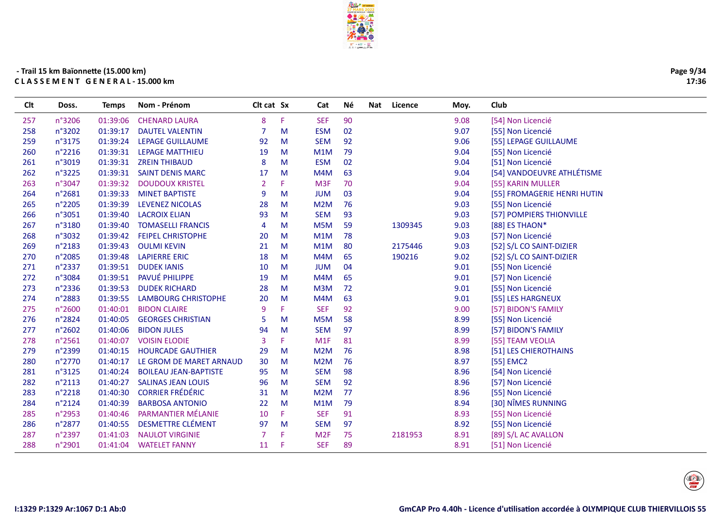

| Page 9/34 |  |
|-----------|--|
| 17:36     |  |

| Clt | Doss.           | <b>Temps</b> | Nom - Prénom                 | Clt cat Sx     |     | Cat              | Νé | Nat | Licence | Moy. | Club                        |
|-----|-----------------|--------------|------------------------------|----------------|-----|------------------|----|-----|---------|------|-----------------------------|
| 257 | n°3206          | 01:39:06     | <b>CHENARD LAURA</b>         | 8              | F   | <b>SEF</b>       | 90 |     |         | 9.08 | [54] Non Licencié           |
| 258 | n°3202          | 01:39:17     | <b>DAUTEL VALENTIN</b>       | 7              | M   | <b>ESM</b>       | 02 |     |         | 9.07 | [55] Non Licencié           |
| 259 | n°3175          | 01:39:24     | LEPAGE GUILLAUME             | 92             | M   | <b>SEM</b>       | 92 |     |         | 9.06 | [55] LEPAGE GUILLAUME       |
| 260 | $n^{\circ}2216$ | 01:39:31     | <b>LEPAGE MATTHIEU</b>       | 19             | M   | M1M              | 79 |     |         | 9.04 | [55] Non Licencié           |
| 261 | n°3019          | 01:39:31     | <b>ZREIN THIBAUD</b>         | 8              | M   | <b>ESM</b>       | 02 |     |         | 9.04 | [51] Non Licencié           |
| 262 | n°3225          | 01:39:31     | <b>SAINT DENIS MARC</b>      | 17             | M   | M4M              | 63 |     |         | 9.04 | [54] VANDOEUVRE ATHLÉTISME  |
| 263 | n°3047          | 01:39:32     | <b>DOUDOUX KRISTEL</b>       | 2              | F   | M <sub>3F</sub>  | 70 |     |         | 9.04 | [55] KARIN MULLER           |
| 264 | n°2681          | 01:39:33     | <b>MINET BAPTISTE</b>        | 9              | M   | <b>JUM</b>       | 03 |     |         | 9.04 | [55] FROMAGERIE HENRI HUTIN |
| 265 | n°2205          | 01:39:39     | <b>LEVENEZ NICOLAS</b>       | 28             | M   | M2M              | 76 |     |         | 9.03 | [55] Non Licencié           |
| 266 | n°3051          | 01:39:40     | <b>LACROIX ELIAN</b>         | 93             | M   | <b>SEM</b>       | 93 |     |         | 9.03 | [57] POMPIERS THIONVILLE    |
| 267 | n°3180          | 01:39:40     | <b>TOMASELLI FRANCIS</b>     | $\overline{4}$ | M   | M <sub>5</sub> M | 59 |     | 1309345 | 9.03 | [88] ES THAON*              |
| 268 | n°3032          | 01:39:42     | <b>FEIPEL CHRISTOPHE</b>     | 20             | M   | M1M              | 78 |     |         | 9.03 | [57] Non Licencié           |
| 269 | n°2183          | 01:39:43     | <b>OULMI KEVIN</b>           | 21             | M   | M1M              | 80 |     | 2175446 | 9.03 | [52] S/L CO SAINT-DIZIER    |
| 270 | n°2085          | 01:39:48     | <b>LAPIERRE ERIC</b>         | 18             | M   | M4M              | 65 |     | 190216  | 9.02 | [52] S/L CO SAINT-DIZIER    |
| 271 | n°2337          | 01:39:51     | <b>DUDEK JANIS</b>           | 10             | M   | <b>JUM</b>       | 04 |     |         | 9.01 | [55] Non Licencié           |
| 272 | n°3084          | 01:39:51     | PAVUÉ PHILIPPE               | 19             | M   | M4M              | 65 |     |         | 9.01 | [57] Non Licencié           |
| 273 | n°2336          | 01:39:53     | <b>DUDEK RICHARD</b>         | 28             | M   | M3M              | 72 |     |         | 9.01 | [55] Non Licencié           |
| 274 | n°2883          | 01:39:55     | <b>LAMBOURG CHRISTOPHE</b>   | 20             | M   | M4M              | 63 |     |         | 9.01 | [55] LES HARGNEUX           |
| 275 | n°2600          | 01:40:01     | <b>BIDON CLAIRE</b>          | 9              | F   | <b>SEF</b>       | 92 |     |         | 9.00 | [57] BIDON'S FAMILY         |
| 276 | n°2824          | 01:40:05     | <b>GEORGES CHRISTIAN</b>     | 5              | M   | M <sub>5</sub> M | 58 |     |         | 8.99 | [55] Non Licencié           |
| 277 | n°2602          | 01:40:06     | <b>BIDON JULES</b>           | 94             | M   | <b>SEM</b>       | 97 |     |         | 8.99 | [57] BIDON'S FAMILY         |
| 278 | n°2561          | 01:40:07     | <b>VOISIN ELODIE</b>         | $\overline{3}$ | F.  | M1F              | 81 |     |         | 8.99 | [55] TEAM VEOLIA            |
| 279 | n°2399          | 01:40:15     | <b>HOURCADE GAUTHIER</b>     | 29             | M   | M <sub>2</sub> M | 76 |     |         | 8.98 | [51] LES CHIEROTHAINS       |
| 280 | n°2770          | 01:40:17     | LE GROM DE MARET ARNAUD      | 30             | M   | M <sub>2</sub> M | 76 |     |         | 8.97 | [55] EMC2                   |
| 281 | n°3125          | 01:40:24     | <b>BOILEAU JEAN-BAPTISTE</b> | 95             | M   | <b>SEM</b>       | 98 |     |         | 8.96 | [54] Non Licencié           |
| 282 | n°2113          | 01:40:27     | <b>SALINAS JEAN LOUIS</b>    | 96             | M   | <b>SEM</b>       | 92 |     |         | 8.96 | [57] Non Licencié           |
| 283 | n°2218          | 01:40:30     | <b>CORRIER FRÉDÉRIC</b>      | 31             | M   | M2M              | 77 |     |         | 8.96 | [55] Non Licencié           |
| 284 | n°2124          | 01:40:39     | <b>BARBOSA ANTONIO</b>       | 22             | M   | M1M              | 79 |     |         | 8.94 | [30] NÎMES RUNNING          |
| 285 | n°2953          | 01:40:46     | PARMANTIER MÉLANIE           | 10             | F.  | <b>SEF</b>       | 91 |     |         | 8.93 | [55] Non Licencié           |
| 286 | n°2877          | 01:40:55     | <b>DESMETTRE CLÉMENT</b>     | 97             | M   | <b>SEM</b>       | 97 |     |         | 8.92 | [55] Non Licencié           |
| 287 | n°2397          | 01:41:03     | <b>NAULOT VIRGINIE</b>       | $\overline{7}$ | F   | M <sub>2F</sub>  | 75 |     | 2181953 | 8.91 | [89] S/L AC AVALLON         |
| 288 | n°2901          | 01:41:04     | <b>WATELET FANNY</b>         | 11             | -F. | <b>SEF</b>       | 89 |     |         | 8.91 | [51] Non Licencié           |
|     |                 |              |                              |                |     |                  |    |     |         |      |                             |

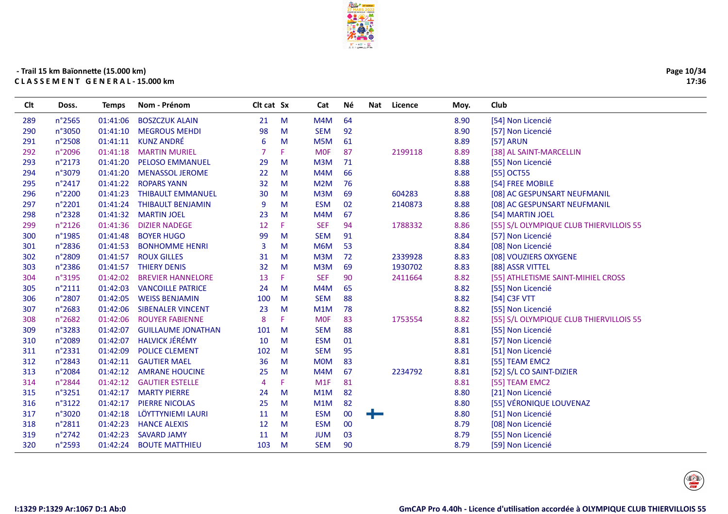

| Page 10/34 |
|------------|
| 17:36      |

| Clt | Doss.           | <b>Temps</b> | Nom - Prénom              | Clt cat Sx |    | Cat              | Né | Nat | Licence | Moy. | Club                                    |
|-----|-----------------|--------------|---------------------------|------------|----|------------------|----|-----|---------|------|-----------------------------------------|
| 289 | n°2565          | 01:41:06     | <b>BOSZCZUK ALAIN</b>     | 21         | M  | M4M              | 64 |     |         | 8.90 | [54] Non Licencié                       |
| 290 | n°3050          | 01:41:10     | <b>MEGROUS MEHDI</b>      | 98         | M  | <b>SEM</b>       | 92 |     |         | 8.90 | [57] Non Licencié                       |
| 291 | n°2508          | 01:41:11     | <b>KUNZ ANDRÉ</b>         | 6          | M  | M <sub>5</sub> M | 61 |     |         | 8.89 | [57] ARUN                               |
| 292 | n°2096          | 01:41:18     | <b>MARTIN MURIEL</b>      |            | F. | <b>MOF</b>       | 87 |     | 2199118 | 8.89 | [38] AL SAINT-MARCELLIN                 |
| 293 | n°2173          | 01:41:20     | <b>PELOSO EMMANUEL</b>    | 29         | M  | M3M              | 71 |     |         | 8.88 | [55] Non Licencié                       |
| 294 | n°3079          | 01:41:20     | <b>MENASSOL JEROME</b>    | 22         | M  | M4M              | 66 |     |         | 8.88 | [55] OCT55                              |
| 295 | n°2417          | 01:41:22     | <b>ROPARS YANN</b>        | 32         | M  | M2M              | 76 |     |         | 8.88 | [54] FREE MOBILE                        |
| 296 | n°2200          | 01:41:23     | <b>THIBAULT EMMANUEL</b>  | 30         | M  | M3M              | 69 |     | 604283  | 8.88 | [08] AC GESPUNSART NEUFMANIL            |
| 297 | n°2201          | 01:41:24     | <b>THIBAULT BENJAMIN</b>  | 9          | M  | <b>ESM</b>       | 02 |     | 2140873 | 8.88 | [08] AC GESPUNSART NEUFMANIL            |
| 298 | n°2328          | 01:41:32     | <b>MARTIN JOEL</b>        | 23         | M  | M4M              | 67 |     |         | 8.86 | [54] MARTIN JOEL                        |
| 299 | n°2126          | 01:41:36     | <b>DIZIER NADEGE</b>      | 12         | F. | <b>SEF</b>       | 94 |     | 1788332 | 8.86 | [55] S/L OLYMPIQUE CLUB THIERVILLOIS 55 |
| 300 | n°1985          | 01:41:48     | <b>BOYER HUGO</b>         | 99         | M  | <b>SEM</b>       | 91 |     |         | 8.84 | [57] Non Licencié                       |
| 301 | n°2836          | 01:41:53     | <b>BONHOMME HENRI</b>     | 3          | М  | M6M              | 53 |     |         | 8.84 | [08] Non Licencié                       |
| 302 | n°2809          | 01:41:57     | <b>ROUX GILLES</b>        | 31         | M  | M3M              | 72 |     | 2339928 | 8.83 | [08] VOUZIERS OXYGENE                   |
| 303 | n°2386          | 01:41:57     | <b>THIERY DENIS</b>       | 32         | M  | M3M              | 69 |     | 1930702 | 8.83 | [88] ASSR VITTEL                        |
| 304 | n°3195          | 01:42:02     | <b>BREVIER HANNELORE</b>  | 13         | F. | <b>SEF</b>       | 90 |     | 2411664 | 8.82 | [55] ATHLETISME SAINT-MIHIEL CROSS      |
| 305 | $n^{\circ}2111$ | 01:42:03     | <b>VANCOILLE PATRICE</b>  | 24         | M  | M4M              | 65 |     |         | 8.82 | [55] Non Licencié                       |
| 306 | n°2807          | 01:42:05     | <b>WEISS BENJAMIN</b>     | 100        | M  | <b>SEM</b>       | 88 |     |         | 8.82 | [54] C3F VTT                            |
| 307 | n°2683          | 01:42:06     | <b>SIBENALER VINCENT</b>  | 23         | M  | M1M              | 78 |     |         | 8.82 | [55] Non Licencié                       |
| 308 | n°2682          | 01:42:06     | <b>ROUYER FABIENNE</b>    | 8          | F. | <b>MOF</b>       | 83 |     | 1753554 | 8.82 | [55] S/L OLYMPIQUE CLUB THIERVILLOIS 55 |
| 309 | n°3283          | 01:42:07     | <b>GUILLAUME JONATHAN</b> | 101        | M  | <b>SEM</b>       | 88 |     |         | 8.81 | [55] Non Licencié                       |
| 310 | n°2089          | 01:42:07     | <b>HALVICK JÉRÉMY</b>     | 10         | M  | <b>ESM</b>       | 01 |     |         | 8.81 | [57] Non Licencié                       |
| 311 | n°2331          | 01:42:09     | <b>POLICE CLEMENT</b>     | 102        | M  | <b>SEM</b>       | 95 |     |         | 8.81 | [51] Non Licencié                       |
| 312 | n°2843          | 01:42:11     | <b>GAUTIER MAEL</b>       | 36         | M  | <b>MOM</b>       | 83 |     |         | 8.81 | [55] TEAM EMC2                          |
| 313 | n°2084          | 01:42:12     | <b>AMRANE HOUCINE</b>     | 25         | M  | M4M              | 67 |     | 2234792 | 8.81 | [52] S/L CO SAINT-DIZIER                |
| 314 | n°2844          | 01:42:12     | <b>GAUTIER ESTELLE</b>    | 4          | F. | M1F              | 81 |     |         | 8.81 | [55] TEAM EMC2                          |
| 315 | n°3251          | 01:42:17     | <b>MARTY PIERRE</b>       | 24         | M  | M1M              | 82 |     |         | 8.80 | [21] Non Licencié                       |
| 316 | n°3122          | 01:42:17     | <b>PIERRE NICOLAS</b>     | 25         | M  | M1M              | 82 |     |         | 8.80 | [55] VÉRONIQUE LOUVENAZ                 |
| 317 | n°3020          | 01:42:18     | LÖYTTYNIEMI LAURI         | 11         | M  | <b>ESM</b>       | 00 | ╺┝═ |         | 8.80 | [51] Non Licencié                       |
| 318 | n°2811          | 01:42:23     | <b>HANCE ALEXIS</b>       | 12         | M  | <b>ESM</b>       | 00 |     |         | 8.79 | [08] Non Licencié                       |
| 319 | n°2742          | 01:42:23     | <b>SAVARD JAMY</b>        | 11         | M  | <b>JUM</b>       | 03 |     |         | 8.79 | [55] Non Licencié                       |
| 320 | n°2593          | 01:42:24     | <b>BOUTE MATTHIEU</b>     | 103        | M  | <b>SEM</b>       | 90 |     |         | 8.79 | [59] Non Licencié                       |
|     |                 |              |                           |            |    |                  |    |     |         |      |                                         |

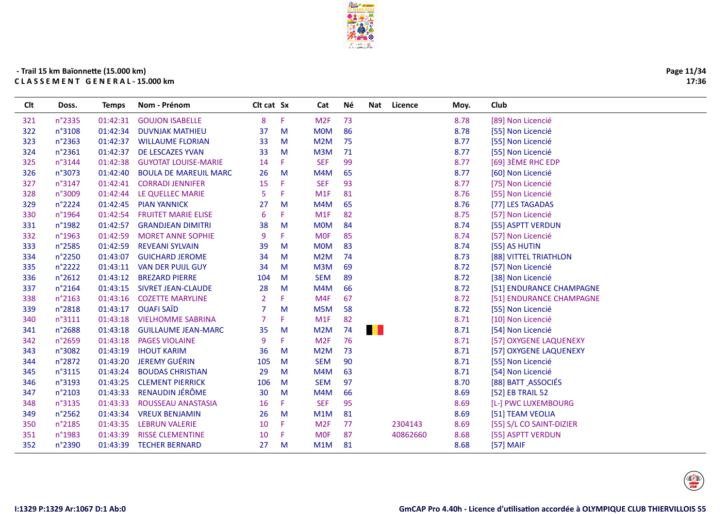

Né

Cat

Nat Licence

Moy.

Club

Clt cat Sx

# - Trail 15 km Baïonnette (15.000 km) CLASSEMENT GENERAL-15.000 km

Doss.

Temps Nom - Prénom

**Clt** 

| 321 | n°2335 | 01:42:31 | <b>GOUJON ISABELLE</b>       | 8              | F | M <sub>2F</sub>  | 73        |          | 8.78 | [89] Non Licencié        |
|-----|--------|----------|------------------------------|----------------|---|------------------|-----------|----------|------|--------------------------|
| 322 | n°3108 | 01:42:34 | <b>DUVNJAK MATHIEU</b>       | 37             | M | <b>MOM</b>       | 86        |          | 8.78 | [55] Non Licencié        |
| 323 | n°2363 | 01:42:37 | <b>WILLAUME FLORIAN</b>      | 33             | M | M <sub>2</sub> M | 75        |          | 8.77 | [55] Non Licencié        |
| 324 | n°2361 | 01:42:37 | DE LESCAZES YVAN             | 33             | M | M3M              | 71        |          | 8.77 | [55] Non Licencié        |
| 325 | n°3144 | 01:42:38 | <b>GUYOTAT LOUISE-MARIE</b>  | 14             | F | <b>SEF</b>       | 99        |          | 8.77 | [69] 3ÈME RHC EDP        |
| 326 | n°3073 | 01:42:40 | <b>BOULA DE MAREUIL MARC</b> | 26             | M | M4M              | 65        |          | 8.77 | [60] Non Licencié        |
| 327 | n°3147 | 01:42:41 | <b>CORRADI JENNIFER</b>      | 15             | F | <b>SEF</b>       | 93        |          | 8.77 | [75] Non Licencié        |
| 328 | n°3009 | 01:42:44 | LE QUELLEC MARIE             | 5              | F | M <sub>1</sub> F | 81        |          | 8.76 | [55] Non Licencié        |
| 329 | n°2224 | 01:42:45 | <b>PIAN YANNICK</b>          | 27             | M | M4M              | 65        |          | 8.76 | [77] LES TAGADAS         |
| 330 | n°1964 | 01:42:54 | <b>FRUITET MARIE ELISE</b>   | 6              | F | M <sub>1F</sub>  | 82        |          | 8.75 | [57] Non Licencié        |
| 331 | n°1982 | 01:42:57 | <b>GRANDJEAN DIMITRI</b>     | 38             | M | <b>MOM</b>       | 84        |          | 8.74 | [55] ASPTT VERDUN        |
| 332 | n°1963 | 01:42:59 | <b>MORET ANNE SOPHIE</b>     | 9              | F | <b>MOF</b>       | 85        |          | 8.74 | [57] Non Licencié        |
| 333 | n°2585 | 01:42:59 | <b>REVEANI SYLVAIN</b>       | 39             | M | <b>MOM</b>       | 83        |          | 8.74 | [55] AS HUTIN            |
| 334 | n°2250 | 01:43:07 | <b>GUICHARD JEROME</b>       | 34             | M | M2M              | 74        |          | 8.73 | [88] VITTEL TRIATHLON    |
| 335 | n°2222 | 01:43:11 | <b>VAN DER PUIJL GUY</b>     | 34             | M | M3M              | 69        |          | 8.72 | [57] Non Licencié        |
| 336 | n°2612 | 01:43:12 | <b>BREZARD PIERRE</b>        | 104            | M | <b>SEM</b>       | 89        |          | 8.72 | [38] Non Licencié        |
| 337 | n°2164 | 01:43:15 | <b>SIVRET JEAN-CLAUDE</b>    | 28             | M | M4M              | 66        |          | 8.72 | [51] ENDURANCE CHAMPAGNE |
| 338 | n°2163 | 01:43:16 | <b>COZETTE MARYLINE</b>      | 2              | F | M4F              | 67        |          | 8.72 | [51] ENDURANCE CHAMPAGNE |
| 339 | n°2818 | 01:43:17 | <b>OUAFI SAÏD</b>            | 7              | M | M5M              | 58        |          | 8.72 | [55] Non Licencié        |
| 340 | n°3111 | 01:43:18 | <b>VIELHOMME SABRINA</b>     | $\overline{7}$ | F | M1F              | 82        |          | 8.71 | [10] Non Licencié        |
| 341 | n°2688 | 01:43:18 | <b>GUILLAUME JEAN-MARC</b>   | 35             | M | M2M              | . .<br>74 |          | 8.71 | [54] Non Licencié        |
| 342 | n°2659 | 01:43:18 | <b>PAGES VIOLAINE</b>        | 9              | F | M <sub>2F</sub>  | 76        |          | 8.71 | [57] OXYGENE LAQUENEXY   |
| 343 | n°3082 | 01:43:19 | <b>IHOUT KARIM</b>           | 36             | M | M2M              | 73        |          | 8.71 | [57] OXYGENE LAQUENEXY   |
| 344 | n°2872 | 01:43:20 | <b>JEREMY GUÉRIN</b>         | 105            | M | <b>SEM</b>       | 90        |          | 8.71 | [55] Non Licencié        |
| 345 | n°3115 | 01:43:24 | <b>BOUDAS CHRISTIAN</b>      | 29             | M | M4M              | 63        |          | 8.71 | [54] Non Licencié        |
| 346 | n°3193 | 01:43:25 | <b>CLEMENT PIERRICK</b>      | 106            | M | <b>SEM</b>       | 97        |          | 8.70 | [88] BATT ASSOCIÉS       |
| 347 | n°2103 | 01:43:33 | RENAUDIN JÉRÔME              | 30             | M | M4M              | 66        |          | 8.69 | [52] EB TRAIL 52         |
| 348 | n°3135 | 01:43:33 | ROUSSEAU ANASTASIA           | 16             | F | <b>SEF</b>       | 95        |          | 8.69 | [L-] PWC LUXEMBOURG      |
| 349 | n°2562 | 01:43:34 | <b>VREUX BENJAMIN</b>        | 26             | M | M1M              | 81        |          | 8.69 | [51] TEAM VEOLIA         |
| 350 | n°2185 | 01:43:35 | <b>LEBRUN VALERIE</b>        | 10             | F | M <sub>2F</sub>  | 77        | 2304143  | 8.69 | [55] S/L CO SAINT-DIZIER |
| 351 | n°1983 | 01:43:39 | <b>RISSE CLEMENTINE</b>      | 10             | F | <b>MOF</b>       | 87        | 40862660 | 8.68 | [55] ASPTT VERDUN        |
| 352 | n°2390 | 01:43:39 | <b>TECHER BERNARD</b>        | 27             | M | M1M              | 81        |          | 8.68 | $[57]$ MAIF              |
|     |        |          |                              |                |   |                  |           |          |      |                          |

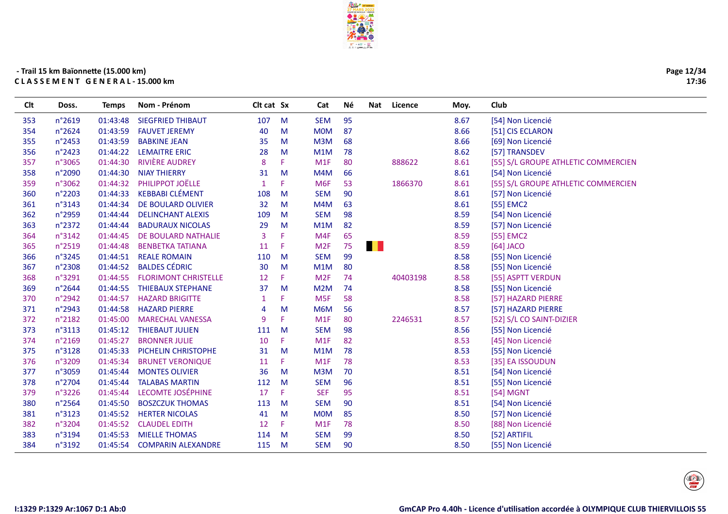

| Page 12/34 |
|------------|
| 17:36      |

| CIt | Doss.  | Temps    | Nom - Prénom                | Cit cat Sx   |              | Cat             | <b>Nè</b> | Nat | Licence  | Moy. | Club                                |
|-----|--------|----------|-----------------------------|--------------|--------------|-----------------|-----------|-----|----------|------|-------------------------------------|
| 353 | n°2619 | 01:43:48 | <b>SIEGFRIED THIBAUT</b>    | 107          | M            | <b>SEM</b>      | 95        |     |          | 8.67 | [54] Non Licencié                   |
| 354 | n°2624 | 01:43:59 | <b>FAUVET JEREMY</b>        | 40           | M            | <b>MOM</b>      | 87        |     |          | 8.66 | [51] CIS ECLARON                    |
| 355 | n°2453 | 01:43:59 | <b>BABKINE JEAN</b>         | 35           | M            | M3M             | 68        |     |          | 8.66 | [69] Non Licencié                   |
| 356 | n°2423 | 01:44:22 | <b>LEMAITRE ERIC</b>        | 28           | M            | M1M             | 78        |     |          | 8.62 | [57] TRANSDEV                       |
| 357 | n°3065 | 01:44:30 | <b>RIVIÈRE AUDREY</b>       | 8            | F            | M1F             | 80        |     | 888622   | 8.61 | [55] S/L GROUPE ATHLETIC COMMERCIEN |
| 358 | n°2090 | 01:44:30 | <b>NIAY THIERRY</b>         | 31           | M            | M4M             | 66        |     |          | 8.61 | [54] Non Licencié                   |
| 359 | n°3062 | 01:44:32 | PHILIPPOT JOËLLE            | $\mathbf{1}$ | F            | M <sub>6F</sub> | 53        |     | 1866370  | 8.61 | [55] S/L GROUPE ATHLETIC COMMERCIEN |
| 360 | n°2203 | 01:44:33 | <b>KEBBABI CLÉMENT</b>      | 108          | M            | <b>SEM</b>      | 90        |     |          | 8.61 | [57] Non Licencié                   |
| 361 | n°3143 | 01:44:34 | DE BOULARD OLIVIER          | 32           | M            | M4M             | 63        |     |          | 8.61 | [55] EMC2                           |
| 362 | n°2959 | 01:44:44 | <b>DELINCHANT ALEXIS</b>    | 109          | M            | <b>SEM</b>      | 98        |     |          | 8.59 | [54] Non Licencié                   |
| 363 | n°2372 | 01:44:44 | <b>BADURAUX NICOLAS</b>     | 29           | M            | M1M             | 82        |     |          | 8.59 | [57] Non Licencié                   |
| 364 | n°3142 | 01:44:45 | DE BOULARD NATHALIE         | 3            | F            | M4F             | 65        |     |          | 8.59 | [55] EMC2                           |
| 365 | n°2519 | 01:44:48 | <b>BENBETKA TATIANA</b>     | 11           | F            | M <sub>2F</sub> | 75        | . . |          | 8.59 | $[64]$ JACO                         |
| 366 | n°3245 | 01:44:51 | <b>REALE ROMAIN</b>         | 110          | M            | <b>SEM</b>      | 99        |     |          | 8.58 | [55] Non Licencié                   |
| 367 | n°2308 | 01:44:52 | <b>BALDES CÉDRIC</b>        | 30           | M            | M1M             | 80        |     |          | 8.58 | [55] Non Licencié                   |
| 368 | n°3291 | 01:44:55 | <b>FLORIMONT CHRISTELLE</b> | 12           | F            | M <sub>2F</sub> | 74        |     | 40403198 | 8.58 | [55] ASPTT VERDUN                   |
| 369 | n°2644 | 01:44:55 | <b>THIEBAUX STEPHANE</b>    | 37           | M            | M2M             | 74        |     |          | 8.58 | [55] Non Licencié                   |
| 370 | n°2942 | 01:44:57 | <b>HAZARD BRIGITTE</b>      | 1            | F            | M <sub>5F</sub> | 58        |     |          | 8.58 | [57] HAZARD PIERRE                  |
| 371 | n°2943 | 01:44:58 | <b>HAZARD PIERRE</b>        | 4            | M            | M6M             | 56        |     |          | 8.57 | [57] HAZARD PIERRE                  |
| 372 | n°2182 | 01:45:00 | <b>MARECHAL VANESSA</b>     | 9            | F            | M1F             | 80        |     | 2246531  | 8.57 | [52] S/L CO SAINT-DIZIER            |
| 373 | n°3113 | 01:45:12 | <b>THIEBAUT JULIEN</b>      | 111          | M            | <b>SEM</b>      | 98        |     |          | 8.56 | [55] Non Licencié                   |
| 374 | n°2169 | 01:45:27 | <b>BRONNER JULIE</b>        | 10           | F            | M1F             | 82        |     |          | 8.53 | [45] Non Licencié                   |
| 375 | n°3128 | 01:45:33 | PICHELIN CHRISTOPHE         | 31           | M            | M1M             | 78        |     |          | 8.53 | [55] Non Licencié                   |
| 376 | n°3209 | 01:45:34 | <b>BRUNET VERONIQUE</b>     | 11           | F            | M1F             | 78        |     |          | 8.53 | [35] EA ISSOUDUN                    |
| 377 | n°3059 | 01:45:44 | <b>MONTES OLIVIER</b>       | 36           | M            | M3M             | 70        |     |          | 8.51 | [54] Non Licencié                   |
| 378 | n°2704 | 01:45:44 | <b>TALABAS MARTIN</b>       | 112          | M            | <b>SEM</b>      | 96        |     |          | 8.51 | [55] Non Licencié                   |
| 379 | n°3226 | 01:45:44 | LECOMTE JOSÉPHINE           | 17           | F            | <b>SEF</b>      | 95        |     |          | 8.51 | [54] MGNT                           |
| 380 | n°2564 | 01:45:50 | <b>BOSZCZUK THOMAS</b>      | 113          | M            | <b>SEM</b>      | 90        |     |          | 8.51 | [54] Non Licencié                   |
| 381 | n°3123 | 01:45:52 | <b>HERTER NICOLAS</b>       | 41           | M            | <b>MOM</b>      | 85        |     |          | 8.50 | [57] Non Licencié                   |
| 382 | n°3204 | 01:45:52 | <b>CLAUDEL EDITH</b>        | 12           | F            | M1F             | 78        |     |          | 8.50 | [88] Non Licencié                   |
| 383 | n°3194 | 01:45:53 | <b>MIELLE THOMAS</b>        | 114          | $\mathsf{M}$ | <b>SEM</b>      | 99        |     |          | 8.50 | [52] ARTIFIL                        |
| 384 | n°3192 | 01:45:54 | <b>COMPARIN ALEXANDRE</b>   | 115          | M            | <b>SEM</b>      | 90        |     |          | 8.50 | [55] Non Licencié                   |
|     |        |          |                             |              |              |                 |           |     |          |      |                                     |

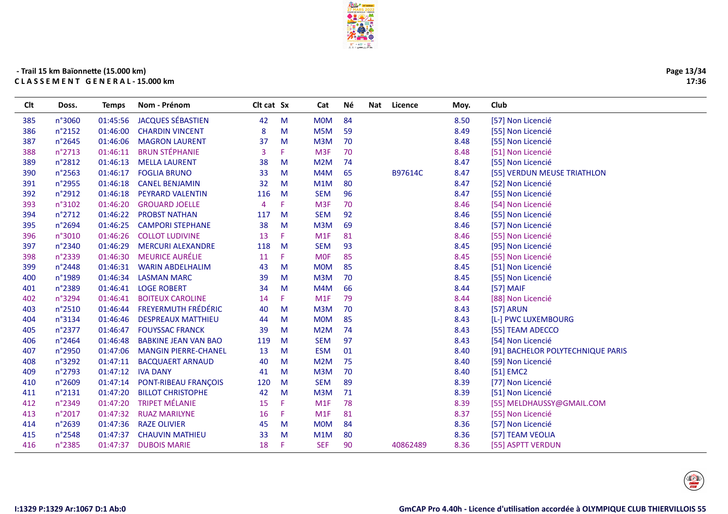

| Page 13/34 |
|------------|
| 17:36      |

| Clt | Doss.            | <b>Temps</b> | Nom - Prénom                | Clt cat Sx |    | Cat              | Νé | Nat<br>Licence | Moy. | Club                              |
|-----|------------------|--------------|-----------------------------|------------|----|------------------|----|----------------|------|-----------------------------------|
| 385 | n°3060           | 01:45:56     | <b>JACQUES SÉBASTIEN</b>    | 42         | M  | <b>MOM</b>       | 84 |                | 8.50 | [57] Non Licencié                 |
| 386 | n°2152           | 01:46:00     | <b>CHARDIN VINCENT</b>      | 8          | M  | M5M              | 59 |                | 8.49 | [55] Non Licencié                 |
| 387 | n°2645           | 01:46:06     | <b>MAGRON LAURENT</b>       | 37         | M  | M3M              | 70 |                | 8.48 | [55] Non Licencié                 |
| 388 | n°2713           | 01:46:11     | <b>BRUN STÉPHANIE</b>       | 3          |    | M <sub>3F</sub>  | 70 |                | 8.48 | [51] Non Licencié                 |
| 389 | n°2812           | 01:46:13     | <b>MELLA LAURENT</b>        | 38         | M  | M2M              | 74 |                | 8.47 | [55] Non Licencié                 |
| 390 | n°2563           | 01:46:17     | <b>FOGLIA BRUNO</b>         | 33         | M  | M4M              | 65 | B97614C        | 8.47 | [55] VERDUN MEUSE TRIATHLON       |
| 391 | n°2955           | 01:46:18     | <b>CANEL BENJAMIN</b>       | 32         | M  | M1M              | 80 |                | 8.47 | [52] Non Licencié                 |
| 392 | n°2912           | 01:46:18     | PEYRARD VALENTIN            | 116        | M  | <b>SEM</b>       | 96 |                | 8.47 | [55] Non Licencié                 |
| 393 | n°3102           | 01:46:20     | <b>GROUARD JOELLE</b>       | 4          | F  | M <sub>3F</sub>  | 70 |                | 8.46 | [54] Non Licencié                 |
| 394 | n°2712           | 01:46:22     | <b>PROBST NATHAN</b>        | 117        | M  | <b>SEM</b>       | 92 |                | 8.46 | [55] Non Licencié                 |
| 395 | n°2694           | 01:46:25     | <b>CAMPORI STEPHANE</b>     | 38         | M  | M3M              | 69 |                | 8.46 | [57] Non Licencié                 |
| 396 | n°3010           | 01:46:26     | <b>COLLOT LUDIVINE</b>      | 13         | F  | M <sub>1</sub> F | 81 |                | 8.46 | [55] Non Licencié                 |
| 397 | n°2340           | 01:46:29     | <b>MERCURI ALEXANDRE</b>    | 118        | M  | <b>SEM</b>       | 93 |                | 8.45 | [95] Non Licencié                 |
| 398 | n°2339           | 01:46:30     | <b>MEURICE AURÉLIE</b>      | 11         | F  | <b>MOF</b>       | 85 |                | 8.45 | [55] Non Licencié                 |
| 399 | n°2448           | 01:46:31     | <b>WARIN ABDELHALIM</b>     | 43         | M  | <b>MOM</b>       | 85 |                | 8.45 | [51] Non Licencié                 |
| 400 | n°1989           | 01:46:34     | <b>LASMAN MARC</b>          | 39         | M  | M3M              | 70 |                | 8.45 | [55] Non Licencié                 |
| 401 | n°2389           | 01:46:41     | <b>LOGE ROBERT</b>          | 34         | M  | M4M              | 66 |                | 8.44 | [57] MAIF                         |
| 402 | n°3294           | 01:46:41     | <b>BOITEUX CAROLINE</b>     | 14         | F  | M <sub>1</sub> F | 79 |                | 8.44 | [88] Non Licencié                 |
| 403 | n°2510           | 01:46:44     | <b>FREYERMUTH FRÉDÉRIC</b>  | 40         | M  | M3M              | 70 |                | 8.43 | [57] ARUN                         |
| 404 | n°3134           | 01:46:46     | <b>DESPREAUX MATTHIEU</b>   | 44         | M  | <b>MOM</b>       | 85 |                | 8.43 | [L-] PWC LUXEMBOURG               |
| 405 | n°2377           | 01:46:47     | <b>FOUYSSAC FRANCK</b>      | 39         | M  | M2M              | 74 |                | 8.43 | [55] TEAM ADECCO                  |
| 406 | n°2464           | 01:46:48     | <b>BABKINE JEAN VAN BAO</b> | 119        | M  | <b>SEM</b>       | 97 |                | 8.43 | [54] Non Licencié                 |
| 407 | n°2950           | 01:47:06     | <b>MANGIN PIERRE-CHANEL</b> | 13         | M  | <b>ESM</b>       | 01 |                | 8.40 | [91] BACHELOR POLYTECHNIQUE PARIS |
| 408 | n°3292           | 01:47:11     | <b>BACQUAERT ARNAUD</b>     | 40         | M  | M2M              | 75 |                | 8.40 | [59] Non Licencié                 |
| 409 | n°2793           | 01:47:12     | <b>IVA DANY</b>             | 41         | M  | M3M              | 70 |                | 8.40 | [51] EMC2                         |
| 410 | n°2609           | 01:47:14     | PONT-RIBEAU FRANÇOIS        | 120        | M  | <b>SEM</b>       | 89 |                | 8.39 | [77] Non Licencié                 |
| 411 | n°2131           | 01:47:20     | <b>BILLOT CHRISTOPHE</b>    | 42         | M  | M3M              | 71 |                | 8.39 | [51] Non Licencié                 |
| 412 | n°2349           | 01:47:20     | <b>TRIPET MÉLANIE</b>       | 15         | F  | M1F              | 78 |                | 8.39 | [55] MELDHAUSSY@GMAIL.COM         |
| 413 | n°2017           | 01:47:32     | <b>RUAZ MARILYNE</b>        | 16         | F. | M <sub>1</sub> F | 81 |                | 8.37 | [55] Non Licencié                 |
| 414 | n°2639           | 01:47:36     | <b>RAZE OLIVIER</b>         | 45         | M  | <b>MOM</b>       | 84 |                | 8.36 | [57] Non Licencié                 |
| 415 | $n^{\circ}$ 2548 | 01:47:37     | <b>CHAUVIN MATHIEU</b>      | 33         | M  | M1M              | 80 |                | 8.36 | [57] TEAM VEOLIA                  |
| 416 | n°2385           | 01:47:37     | <b>DUBOIS MARIE</b>         | 18         | Æ  | <b>SEF</b>       | 90 | 40862489       | 8.36 | [55] ASPTT VERDUN                 |
|     |                  |              |                             |            |    |                  |    |                |      |                                   |

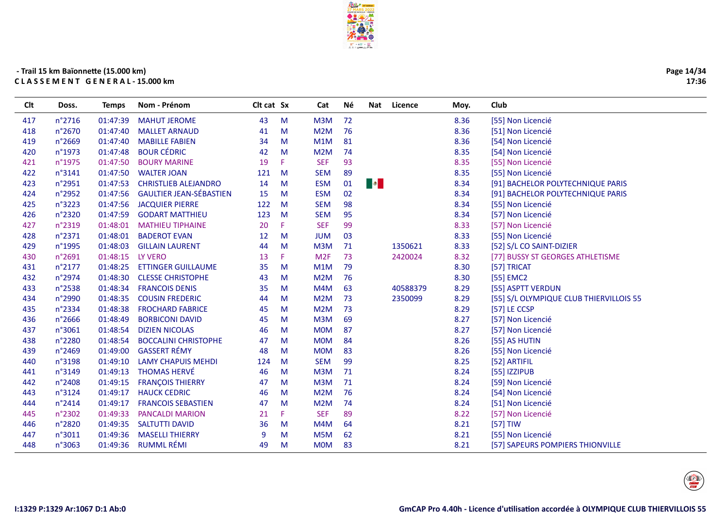

| Page 14/34 |
|------------|
| 17:36      |

| Clt | Doss.  | <b>Temps</b> | Nom - Prénom                   | Clt cat Sx |    | Cat             | Νé | Nat       | Licence  | Moy. | Club                                    |
|-----|--------|--------------|--------------------------------|------------|----|-----------------|----|-----------|----------|------|-----------------------------------------|
| 417 | n°2716 | 01:47:39     | <b>MAHUT JEROME</b>            | 43         | M  | M3M             | 72 |           |          | 8.36 | [55] Non Licencié                       |
| 418 | n°2670 | 01:47:40     | <b>MALLET ARNAUD</b>           | 41         | M  | M2M             | 76 |           |          | 8.36 | [51] Non Licencié                       |
| 419 | n°2669 | 01:47:40     | <b>MABILLE FABIEN</b>          | 34         | M  | M1M             | 81 |           |          | 8.36 | [54] Non Licencié                       |
| 420 | n°1973 | 01:47:48     | <b>BOUR CÉDRIC</b>             | 42         | M  | M2M             | 74 |           |          | 8.35 | [54] Non Licencié                       |
| 421 | n°1975 | 01:47:50     | <b>BOURY MARINE</b>            | 19         | F  | <b>SEF</b>      | 93 |           |          | 8.35 | [55] Non Licencié                       |
| 422 | n°3141 | 01:47:50     | <b>WALTER JOAN</b>             | 121        | M  | <b>SEM</b>      | 89 |           |          | 8.35 | [55] Non Licencié                       |
| 423 | n°2951 | 01:47:53     | <b>CHRISTLIEB ALEJANDRO</b>    | 14         | M  | <b>ESM</b>      | 01 | $\bullet$ |          | 8.34 | [91] BACHELOR POLYTECHNIQUE PARIS       |
| 424 | n°2952 | 01:47:56     | <b>GAULTIER JEAN-SÉBASTIEN</b> | 15         | M  | <b>ESM</b>      | 02 |           |          | 8.34 | [91] BACHELOR POLYTECHNIQUE PARIS       |
| 425 | n°3223 | 01:47:56     | <b>JACQUIER PIERRE</b>         | 122        | M  | <b>SEM</b>      | 98 |           |          | 8.34 | [55] Non Licencié                       |
| 426 | n°2320 | 01:47:59     | <b>GODART MATTHIEU</b>         | 123        | M  | <b>SEM</b>      | 95 |           |          | 8.34 | [57] Non Licencié                       |
| 427 | n°2319 | 01:48:01     | <b>MATHIEU TIPHAINE</b>        | 20         | F  | <b>SEF</b>      | 99 |           |          | 8.33 | [57] Non Licencié                       |
| 428 | n°2371 | 01:48:01     | <b>BADEROT EVAN</b>            | 12         | M  | <b>JUM</b>      | 03 |           |          | 8.33 | [55] Non Licencié                       |
| 429 | n°1995 | 01:48:03     | <b>GILLAIN LAURENT</b>         | 44         | M  | M3M             | 71 |           | 1350621  | 8.33 | [52] S/L CO SAINT-DIZIER                |
| 430 | n°2691 | 01:48:15     | LY VERO                        | 13         | F. | M <sub>2F</sub> | 73 |           | 2420024  | 8.32 | [77] BUSSY ST GEORGES ATHLETISME        |
| 431 | n°2177 | 01:48:25     | <b>ETTINGER GUILLAUME</b>      | 35         | M  | M1M             | 79 |           |          | 8.30 | [57] TRICAT                             |
| 432 | n°2974 | 01:48:30     | <b>CLESSE CHRISTOPHE</b>       | 43         | M  | M2M             | 76 |           |          | 8.30 | [55] EMC2                               |
| 433 | n°2538 | 01:48:34     | <b>FRANCOIS DENIS</b>          | 35         | M  | M4M             | 63 |           | 40588379 | 8.29 | [55] ASPTT VERDUN                       |
| 434 | n°2990 | 01:48:35     | <b>COUSIN FREDERIC</b>         | 44         | M  | M2M             | 73 |           | 2350099  | 8.29 | [55] S/L OLYMPIQUE CLUB THIERVILLOIS 55 |
| 435 | n°2334 | 01:48:38     | <b>FROCHARD FABRICE</b>        | 45         | M  | M2M             | 73 |           |          | 8.29 | $[57]$ LE CCSP                          |
| 436 | n°2666 | 01:48:49     | <b>BORBICONI DAVID</b>         | 45         | M  | M3M             | 69 |           |          | 8.27 | [57] Non Licencié                       |
| 437 | n°3061 | 01:48:54     | <b>DIZIEN NICOLAS</b>          | 46         | M  | <b>MOM</b>      | 87 |           |          | 8.27 | [57] Non Licencié                       |
| 438 | n°2280 | 01:48:54     | <b>BOCCALINI CHRISTOPHE</b>    | 47         | M  | <b>MOM</b>      | 84 |           |          | 8.26 | [55] AS HUTIN                           |
| 439 | n°2469 | 01:49:00     | <b>GASSERT RÉMY</b>            | 48         | M  | <b>MOM</b>      | 83 |           |          | 8.26 | [55] Non Licencié                       |
| 440 | n°3198 | 01:49:10     | <b>LAMY CHAPUIS MEHDI</b>      | 124        | M  | <b>SEM</b>      | 99 |           |          | 8.25 | [52] ARTIFIL                            |
| 441 | n°3149 | 01:49:13     | <b>THOMAS HERVÉ</b>            | 46         | M  | M3M             | 71 |           |          | 8.24 | [55] IZZIPUB                            |
| 442 | n°2408 | 01:49:15     | <b>FRANÇOIS THIERRY</b>        | 47         | M  | M3M             | 71 |           |          | 8.24 | [59] Non Licencié                       |
| 443 | n°3124 | 01:49:17     | <b>HAUCK CEDRIC</b>            | 46         | M  | M2M             | 76 |           |          | 8.24 | [54] Non Licencié                       |
| 444 | n°2414 | 01:49:17     | <b>FRANCOIS SEBASTIEN</b>      | 47         | M  | M2M             | 74 |           |          | 8.24 | [51] Non Licencié                       |
| 445 | n°2302 | 01:49:33     | <b>PANCALDI MARION</b>         | 21         | F  | <b>SEF</b>      | 89 |           |          | 8.22 | [57] Non Licencié                       |
| 446 | n°2820 | 01:49:35     | <b>SALTUTTI DAVID</b>          | 36         | M  | M4M             | 64 |           |          | 8.21 | $[57]$ TIW                              |
| 447 | n°3011 | 01:49:36     | <b>MASELLI THIERRY</b>         | 9          | M  | M5M             | 62 |           |          | 8.21 | [55] Non Licencié                       |
| 448 | n°3063 | 01:49:36     | <b>RUMML RÉMI</b>              | 49         | M  | <b>MOM</b>      | 83 |           |          | 8.21 | [57] SAPEURS POMPIERS THIONVILLE        |
|     |        |              |                                |            |    |                 |    |           |          |      |                                         |

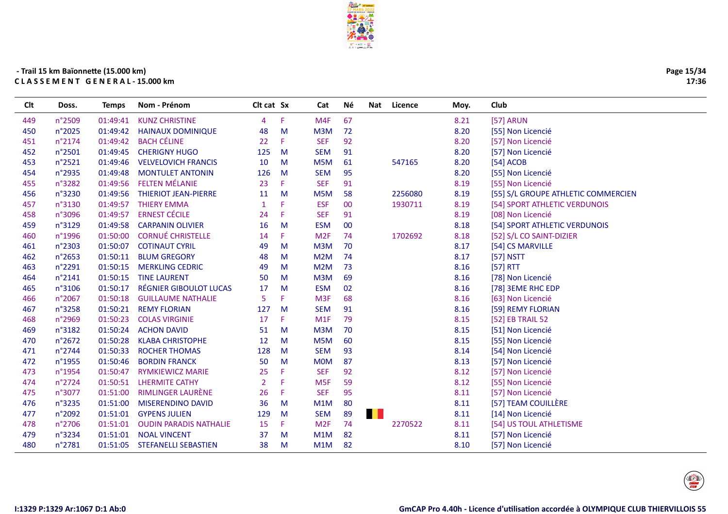

Né

Cat

Nat Licence

Moy.

Club

Clt cat Sx

# - Trail 15 km Baïonnette (15.000 km) CLASSEMENT GENERAL-15.000 km

Doss.

**Temps** 

Nom - Prénom

**Clt** 

| 449 | n°2509          | 01:49:41 | <b>KUNZ CHRISTINE</b>         | 4              | F. | M4F              | 67     |         | 8.21 | [57] ARUN                           |
|-----|-----------------|----------|-------------------------------|----------------|----|------------------|--------|---------|------|-------------------------------------|
| 450 | n°2025          | 01:49:42 | <b>HAINAUX DOMINIQUE</b>      | 48             | M  | M3M              | 72     |         | 8.20 | [55] Non Licencié                   |
| 451 | n°2174          | 01:49:42 | <b>BACH CÉLINE</b>            | 22             | F. | <b>SEF</b>       | 92     |         | 8.20 | [57] Non Licencié                   |
| 452 | n°2501          | 01:49:45 | <b>CHERIGNY HUGO</b>          | 125            | M  | <b>SEM</b>       | 91     |         | 8.20 | [57] Non Licencié                   |
| 453 | n°2521          | 01:49:46 | <b>VELVELOVICH FRANCIS</b>    | 10             | M  | M <sub>5</sub> M | 61     | 547165  | 8.20 | [54] ACOB                           |
| 454 | n°2935          | 01:49:48 | <b>MONTULET ANTONIN</b>       | 126            | M  | <b>SEM</b>       | 95     |         | 8.20 | [55] Non Licencié                   |
| 455 | n°3282          | 01:49:56 | <b>FELTEN MÉLANIE</b>         | 23             | F. | <b>SEF</b>       | 91     |         | 8.19 | [55] Non Licencié                   |
| 456 | n°3230          | 01:49:56 | <b>THIERIOT JEAN-PIERRE</b>   | 11             | M  | M5M              | 58     | 2256080 | 8.19 | [55] S/L GROUPE ATHLETIC COMMERCIEN |
| 457 | n°3130          | 01:49:57 | <b>THIERY EMMA</b>            | $\mathbf{1}$   | F  | <b>ESF</b>       | $00\,$ | 1930711 | 8.19 | [54] SPORT ATHLETIC VERDUNOIS       |
| 458 | n°3096          | 01:49:57 | <b>ERNEST CÉCILE</b>          | 24             | F. | <b>SEF</b>       | 91     |         | 8.19 | [08] Non Licencié                   |
| 459 | n°3129          | 01:49:58 | <b>CARPANIN OLIVIER</b>       | 16             | M  | <b>ESM</b>       | $00\,$ |         | 8.18 | [54] SPORT ATHLETIC VERDUNOIS       |
| 460 | n°1996          | 01:50:00 | <b>CORNUÉ CHRISTELLE</b>      | 14             | F. | M <sub>2F</sub>  | 74     | 1702692 | 8.18 | [52] S/L CO SAINT-DIZIER            |
| 461 | n°2303          | 01:50:07 | <b>COTINAUT CYRIL</b>         | 49             | M  | M3M              | 70     |         | 8.17 | [54] CS MARVILLE                    |
| 462 | $n^{\circ}2653$ | 01:50:11 | <b>BLUM GREGORY</b>           | 48             | M  | M <sub>2</sub> M | 74     |         | 8.17 | [57] NSTT                           |
| 463 | n°2291          | 01:50:15 | <b>MERKLING CEDRIC</b>        | 49             | M  | M <sub>2</sub> M | 73     |         | 8.16 | [57] RTT                            |
| 464 | n°2141          | 01:50:15 | <b>TINE LAURENT</b>           | 50             | M  | M3M              | 69     |         | 8.16 | [78] Non Licencié                   |
| 465 | n°3106          | 01:50:17 | RÉGNIER GIBOULOT LUCAS        | 17             | M  | <b>ESM</b>       | 02     |         | 8.16 | [78] 3EME RHC EDP                   |
| 466 | n°2067          | 01:50:18 | <b>GUILLAUME NATHALIE</b>     | 5              | F  | M <sub>3F</sub>  | 68     |         | 8.16 | [63] Non Licencié                   |
| 467 | n°3258          | 01:50:21 | <b>REMY FLORIAN</b>           | 127            | M  | <b>SEM</b>       | 91     |         | 8.16 | [59] REMY FLORIAN                   |
| 468 | n°2969          | 01:50:23 | <b>COLAS VIRGINIE</b>         | 17             | F. | M1F              | 79     |         | 8.15 | [52] EB TRAIL 52                    |
| 469 | n°3182          | 01:50:24 | <b>ACHON DAVID</b>            | 51             | M  | M3M              | 70     |         | 8.15 | [51] Non Licencié                   |
| 470 | n°2672          | 01:50:28 | <b>KLABA CHRISTOPHE</b>       | 12             | M  | M <sub>5</sub> M | 60     |         | 8.15 | [55] Non Licencié                   |
| 471 | n°2744          | 01:50:33 | <b>ROCHER THOMAS</b>          | 128            | M  | <b>SEM</b>       | 93     |         | 8.14 | [54] Non Licencié                   |
| 472 | n°1955          | 01:50:46 | <b>BORDIN FRANCK</b>          | 50             | M  | <b>MOM</b>       | 87     |         | 8.13 | [57] Non Licencié                   |
| 473 | n°1954          | 01:50:47 | <b>RYMKIEWICZ MARIE</b>       | 25             | F  | <b>SEF</b>       | 92     |         | 8.12 | [57] Non Licencié                   |
| 474 | n°2724          | 01:50:51 | <b>LHERMITE CATHY</b>         | $\overline{2}$ | F  | M <sub>5F</sub>  | 59     |         | 8.12 | [55] Non Licencié                   |
| 475 | n°3077          | 01:51:00 | <b>RIMLINGER LAURÈNE</b>      | 26             | F. | <b>SEF</b>       | 95     |         | 8.11 | [57] Non Licencié                   |
| 476 | n°3235          | 01:51:00 | <b>MISERENDINO DAVID</b>      | 36             | M  | M1M              | 80     |         | 8.11 | [57] TEAM COUILLÈRE                 |
| 477 | n°2092          | 01:51:01 | <b>GYPENS JULIEN</b>          | 129            | M  | <b>SEM</b>       | 89     |         | 8.11 | [14] Non Licencié                   |
| 478 | n°2706          | 01:51:01 | <b>OUDIN PARADIS NATHALIE</b> | 15             | F. | M <sub>2F</sub>  | 74     | 2270522 | 8.11 | [54] US TOUL ATHLETISME             |
| 479 | n°3234          | 01:51:01 | <b>NOAL VINCENT</b>           | 37             | M  | M1M              | 82     |         | 8.11 | [57] Non Licencié                   |
| 480 | n°2781          | 01:51:05 | <b>STEFANELLI SEBASTIEN</b>   | 38             | M  | M1M              | 82     |         | 8.10 | [57] Non Licencié                   |
|     |                 |          |                               |                |    |                  |        |         |      |                                     |

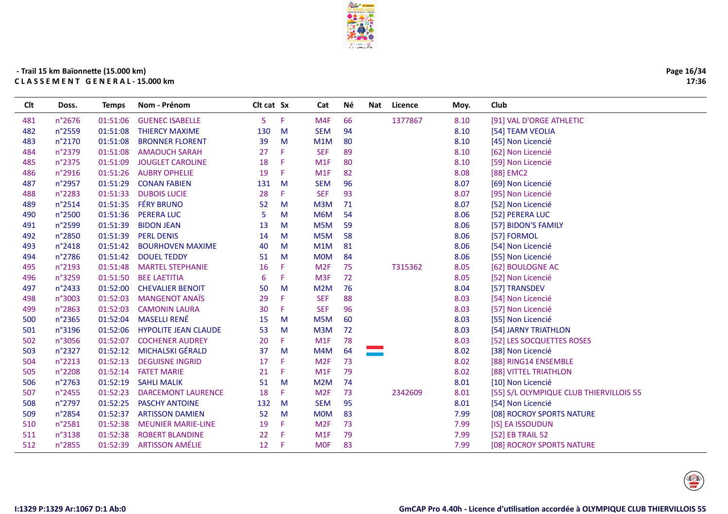

| Page 16/34 |
|------------|
| 17:36      |

| <b>Clt</b> | Doss.  | <b>Temps</b> | Nom - Prénom                | Clt cat Sx |    | Cat              | Né | <b>Nat</b> | Licence | Moy. | Club                                    |
|------------|--------|--------------|-----------------------------|------------|----|------------------|----|------------|---------|------|-----------------------------------------|
| 481        | n°2676 | 01:51:06     | <b>GUENEC ISABELLE</b>      | 5          | F  | M <sub>4F</sub>  | 66 |            | 1377867 | 8.10 | [91] VAL D'ORGE ATHLETIC                |
| 482        | n°2559 | 01:51:08     | <b>THIERCY MAXIME</b>       | 130        | M  | <b>SEM</b>       | 94 |            |         | 8.10 | [54] TEAM VEOLIA                        |
| 483        | n°2170 | 01:51:08     | <b>BRONNER FLORENT</b>      | 39         | M  | M1M              | 80 |            |         | 8.10 | [45] Non Licencié                       |
| 484        | n°2379 | 01:51:08     | <b>AMAOUCH SARAH</b>        | 27         | F  | <b>SEF</b>       | 89 |            |         | 8.10 | [62] Non Licencié                       |
| 485        | n°2375 | 01:51:09     | <b>JOUGLET CAROLINE</b>     | 18         | F  | M1F              | 80 |            |         | 8.10 | [59] Non Licencié                       |
| 486        | n°2916 | 01:51:26     | <b>AUBRY OPHELIE</b>        | 19         | F  | M <sub>1</sub> F | 82 |            |         | 8.08 | [88] EMC2                               |
| 487        | n°2957 | 01:51:29     | <b>CONAN FABIEN</b>         | 131        | M  | <b>SEM</b>       | 96 |            |         | 8.07 | [69] Non Licencié                       |
| 488        | n°2283 | 01:51:33     | <b>DUBOIS LUCIE</b>         | 28         | F. | <b>SEF</b>       | 93 |            |         | 8.07 | [95] Non Licencié                       |
| 489        | n°2514 | 01:51:35     | <b>FÉRY BRUNO</b>           | 52         | M  | M <sub>3</sub> M | 71 |            |         | 8.07 | [52] Non Licencié                       |
| 490        | n°2500 | 01:51:36     | <b>PERERA LUC</b>           | 5          | M  | M6M              | 54 |            |         | 8.06 | [52] PERERA LUC                         |
| 491        | n°2599 | 01:51:39     | <b>BIDON JEAN</b>           | 13         | M  | M <sub>5</sub> M | 59 |            |         | 8.06 | [57] BIDON'S FAMILY                     |
| 492        | n°2850 | 01:51:39     | <b>PERL DENIS</b>           | 14         | M  | M5M              | 58 |            |         | 8.06 | [57] FORMOL                             |
| 493        | n°2418 | 01:51:42     | <b>BOURHOVEN MAXIME</b>     | 40         | M  | M1M              | 81 |            |         | 8.06 | [54] Non Licencié                       |
| 494        | n°2786 | 01:51:42     | <b>DOUEL TEDDY</b>          | 51         | M  | <b>MOM</b>       | 84 |            |         | 8.06 | [55] Non Licencié                       |
| 495        | n°2193 | 01:51:48     | <b>MARTEL STEPHANIE</b>     | 16         | F  | M <sub>2F</sub>  | 75 |            | T315362 | 8.05 | [62] BOULOGNE AC                        |
| 496        | n°3259 | 01:51:50     | <b>BEE LAETITIA</b>         | 6          | F  | M <sub>3F</sub>  | 72 |            |         | 8.05 | [52] Non Licencié                       |
| 497        | n°2433 | 01:52:00     | <b>CHEVALIER BENOIT</b>     | 50         | M  | M <sub>2</sub> M | 76 |            |         | 8.04 | [57] TRANSDEV                           |
| 498        | n°3003 | 01:52:03     | <b>MANGENOT ANAÏS</b>       | 29         | F  | <b>SEF</b>       | 88 |            |         | 8.03 | [54] Non Licencié                       |
| 499        | n°2863 | 01:52:03     | <b>CAMONIN LAURA</b>        | 30         | F  | <b>SEF</b>       | 96 |            |         | 8.03 | [57] Non Licencié                       |
| 500        | n°2365 | 01:52:04     | <b>MASELLI RENÉ</b>         | 15         | M  | M <sub>5</sub> M | 60 |            |         | 8.03 | [55] Non Licencié                       |
| 501        | n°3196 | 01:52:06     | <b>HYPOLITE JEAN CLAUDE</b> | 53         | M  | M3M              | 72 |            |         | 8.03 | [54] JARNY TRIATHLON                    |
| 502        | n°3056 | 01:52:07     | <b>COCHENER AUDREY</b>      | 20         | F. | M1F              | 78 |            |         | 8.03 | [52] LES SOCQUETTES ROSES               |
| 503        | n°2327 | 01:52:12     | <b>MICHALSKI GÉRALD</b>     | 37         | M  | M4M              | 64 |            |         | 8.02 | [38] Non Licencié                       |
| 504        | n°2213 | 01:52:13     | <b>DEGUISNE INGRID</b>      | 17         | F  | M <sub>2F</sub>  | 73 |            |         | 8.02 | [88] RING14 ENSEMBLE                    |
| 505        | n°2208 | 01:52:14     | <b>FATET MARIE</b>          | 21         | F  | M <sub>1</sub> F | 79 |            |         | 8.02 | [88] VITTEL TRIATHLON                   |
| 506        | n°2763 | 01:52:19     | <b>SAHLI MALIK</b>          | 51         | M  | M <sub>2</sub> M | 74 |            |         | 8.01 | [10] Non Licencié                       |
| 507        | n°2455 | 01:52:23     | <b>DARCEMONT LAURENCE</b>   | 18         | F  | M <sub>2F</sub>  | 73 |            | 2342609 | 8.01 | [55] S/L OLYMPIQUE CLUB THIERVILLOIS 55 |
| 508        | n°2797 | 01:52:25     | <b>PASCHY ANTOINE</b>       | 132        | M  | <b>SEM</b>       | 95 |            |         | 8.01 | [54] Non Licencié                       |
| 509        | n°2854 | 01:52:37     | <b>ARTISSON DAMIEN</b>      | 52         | M  | <b>MOM</b>       | 83 |            |         | 7.99 | [08] ROCROY SPORTS NATURE               |
| 510        | n°2581 | 01:52:38     | <b>MEUNIER MARIE-LINE</b>   | 19         | F  | M <sub>2F</sub>  | 73 |            |         | 7.99 | [IS] EA ISSOUDUN                        |
| 511        | n°3138 | 01:52:38     | <b>ROBERT BLANDINE</b>      | 22         | F  | M <sub>1</sub> F | 79 |            |         | 7.99 | [52] EB TRAIL 52                        |
| 512        | n°2855 | 01:52:39     | <b>ARTISSON AMÉLIE</b>      | 12         | -F | <b>MOF</b>       | 83 |            |         | 7.99 | [08] ROCROY SPORTS NATURE               |
|            |        |              |                             |            |    |                  |    |            |         |      |                                         |

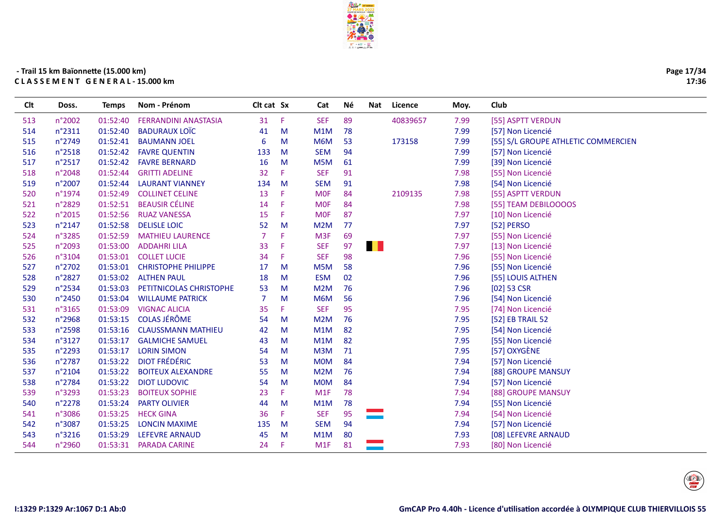

| Page 17/34 |
|------------|
| 17:36      |

| <b>SEF</b><br>89<br>513<br>n°2002<br>01:52:40<br>F<br>40839657<br>7.99<br><b>FERRANDINI ANASTASIA</b><br>31<br>[55] ASPTT VERDUN<br><b>BADURAUX LOÏC</b><br>514<br>n°2311<br>01:52:40<br>M1M<br>78<br>7.99<br>[57] Non Licencié<br>M<br>41<br>515<br>n°2749<br>01:52:41<br><b>BAUMANN JOEL</b><br>6<br>M6M<br>53<br>173158<br>7.99<br>[55] S/L GROUPE ATHLETIC COMMERCIEN<br>M<br>516<br>01:52:42<br><b>FAVRE QUENTIN</b><br><b>SEM</b><br>94<br>n°2518<br>133<br>M<br>7.99<br>[57] Non Licencié<br>517<br>n°2517<br>01:52:42<br><b>FAVRE BERNARD</b><br>16<br>M <sub>5</sub> M<br>7.99<br>[39] Non Licencié<br>61<br>M<br><b>SEF</b><br>91<br>7.98<br>518<br>n°2048<br>01:52:44<br><b>GRITTI ADELINE</b><br>32<br>F.<br>[55] Non Licencié<br>01:52:44<br>7.98<br>519<br>n°2007<br><b>LAURANT VIANNEY</b><br>134<br>M<br><b>SEM</b><br>91<br>[54] Non Licencié<br>2109135<br>520<br>n°1974<br>01:52:49<br><b>COLLINET CELINE</b><br>13<br>Æ<br><b>MOF</b><br>84<br>7.98<br>[55] ASPTT VERDUN<br><b>BEAUSIR CÉLINE</b><br>01:52:51<br>-F<br>7.98<br>521<br>n°2829<br>14<br><b>MOF</b><br>84<br>[55] TEAM DEBILOOOOS<br>01:52:56<br>F<br>87<br>7.97<br>522<br>n°2015<br><b>RUAZ VANESSA</b><br>15<br><b>MOF</b><br>[10] Non Licencié<br>7.97<br>523<br>n°2147<br>01:52:58<br><b>DELISLE LOIC</b><br>M <sub>2</sub> M<br>[52] PERSO<br>52<br>M<br>77<br>01:52:59<br>$\overline{7}$<br>F<br>69<br>7.97<br>524<br>n°3285<br><b>MATHIEU LAURENCE</b><br>M <sub>3F</sub><br>[55] Non Licencié<br>H<br>n°2093<br>01:53:00<br><b>ADDAHRI LILA</b><br>F<br>97<br>7.97<br>525<br>33<br><b>SEF</b><br>[13] Non Licencié<br>01:53:01<br><b>COLLET LUCIE</b><br>F.<br><b>SEF</b><br>98<br>7.96<br>526<br>n°3104<br>34<br>[55] Non Licencié<br>527<br>n°2702<br>01:53:01<br><b>CHRISTOPHE PHILIPPE</b><br>17<br>M5M<br>58<br>7.96<br>[55] Non Licencié<br>M<br>n°2827<br>01:53:02<br><b>ESM</b><br>02<br>7.96<br>528<br><b>ALTHEN PAUL</b><br>18<br>[55] LOUIS ALTHEN<br>M<br>529<br>n°2534<br>01:53:03<br>PETITNICOLAS CHRISTOPHE<br>M <sub>2</sub> M<br>76<br>7.96<br>$[02]$ 53 CSR<br>53<br>M<br>7.96<br>530<br>n°2450<br>01:53:04<br><b>WILLAUME PATRICK</b><br>7<br>M6M<br>56<br>[54] Non Licencié<br>M<br>95<br>01:53:09<br><b>VIGNAC ALICIA</b><br><b>SEF</b><br>7.95<br>531<br>n°3165<br>35<br>F.<br>[74] Non Licencié<br><b>COLAS JÉRÔME</b><br>532<br>n°2968<br>01:53:15<br>54<br>M2M<br>76<br>7.95<br>M<br>[52] EB TRAIL 52<br><b>CLAUSSMANN MATHIEU</b><br>82<br>7.95<br>533<br>n°2598<br>01:53:16<br>M1M<br>[54] Non Licencié<br>42<br>M<br>82<br>7.95<br>[55] Non Licencié<br>534<br>n°3127<br>01:53:17<br><b>GALMICHE SAMUEL</b><br>43<br>M<br>M1M<br>[57] OXYGÈNE<br>535<br>n°2293<br>01:53:17<br><b>LORIN SIMON</b><br>M3M<br>71<br>7.95<br>54<br>M<br><b>DIOT FRÉDÉRIC</b><br>01:53:22<br><b>MOM</b><br>84<br>536<br>n°2787<br>7.94<br>[57] Non Licencié<br>53<br>M<br>537<br>01:53:22<br>M2M<br>76<br>7.94<br>n°2104<br><b>BOITEUX ALEXANDRE</b><br>55<br>M<br>[88] GROUPE MANSUY<br>538<br>01:53:22<br><b>DIOT LUDOVIC</b><br><b>MOM</b><br>84<br>7.94<br>n°2784<br>54<br>M<br>[57] Non Licencié<br>539<br>n°3293<br>01:53:23<br><b>BOITEUX SOPHIE</b><br>F.<br>M1F<br>78<br>7.94<br>[88] GROUPE MANSUY<br>23<br>01:53:24<br><b>PARTY OLIVIER</b><br>78<br>7.94<br>540<br>n°2278<br>M<br>[55] Non Licencié<br>44<br>M1M<br>95<br>n°3086<br>01:53:25<br><b>HECK GINA</b><br>F<br><b>SEF</b><br>7.94<br>541<br>36<br>[54] Non Licencié<br>542<br>n°3087<br>01:53:25<br><b>SEM</b><br>94<br>7.94<br>[57] Non Licencié<br><b>LONCIN MAXIME</b><br>135<br>M<br>543<br>n°3216<br>01:53:29<br><b>LEFEVRE ARNAUD</b><br>80<br>7.93<br>[08] LEFEVRE ARNAUD<br>45<br>M<br>M1M | <b>Clt</b> | Doss. | <b>Temps</b> | Nom - Prénom | Clt cat Sx | Cat | Né | Nat | Licence | Moy. | Club |
|--------------------------------------------------------------------------------------------------------------------------------------------------------------------------------------------------------------------------------------------------------------------------------------------------------------------------------------------------------------------------------------------------------------------------------------------------------------------------------------------------------------------------------------------------------------------------------------------------------------------------------------------------------------------------------------------------------------------------------------------------------------------------------------------------------------------------------------------------------------------------------------------------------------------------------------------------------------------------------------------------------------------------------------------------------------------------------------------------------------------------------------------------------------------------------------------------------------------------------------------------------------------------------------------------------------------------------------------------------------------------------------------------------------------------------------------------------------------------------------------------------------------------------------------------------------------------------------------------------------------------------------------------------------------------------------------------------------------------------------------------------------------------------------------------------------------------------------------------------------------------------------------------------------------------------------------------------------------------------------------------------------------------------------------------------------------------------------------------------------------------------------------------------------------------------------------------------------------------------------------------------------------------------------------------------------------------------------------------------------------------------------------------------------------------------------------------------------------------------------------------------------------------------------------------------------------------------------------------------------------------------------------------------------------------------------------------------------------------------------------------------------------------------------------------------------------------------------------------------------------------------------------------------------------------------------------------------------------------------------------------------------------------------------------------------------------------------------------------------------------------------------------------------------------------------------------------------------------------------------------------------------------------------------------------------------------------------------------------------------------------------------------------------------------------------------------------------------------------------------------------------------------------------------------------------------------------------------------------------------------------------------------------------------------------|------------|-------|--------------|--------------|------------|-----|----|-----|---------|------|------|
|                                                                                                                                                                                                                                                                                                                                                                                                                                                                                                                                                                                                                                                                                                                                                                                                                                                                                                                                                                                                                                                                                                                                                                                                                                                                                                                                                                                                                                                                                                                                                                                                                                                                                                                                                                                                                                                                                                                                                                                                                                                                                                                                                                                                                                                                                                                                                                                                                                                                                                                                                                                                                                                                                                                                                                                                                                                                                                                                                                                                                                                                                                                                                                                                                                                                                                                                                                                                                                                                                                                                                                                                                                                                          |            |       |              |              |            |     |    |     |         |      |      |
|                                                                                                                                                                                                                                                                                                                                                                                                                                                                                                                                                                                                                                                                                                                                                                                                                                                                                                                                                                                                                                                                                                                                                                                                                                                                                                                                                                                                                                                                                                                                                                                                                                                                                                                                                                                                                                                                                                                                                                                                                                                                                                                                                                                                                                                                                                                                                                                                                                                                                                                                                                                                                                                                                                                                                                                                                                                                                                                                                                                                                                                                                                                                                                                                                                                                                                                                                                                                                                                                                                                                                                                                                                                                          |            |       |              |              |            |     |    |     |         |      |      |
|                                                                                                                                                                                                                                                                                                                                                                                                                                                                                                                                                                                                                                                                                                                                                                                                                                                                                                                                                                                                                                                                                                                                                                                                                                                                                                                                                                                                                                                                                                                                                                                                                                                                                                                                                                                                                                                                                                                                                                                                                                                                                                                                                                                                                                                                                                                                                                                                                                                                                                                                                                                                                                                                                                                                                                                                                                                                                                                                                                                                                                                                                                                                                                                                                                                                                                                                                                                                                                                                                                                                                                                                                                                                          |            |       |              |              |            |     |    |     |         |      |      |
|                                                                                                                                                                                                                                                                                                                                                                                                                                                                                                                                                                                                                                                                                                                                                                                                                                                                                                                                                                                                                                                                                                                                                                                                                                                                                                                                                                                                                                                                                                                                                                                                                                                                                                                                                                                                                                                                                                                                                                                                                                                                                                                                                                                                                                                                                                                                                                                                                                                                                                                                                                                                                                                                                                                                                                                                                                                                                                                                                                                                                                                                                                                                                                                                                                                                                                                                                                                                                                                                                                                                                                                                                                                                          |            |       |              |              |            |     |    |     |         |      |      |
|                                                                                                                                                                                                                                                                                                                                                                                                                                                                                                                                                                                                                                                                                                                                                                                                                                                                                                                                                                                                                                                                                                                                                                                                                                                                                                                                                                                                                                                                                                                                                                                                                                                                                                                                                                                                                                                                                                                                                                                                                                                                                                                                                                                                                                                                                                                                                                                                                                                                                                                                                                                                                                                                                                                                                                                                                                                                                                                                                                                                                                                                                                                                                                                                                                                                                                                                                                                                                                                                                                                                                                                                                                                                          |            |       |              |              |            |     |    |     |         |      |      |
|                                                                                                                                                                                                                                                                                                                                                                                                                                                                                                                                                                                                                                                                                                                                                                                                                                                                                                                                                                                                                                                                                                                                                                                                                                                                                                                                                                                                                                                                                                                                                                                                                                                                                                                                                                                                                                                                                                                                                                                                                                                                                                                                                                                                                                                                                                                                                                                                                                                                                                                                                                                                                                                                                                                                                                                                                                                                                                                                                                                                                                                                                                                                                                                                                                                                                                                                                                                                                                                                                                                                                                                                                                                                          |            |       |              |              |            |     |    |     |         |      |      |
|                                                                                                                                                                                                                                                                                                                                                                                                                                                                                                                                                                                                                                                                                                                                                                                                                                                                                                                                                                                                                                                                                                                                                                                                                                                                                                                                                                                                                                                                                                                                                                                                                                                                                                                                                                                                                                                                                                                                                                                                                                                                                                                                                                                                                                                                                                                                                                                                                                                                                                                                                                                                                                                                                                                                                                                                                                                                                                                                                                                                                                                                                                                                                                                                                                                                                                                                                                                                                                                                                                                                                                                                                                                                          |            |       |              |              |            |     |    |     |         |      |      |
|                                                                                                                                                                                                                                                                                                                                                                                                                                                                                                                                                                                                                                                                                                                                                                                                                                                                                                                                                                                                                                                                                                                                                                                                                                                                                                                                                                                                                                                                                                                                                                                                                                                                                                                                                                                                                                                                                                                                                                                                                                                                                                                                                                                                                                                                                                                                                                                                                                                                                                                                                                                                                                                                                                                                                                                                                                                                                                                                                                                                                                                                                                                                                                                                                                                                                                                                                                                                                                                                                                                                                                                                                                                                          |            |       |              |              |            |     |    |     |         |      |      |
|                                                                                                                                                                                                                                                                                                                                                                                                                                                                                                                                                                                                                                                                                                                                                                                                                                                                                                                                                                                                                                                                                                                                                                                                                                                                                                                                                                                                                                                                                                                                                                                                                                                                                                                                                                                                                                                                                                                                                                                                                                                                                                                                                                                                                                                                                                                                                                                                                                                                                                                                                                                                                                                                                                                                                                                                                                                                                                                                                                                                                                                                                                                                                                                                                                                                                                                                                                                                                                                                                                                                                                                                                                                                          |            |       |              |              |            |     |    |     |         |      |      |
|                                                                                                                                                                                                                                                                                                                                                                                                                                                                                                                                                                                                                                                                                                                                                                                                                                                                                                                                                                                                                                                                                                                                                                                                                                                                                                                                                                                                                                                                                                                                                                                                                                                                                                                                                                                                                                                                                                                                                                                                                                                                                                                                                                                                                                                                                                                                                                                                                                                                                                                                                                                                                                                                                                                                                                                                                                                                                                                                                                                                                                                                                                                                                                                                                                                                                                                                                                                                                                                                                                                                                                                                                                                                          |            |       |              |              |            |     |    |     |         |      |      |
|                                                                                                                                                                                                                                                                                                                                                                                                                                                                                                                                                                                                                                                                                                                                                                                                                                                                                                                                                                                                                                                                                                                                                                                                                                                                                                                                                                                                                                                                                                                                                                                                                                                                                                                                                                                                                                                                                                                                                                                                                                                                                                                                                                                                                                                                                                                                                                                                                                                                                                                                                                                                                                                                                                                                                                                                                                                                                                                                                                                                                                                                                                                                                                                                                                                                                                                                                                                                                                                                                                                                                                                                                                                                          |            |       |              |              |            |     |    |     |         |      |      |
|                                                                                                                                                                                                                                                                                                                                                                                                                                                                                                                                                                                                                                                                                                                                                                                                                                                                                                                                                                                                                                                                                                                                                                                                                                                                                                                                                                                                                                                                                                                                                                                                                                                                                                                                                                                                                                                                                                                                                                                                                                                                                                                                                                                                                                                                                                                                                                                                                                                                                                                                                                                                                                                                                                                                                                                                                                                                                                                                                                                                                                                                                                                                                                                                                                                                                                                                                                                                                                                                                                                                                                                                                                                                          |            |       |              |              |            |     |    |     |         |      |      |
|                                                                                                                                                                                                                                                                                                                                                                                                                                                                                                                                                                                                                                                                                                                                                                                                                                                                                                                                                                                                                                                                                                                                                                                                                                                                                                                                                                                                                                                                                                                                                                                                                                                                                                                                                                                                                                                                                                                                                                                                                                                                                                                                                                                                                                                                                                                                                                                                                                                                                                                                                                                                                                                                                                                                                                                                                                                                                                                                                                                                                                                                                                                                                                                                                                                                                                                                                                                                                                                                                                                                                                                                                                                                          |            |       |              |              |            |     |    |     |         |      |      |
|                                                                                                                                                                                                                                                                                                                                                                                                                                                                                                                                                                                                                                                                                                                                                                                                                                                                                                                                                                                                                                                                                                                                                                                                                                                                                                                                                                                                                                                                                                                                                                                                                                                                                                                                                                                                                                                                                                                                                                                                                                                                                                                                                                                                                                                                                                                                                                                                                                                                                                                                                                                                                                                                                                                                                                                                                                                                                                                                                                                                                                                                                                                                                                                                                                                                                                                                                                                                                                                                                                                                                                                                                                                                          |            |       |              |              |            |     |    |     |         |      |      |
|                                                                                                                                                                                                                                                                                                                                                                                                                                                                                                                                                                                                                                                                                                                                                                                                                                                                                                                                                                                                                                                                                                                                                                                                                                                                                                                                                                                                                                                                                                                                                                                                                                                                                                                                                                                                                                                                                                                                                                                                                                                                                                                                                                                                                                                                                                                                                                                                                                                                                                                                                                                                                                                                                                                                                                                                                                                                                                                                                                                                                                                                                                                                                                                                                                                                                                                                                                                                                                                                                                                                                                                                                                                                          |            |       |              |              |            |     |    |     |         |      |      |
|                                                                                                                                                                                                                                                                                                                                                                                                                                                                                                                                                                                                                                                                                                                                                                                                                                                                                                                                                                                                                                                                                                                                                                                                                                                                                                                                                                                                                                                                                                                                                                                                                                                                                                                                                                                                                                                                                                                                                                                                                                                                                                                                                                                                                                                                                                                                                                                                                                                                                                                                                                                                                                                                                                                                                                                                                                                                                                                                                                                                                                                                                                                                                                                                                                                                                                                                                                                                                                                                                                                                                                                                                                                                          |            |       |              |              |            |     |    |     |         |      |      |
|                                                                                                                                                                                                                                                                                                                                                                                                                                                                                                                                                                                                                                                                                                                                                                                                                                                                                                                                                                                                                                                                                                                                                                                                                                                                                                                                                                                                                                                                                                                                                                                                                                                                                                                                                                                                                                                                                                                                                                                                                                                                                                                                                                                                                                                                                                                                                                                                                                                                                                                                                                                                                                                                                                                                                                                                                                                                                                                                                                                                                                                                                                                                                                                                                                                                                                                                                                                                                                                                                                                                                                                                                                                                          |            |       |              |              |            |     |    |     |         |      |      |
|                                                                                                                                                                                                                                                                                                                                                                                                                                                                                                                                                                                                                                                                                                                                                                                                                                                                                                                                                                                                                                                                                                                                                                                                                                                                                                                                                                                                                                                                                                                                                                                                                                                                                                                                                                                                                                                                                                                                                                                                                                                                                                                                                                                                                                                                                                                                                                                                                                                                                                                                                                                                                                                                                                                                                                                                                                                                                                                                                                                                                                                                                                                                                                                                                                                                                                                                                                                                                                                                                                                                                                                                                                                                          |            |       |              |              |            |     |    |     |         |      |      |
|                                                                                                                                                                                                                                                                                                                                                                                                                                                                                                                                                                                                                                                                                                                                                                                                                                                                                                                                                                                                                                                                                                                                                                                                                                                                                                                                                                                                                                                                                                                                                                                                                                                                                                                                                                                                                                                                                                                                                                                                                                                                                                                                                                                                                                                                                                                                                                                                                                                                                                                                                                                                                                                                                                                                                                                                                                                                                                                                                                                                                                                                                                                                                                                                                                                                                                                                                                                                                                                                                                                                                                                                                                                                          |            |       |              |              |            |     |    |     |         |      |      |
|                                                                                                                                                                                                                                                                                                                                                                                                                                                                                                                                                                                                                                                                                                                                                                                                                                                                                                                                                                                                                                                                                                                                                                                                                                                                                                                                                                                                                                                                                                                                                                                                                                                                                                                                                                                                                                                                                                                                                                                                                                                                                                                                                                                                                                                                                                                                                                                                                                                                                                                                                                                                                                                                                                                                                                                                                                                                                                                                                                                                                                                                                                                                                                                                                                                                                                                                                                                                                                                                                                                                                                                                                                                                          |            |       |              |              |            |     |    |     |         |      |      |
|                                                                                                                                                                                                                                                                                                                                                                                                                                                                                                                                                                                                                                                                                                                                                                                                                                                                                                                                                                                                                                                                                                                                                                                                                                                                                                                                                                                                                                                                                                                                                                                                                                                                                                                                                                                                                                                                                                                                                                                                                                                                                                                                                                                                                                                                                                                                                                                                                                                                                                                                                                                                                                                                                                                                                                                                                                                                                                                                                                                                                                                                                                                                                                                                                                                                                                                                                                                                                                                                                                                                                                                                                                                                          |            |       |              |              |            |     |    |     |         |      |      |
|                                                                                                                                                                                                                                                                                                                                                                                                                                                                                                                                                                                                                                                                                                                                                                                                                                                                                                                                                                                                                                                                                                                                                                                                                                                                                                                                                                                                                                                                                                                                                                                                                                                                                                                                                                                                                                                                                                                                                                                                                                                                                                                                                                                                                                                                                                                                                                                                                                                                                                                                                                                                                                                                                                                                                                                                                                                                                                                                                                                                                                                                                                                                                                                                                                                                                                                                                                                                                                                                                                                                                                                                                                                                          |            |       |              |              |            |     |    |     |         |      |      |
|                                                                                                                                                                                                                                                                                                                                                                                                                                                                                                                                                                                                                                                                                                                                                                                                                                                                                                                                                                                                                                                                                                                                                                                                                                                                                                                                                                                                                                                                                                                                                                                                                                                                                                                                                                                                                                                                                                                                                                                                                                                                                                                                                                                                                                                                                                                                                                                                                                                                                                                                                                                                                                                                                                                                                                                                                                                                                                                                                                                                                                                                                                                                                                                                                                                                                                                                                                                                                                                                                                                                                                                                                                                                          |            |       |              |              |            |     |    |     |         |      |      |
|                                                                                                                                                                                                                                                                                                                                                                                                                                                                                                                                                                                                                                                                                                                                                                                                                                                                                                                                                                                                                                                                                                                                                                                                                                                                                                                                                                                                                                                                                                                                                                                                                                                                                                                                                                                                                                                                                                                                                                                                                                                                                                                                                                                                                                                                                                                                                                                                                                                                                                                                                                                                                                                                                                                                                                                                                                                                                                                                                                                                                                                                                                                                                                                                                                                                                                                                                                                                                                                                                                                                                                                                                                                                          |            |       |              |              |            |     |    |     |         |      |      |
|                                                                                                                                                                                                                                                                                                                                                                                                                                                                                                                                                                                                                                                                                                                                                                                                                                                                                                                                                                                                                                                                                                                                                                                                                                                                                                                                                                                                                                                                                                                                                                                                                                                                                                                                                                                                                                                                                                                                                                                                                                                                                                                                                                                                                                                                                                                                                                                                                                                                                                                                                                                                                                                                                                                                                                                                                                                                                                                                                                                                                                                                                                                                                                                                                                                                                                                                                                                                                                                                                                                                                                                                                                                                          |            |       |              |              |            |     |    |     |         |      |      |
|                                                                                                                                                                                                                                                                                                                                                                                                                                                                                                                                                                                                                                                                                                                                                                                                                                                                                                                                                                                                                                                                                                                                                                                                                                                                                                                                                                                                                                                                                                                                                                                                                                                                                                                                                                                                                                                                                                                                                                                                                                                                                                                                                                                                                                                                                                                                                                                                                                                                                                                                                                                                                                                                                                                                                                                                                                                                                                                                                                                                                                                                                                                                                                                                                                                                                                                                                                                                                                                                                                                                                                                                                                                                          |            |       |              |              |            |     |    |     |         |      |      |
|                                                                                                                                                                                                                                                                                                                                                                                                                                                                                                                                                                                                                                                                                                                                                                                                                                                                                                                                                                                                                                                                                                                                                                                                                                                                                                                                                                                                                                                                                                                                                                                                                                                                                                                                                                                                                                                                                                                                                                                                                                                                                                                                                                                                                                                                                                                                                                                                                                                                                                                                                                                                                                                                                                                                                                                                                                                                                                                                                                                                                                                                                                                                                                                                                                                                                                                                                                                                                                                                                                                                                                                                                                                                          |            |       |              |              |            |     |    |     |         |      |      |
|                                                                                                                                                                                                                                                                                                                                                                                                                                                                                                                                                                                                                                                                                                                                                                                                                                                                                                                                                                                                                                                                                                                                                                                                                                                                                                                                                                                                                                                                                                                                                                                                                                                                                                                                                                                                                                                                                                                                                                                                                                                                                                                                                                                                                                                                                                                                                                                                                                                                                                                                                                                                                                                                                                                                                                                                                                                                                                                                                                                                                                                                                                                                                                                                                                                                                                                                                                                                                                                                                                                                                                                                                                                                          |            |       |              |              |            |     |    |     |         |      |      |
|                                                                                                                                                                                                                                                                                                                                                                                                                                                                                                                                                                                                                                                                                                                                                                                                                                                                                                                                                                                                                                                                                                                                                                                                                                                                                                                                                                                                                                                                                                                                                                                                                                                                                                                                                                                                                                                                                                                                                                                                                                                                                                                                                                                                                                                                                                                                                                                                                                                                                                                                                                                                                                                                                                                                                                                                                                                                                                                                                                                                                                                                                                                                                                                                                                                                                                                                                                                                                                                                                                                                                                                                                                                                          |            |       |              |              |            |     |    |     |         |      |      |
|                                                                                                                                                                                                                                                                                                                                                                                                                                                                                                                                                                                                                                                                                                                                                                                                                                                                                                                                                                                                                                                                                                                                                                                                                                                                                                                                                                                                                                                                                                                                                                                                                                                                                                                                                                                                                                                                                                                                                                                                                                                                                                                                                                                                                                                                                                                                                                                                                                                                                                                                                                                                                                                                                                                                                                                                                                                                                                                                                                                                                                                                                                                                                                                                                                                                                                                                                                                                                                                                                                                                                                                                                                                                          |            |       |              |              |            |     |    |     |         |      |      |
|                                                                                                                                                                                                                                                                                                                                                                                                                                                                                                                                                                                                                                                                                                                                                                                                                                                                                                                                                                                                                                                                                                                                                                                                                                                                                                                                                                                                                                                                                                                                                                                                                                                                                                                                                                                                                                                                                                                                                                                                                                                                                                                                                                                                                                                                                                                                                                                                                                                                                                                                                                                                                                                                                                                                                                                                                                                                                                                                                                                                                                                                                                                                                                                                                                                                                                                                                                                                                                                                                                                                                                                                                                                                          |            |       |              |              |            |     |    |     |         |      |      |
| 01:53:31<br>M1F<br>81<br>7.93<br>n°2960<br><b>PARADA CARINE</b><br>Æ<br>[80] Non Licencié<br>544<br>24                                                                                                                                                                                                                                                                                                                                                                                                                                                                                                                                                                                                                                                                                                                                                                                                                                                                                                                                                                                                                                                                                                                                                                                                                                                                                                                                                                                                                                                                                                                                                                                                                                                                                                                                                                                                                                                                                                                                                                                                                                                                                                                                                                                                                                                                                                                                                                                                                                                                                                                                                                                                                                                                                                                                                                                                                                                                                                                                                                                                                                                                                                                                                                                                                                                                                                                                                                                                                                                                                                                                                                   |            |       |              |              |            |     |    |     |         |      |      |

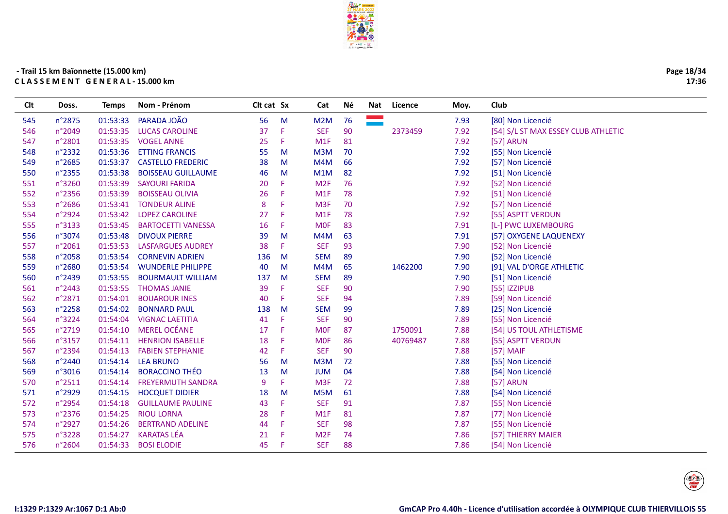

 $\overline{a}$ 

| CIt | Doss.           | Temps    | Nom - Prénom              | Cit cat Sx |    | Cat             | <b>Né</b> | Nat | Licence  | Moy. | Club                                |
|-----|-----------------|----------|---------------------------|------------|----|-----------------|-----------|-----|----------|------|-------------------------------------|
| 545 | n°2875          | 01:53:33 | PARADA JOÃO               | 56         | M  | M2M             | 76        |     |          | 7.93 | [80] Non Licencié                   |
| 546 | n°2049          | 01:53:35 | <b>LUCAS CAROLINE</b>     | 37         | F. | <b>SEF</b>      | 90        |     | 2373459  | 7.92 | [54] S/L ST MAX ESSEY CLUB ATHLETIC |
| 547 | n°2801          | 01:53:35 | <b>VOGEL ANNE</b>         | 25         | F. | M1F             | 81        |     |          | 7.92 | [57] ARUN                           |
| 548 | n°2332          | 01:53:36 | <b>ETTING FRANCIS</b>     | 55         | M  | M3M             | 70        |     |          | 7.92 | [55] Non Licencié                   |
| 549 | n°2685          | 01:53:37 | <b>CASTELLO FREDERIC</b>  | 38         | M  | M4M             | 66        |     |          | 7.92 | [57] Non Licencié                   |
| 550 | n°2355          | 01:53:38 | <b>BOISSEAU GUILLAUME</b> | 46         | M  | M1M             | 82        |     |          | 7.92 | [51] Non Licencié                   |
| 551 | n°3260          | 01:53:39 | <b>SAYOURI FARIDA</b>     | 20         | F. | M <sub>2F</sub> | 76        |     |          | 7.92 | [52] Non Licencié                   |
| 552 | n°2356          | 01:53:39 | <b>BOISSEAU OLIVIA</b>    | 26         | F. | M1F             | 78        |     |          | 7.92 | [51] Non Licencié                   |
| 553 | n°2686          | 01:53:41 | <b>TONDEUR ALINE</b>      | 8          | F  | M <sub>3F</sub> | 70        |     |          | 7.92 | [57] Non Licencié                   |
| 554 | n°2924          | 01:53:42 | <b>LOPEZ CAROLINE</b>     | 27         | F. | M1F             | 78        |     |          | 7.92 | [55] ASPTT VERDUN                   |
| 555 | n°3133          | 01:53:45 | <b>BARTOCETTI VANESSA</b> | 16         | F. | <b>MOF</b>      | 83        |     |          | 7.91 | [L-] PWC LUXEMBOURG                 |
| 556 | n°3074          | 01:53:48 | <b>DIVOUX PIERRE</b>      | 39         | M  | M4M             | 63        |     |          | 7.91 | [57] OXYGENE LAQUENEXY              |
| 557 | n°2061          | 01:53:53 | <b>LASFARGUES AUDREY</b>  | 38         | F. | <b>SEF</b>      | 93        |     |          | 7.90 | [52] Non Licencié                   |
| 558 | n°2058          | 01:53:54 | <b>CORNEVIN ADRIEN</b>    | 136        | M  | <b>SEM</b>      | 89        |     |          | 7.90 | [52] Non Licencié                   |
| 559 | n°2680          | 01:53:54 | <b>WUNDERLE PHILIPPE</b>  | 40         | M  | M4M             | 65        |     | 1462200  | 7.90 | [91] VAL D'ORGE ATHLETIC            |
| 560 | n°2439          | 01:53:55 | <b>BOURMAULT WILLIAM</b>  | 137        | M  | <b>SEM</b>      | 89        |     |          | 7.90 | [51] Non Licencié                   |
| 561 | n°2443          | 01:53:55 | <b>THOMAS JANIE</b>       | 39         | F. | <b>SEF</b>      | 90        |     |          | 7.90 | [55] IZZIPUB                        |
| 562 | n°2871          | 01:54:01 | <b>BOUAROUR INES</b>      | 40         | F. | <b>SEF</b>      | 94        |     |          | 7.89 | [59] Non Licencié                   |
| 563 | n°2258          | 01:54:02 | <b>BONNARD PAUL</b>       | 138        | M  | <b>SEM</b>      | 99        |     |          | 7.89 | [25] Non Licencié                   |
| 564 | n°3224          | 01:54:04 | <b>VIGNAC LAETITIA</b>    | 41         | F  | <b>SEF</b>      | 90        |     |          | 7.89 | [55] Non Licencié                   |
| 565 | n°2719          | 01:54:10 | <b>MEREL OCÉANE</b>       | 17         | F. | <b>MOF</b>      | 87        |     | 1750091  | 7.88 | [54] US TOUL ATHLETISME             |
| 566 | n°3157          | 01:54:11 | <b>HENRION ISABELLE</b>   | 18         | F  | <b>MOF</b>      | 86        |     | 40769487 | 7.88 | [55] ASPTT VERDUN                   |
| 567 | n°2394          | 01:54:13 | <b>FABIEN STEPHANIE</b>   | 42         | F. | <b>SEF</b>      | 90        |     |          | 7.88 | [57] MAIF                           |
| 568 | n°2440          | 01:54:14 | <b>LEA BRUNO</b>          | 56         | M  | M3M             | 72        |     |          | 7.88 | [55] Non Licencié                   |
| 569 | n°3016          | 01:54:14 | <b>BORACCINO THÉO</b>     | 13         | M  | <b>JUM</b>      | 04        |     |          | 7.88 | [54] Non Licencié                   |
| 570 | $n^{\circ}2511$ | 01:54:14 | <b>FREYERMUTH SANDRA</b>  | 9          | F. | M <sub>3F</sub> | 72        |     |          | 7.88 | [57] ARUN                           |
| 571 | n°2929          | 01:54:15 | <b>HOCQUET DIDIER</b>     | 18         | M  | M5M             | 61        |     |          | 7.88 | [54] Non Licencié                   |
| 572 | n°2954          | 01:54:18 | <b>GUILLAUME PAULINE</b>  | 43         | F. | <b>SEF</b>      | 91        |     |          | 7.87 | [55] Non Licencié                   |
| 573 | n°2376          | 01:54:25 | <b>RIOU LORNA</b>         | 28         | F. | M1F             | 81        |     |          | 7.87 | [77] Non Licencié                   |
| 574 | n°2927          | 01:54:26 | <b>BERTRAND ADELINE</b>   | 44         | F. | <b>SEF</b>      | 98        |     |          | 7.87 | [55] Non Licencié                   |
| 575 | n°3228          | 01:54:27 | <b>KARATAS LÉA</b>        | 21         | F  | M <sub>2F</sub> | 74        |     |          | 7.86 | [57] THIERRY MAIER                  |
| 576 | n°2604          | 01:54:33 | <b>BOSI ELODIE</b>        | 45         | F  | <b>SEF</b>      | 88        |     |          | 7.86 | [54] Non Licencié                   |
|     |                 |          |                           |            |    |                 |           |     |          |      |                                     |



Page 18/34

17:36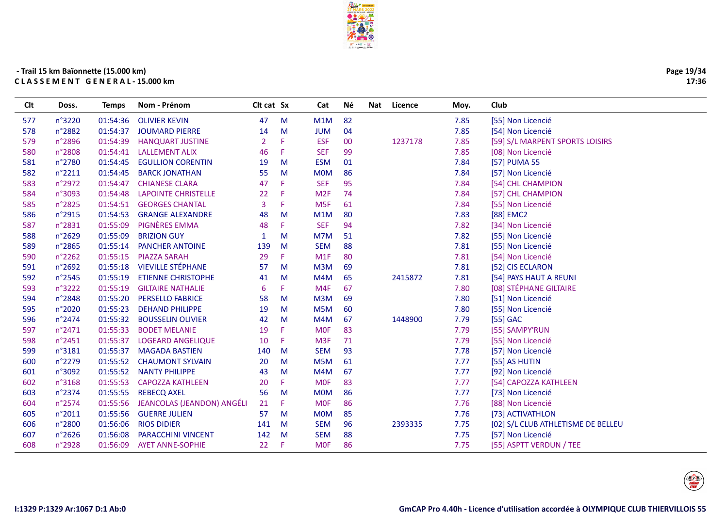

| Page 19/34 |
|------------|
| 17:36      |

| Clt | Doss.  | <b>Temps</b> | Nom - Prénom               | Clt cat Sx     |    | Cat              | Νé | <b>Nat</b> | Licence | Moy. | Club                               |
|-----|--------|--------------|----------------------------|----------------|----|------------------|----|------------|---------|------|------------------------------------|
| 577 | n°3220 | 01:54:36     | <b>OLIVIER KEVIN</b>       | 47             | M  | M1M              | 82 |            |         | 7.85 | [55] Non Licencié                  |
| 578 | n°2882 | 01:54:37     | <b>JOUMARD PIERRE</b>      | 14             | M  | <b>JUM</b>       | 04 |            |         | 7.85 | [54] Non Licencié                  |
| 579 | n°2896 | 01:54:39     | <b>HANQUART JUSTINE</b>    | $\overline{2}$ | F  | <b>ESF</b>       | 00 |            | 1237178 | 7.85 | [59] S/L MARPENT SPORTS LOISIRS    |
| 580 | n°2808 | 01:54:41     | <b>LALLEMENT ALIX</b>      | 46             | F  | <b>SEF</b>       | 99 |            |         | 7.85 | [08] Non Licencié                  |
| 581 | n°2780 | 01:54:45     | <b>EGULLION CORENTIN</b>   | 19             | M  | <b>ESM</b>       | 01 |            |         | 7.84 | [57] PUMA 55                       |
| 582 | n°2211 | 01:54:45     | <b>BARCK JONATHAN</b>      | 55             | M  | <b>MOM</b>       | 86 |            |         | 7.84 | [57] Non Licencié                  |
| 583 | n°2972 | 01:54:47     | <b>CHIANESE CLARA</b>      | 47             | F. | <b>SEF</b>       | 95 |            |         | 7.84 | [54] CHL CHAMPION                  |
| 584 | n°3093 | 01:54:48     | <b>LAPOINTE CHRISTELLE</b> | 22             | F  | M <sub>2F</sub>  | 74 |            |         | 7.84 | [57] CHL CHAMPION                  |
| 585 | n°2825 | 01:54:51     | <b>GEORGES CHANTAL</b>     | 3              | F  | M <sub>5F</sub>  | 61 |            |         | 7.84 | [55] Non Licencié                  |
| 586 | n°2915 | 01:54:53     | <b>GRANGE ALEXANDRE</b>    | 48             | M  | M1M              | 80 |            |         | 7.83 | [88] EMC2                          |
| 587 | n°2831 | 01:55:09     | <b>PIGNÈRES EMMA</b>       | 48             | F  | <b>SEF</b>       | 94 |            |         | 7.82 | [34] Non Licencié                  |
| 588 | n°2629 | 01:55:09     | <b>BRIZION GUY</b>         | 1              | M  | M7M              | 51 |            |         | 7.82 | [55] Non Licencié                  |
| 589 | n°2865 | 01:55:14     | <b>PANCHER ANTOINE</b>     | 139            | M  | <b>SEM</b>       | 88 |            |         | 7.81 | [55] Non Licencié                  |
| 590 | n°2262 | 01:55:15     | <b>PIAZZA SARAH</b>        | 29             | F. | M1F              | 80 |            |         | 7.81 | [54] Non Licencié                  |
| 591 | n°2692 | 01:55:18     | <b>VIEVILLE STÉPHANE</b>   | 57             | M  | M3M              | 69 |            |         | 7.81 | [52] CIS ECLARON                   |
| 592 | n°2545 | 01:55:19     | <b>ETIENNE CHRISTOPHE</b>  | 41             | M  | M4M              | 65 |            | 2415872 | 7.81 | [54] PAYS HAUT A REUNI             |
| 593 | n°3222 | 01:55:19     | <b>GILTAIRE NATHALIE</b>   | 6              | F. | M <sub>4F</sub>  | 67 |            |         | 7.80 | [08] STÉPHANE GILTAIRE             |
| 594 | n°2848 | 01:55:20     | <b>PERSELLO FABRICE</b>    | 58             | M  | M3M              | 69 |            |         | 7.80 | [51] Non Licencié                  |
| 595 | n°2020 | 01:55:23     | <b>DEHAND PHILIPPE</b>     | 19             | M  | M <sub>5</sub> M | 60 |            |         | 7.80 | [55] Non Licencié                  |
| 596 | n°2474 | 01:55:32     | <b>BOUSSELIN OLIVIER</b>   | 42             | M  | M4M              | 67 |            | 1448900 | 7.79 | [55] GAC                           |
| 597 | n°2471 | 01:55:33     | <b>BODET MELANIE</b>       | 19             | F  | <b>MOF</b>       | 83 |            |         | 7.79 | [55] SAMPY'RUN                     |
| 598 | n°2451 | 01:55:37     | <b>LOGEARD ANGELIQUE</b>   | 10             | F  | M <sub>3F</sub>  | 71 |            |         | 7.79 | [55] Non Licencié                  |
| 599 | n°3181 | 01:55:37     | <b>MAGADA BASTIEN</b>      | 140            | M  | <b>SEM</b>       | 93 |            |         | 7.78 | [57] Non Licencié                  |
| 600 | n°2279 | 01:55:52     | <b>CHAUMONT SYLVAIN</b>    | 20             | M  | M <sub>5</sub> M | 61 |            |         | 7.77 | [55] AS HUTIN                      |
| 601 | n°3092 | 01:55:52     | <b>NANTY PHILIPPE</b>      | 43             | M  | M4M              | 67 |            |         | 7.77 | [92] Non Licencié                  |
| 602 | n°3168 | 01:55:53     | <b>CAPOZZA KATHLEEN</b>    | 20             | F. | <b>MOF</b>       | 83 |            |         | 7.77 | [54] CAPOZZA KATHLEEN              |
| 603 | n°2374 | 01:55:55     | <b>REBECQ AXEL</b>         | 56             | M  | <b>MOM</b>       | 86 |            |         | 7.77 | [73] Non Licencié                  |
| 604 | n°2574 | 01:55:56     | JEANCOLAS (JEANDON) ANGÉLI | 21             | F  | <b>MOF</b>       | 86 |            |         | 7.76 | [88] Non Licencié                  |
| 605 | n°2011 | 01:55:56     | <b>GUERRE JULIEN</b>       | 57             | M  | <b>MOM</b>       | 85 |            |         | 7.76 | [73] ACTIVATHLON                   |
| 606 | n°2800 | 01:56:06     | <b>RIOS DIDIER</b>         | 141            | M  | <b>SEM</b>       | 96 |            | 2393335 | 7.75 | [02] S/L CLUB ATHLETISME DE BELLEU |
| 607 | n°2626 | 01:56:08     | <b>PARACCHINI VINCENT</b>  | 142            | M  | <b>SEM</b>       | 88 |            |         | 7.75 | [57] Non Licencié                  |
| 608 | n°2928 | 01:56:09     | <b>AYET ANNE-SOPHIE</b>    | 22             | F  | <b>MOF</b>       | 86 |            |         | 7.75 | [55] ASPTT VERDUN / TEE            |
|     |        |              |                            |                |    |                  |    |            |         |      |                                    |

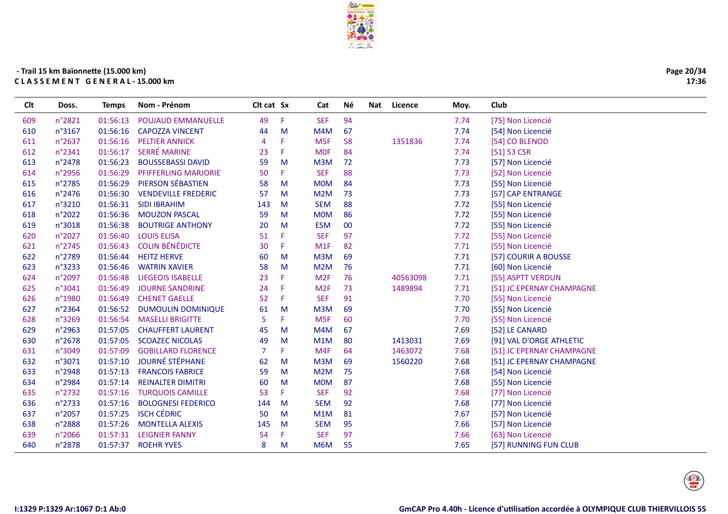

| Page 20/34 |
|------------|
| 17:36      |

| 49<br><b>SEF</b><br>94<br>609<br>n°2821<br>01:56:13<br><b>POUJAUD EMMANUELLE</b><br>Æ<br>7.74<br>[75] Non Licencié<br>n°3167<br>67<br>7.74<br>610<br>01:56:16<br><b>CAPOZZA VINCENT</b><br>M<br>M4M<br>[54] Non Licencié<br>44<br>01:56:16<br><b>PELTIER ANNICK</b><br>1351836<br>7.74<br>611<br>n°2637<br>M <sub>5F</sub><br>58<br>[54] CO BLENOD<br>4<br><b>SERRÉ MARINE</b><br>612<br>n°2341<br>01:56:17<br><b>MOF</b><br>7.74<br>$[51]$ 53 CSR<br>23<br>F<br>84<br>613<br>n°2478<br>01:56:23<br><b>BOUSSEBASSI DAVID</b><br>M3M<br>72<br>7.73<br>[57] Non Licencié<br>59<br>M<br><b>SEF</b><br>88<br>614<br>n°2956<br>01:56:29<br><b>PFIFFERLING MARJORIE</b><br>50<br>F<br>7.73<br>[52] Non Licencié<br>PIERSON SÉBASTIEN<br>01:56:29<br>615<br>n°2785<br>58<br>M<br><b>MOM</b><br>84<br>7.73<br>[55] Non Licencié<br>73<br>616<br>n°2476<br>01:56:30<br><b>VENDEVILLE FREDERIC</b><br>M<br>M2M<br>7.73<br>57<br>[57] CAP ENTRANGE<br><b>SEM</b><br>88<br>7.72<br>617<br>n°3210<br>01:56:31<br><b>SIDI IBRAHIM</b><br>[55] Non Licencié<br>143<br>M<br>n°2022<br>01:56:36<br><b>MOM</b><br>86<br>7.72<br>618<br><b>MOUZON PASCAL</b><br>59<br>M<br>[55] Non Licencié<br>01:56:38<br>00<br>7.72<br>619<br>n°3018<br><b>BOUTRIGE ANTHONY</b><br>20<br>M<br><b>ESM</b><br>[55] Non Licencié<br>97<br>n°2027<br>01:56:40<br><b>LOUIS ELISA</b><br><b>SEF</b><br>7.72<br>620<br>51<br>F<br>[55] Non Licencié<br><b>COLIN BÉNÉDICTE</b><br>n°2745<br>01:56:43<br>30<br>M <sub>1</sub> F<br>82<br>7.71<br>621<br>F<br>[55] Non Licencié<br>7.71<br>622<br>n°2789<br>01:56:44<br><b>HEITZ HERVE</b><br>M3M<br>69<br>[57] COURIR A BOUSSE<br>60<br>M<br>7.71<br>623<br>n°3233<br>01:56:46<br><b>WATRIN XAVIER</b><br>58<br>M<br>M2M<br>76<br>[60] Non Licencié<br>76<br>624<br>n°2097<br>01:56:48<br><b>LIEGEOIS ISABELLE</b><br>23<br>F<br>M <sub>2F</sub><br>40563098<br>7.71<br>[55] ASPTT VERDUN<br>625<br>n°3041<br>01:56:49<br><b>JOURNE SANDRINE</b><br>24<br>M <sub>2F</sub><br>73<br>1489894<br>7.71<br>Æ<br>[51] JC EPERNAY CHAMPAGNE<br>01:56:49<br><b>CHENET GAELLE</b><br><b>SEF</b><br>626<br>n°1980<br>52<br>Æ<br>91<br>7.70<br>[55] Non Licencié<br>n°2364<br><b>DUMOULIN DOMINIQUE</b><br>7.70<br>627<br>01:56:52<br>M3M<br>69<br>[55] Non Licencié<br>61<br>M<br>628<br>n°3269<br>01:56:54<br>5<br>F<br>M <sub>5F</sub><br>60<br>7.70<br><b>MASELLI BRIGITTE</b><br>[55] Non Licencié<br>629<br>n°2963<br>01:57:05<br><b>CHAUFFERT LAURENT</b><br>M4M<br>67<br>7.69<br>M<br>[52] LE CANARD<br>45<br>n°2678<br>01:57:05<br><b>SCOAZEC NICOLAS</b><br>49<br>M1M<br>80<br>1413031<br>7.69<br>[91] VAL D'ORGE ATHLETIC<br>630<br>M<br>n°3049<br>01:57:09<br><b>GOBILLARD FLORENCE</b><br>7<br>1463072<br>7.68<br>631<br>M4F<br>64<br>[51] JC EPERNAY CHAMPAGNE<br><b>JOURNÉ STÉPHANE</b><br>01:57:10<br>1560220<br>632<br>n°3071<br>M3M<br>69<br>7.68<br>[51] JC EPERNAY CHAMPAGNE<br>62<br>M<br>633<br>01:57:13<br><b>FRANCOIS FABRICE</b><br>59<br>M2M<br>75<br>7.68<br>n°2948<br>M<br>[54] Non Licencié<br>634<br>01:57:14<br><b>REINALTER DIMITRI</b><br><b>MOM</b><br>87<br>7.68<br>n°2984<br>60<br>M<br>[55] Non Licencié<br>n°2732<br><b>TURQUOIS CAMILLE</b><br><b>SEF</b><br>92<br>635<br>01:57:16<br>53<br>F.<br>7.68<br>[77] Non Licencié<br>n°2733<br><b>BOLOGNESI FEDERICO</b><br><b>SEM</b><br>92<br>636<br>01:57:16<br>144<br>M<br>7.68<br>[77] Non Licencié<br><b>ISCH CÉDRIC</b><br>n°2057<br>01:57:25<br>M1M<br>81<br>7.67<br>[57] Non Licencié<br>637<br>50<br>M<br>95<br>638<br>n°2888<br>01:57:26<br><b>MONTELLA ALEXIS</b><br><b>SEM</b><br>7.66<br>[57] Non Licencié<br>145<br>M | Clt | Doss.  | <b>Temps</b> | Nom - Prénom          | Clt cat Sx |   | Cat        | Νé | Nat | Licence | Moy. | Club              |
|-------------------------------------------------------------------------------------------------------------------------------------------------------------------------------------------------------------------------------------------------------------------------------------------------------------------------------------------------------------------------------------------------------------------------------------------------------------------------------------------------------------------------------------------------------------------------------------------------------------------------------------------------------------------------------------------------------------------------------------------------------------------------------------------------------------------------------------------------------------------------------------------------------------------------------------------------------------------------------------------------------------------------------------------------------------------------------------------------------------------------------------------------------------------------------------------------------------------------------------------------------------------------------------------------------------------------------------------------------------------------------------------------------------------------------------------------------------------------------------------------------------------------------------------------------------------------------------------------------------------------------------------------------------------------------------------------------------------------------------------------------------------------------------------------------------------------------------------------------------------------------------------------------------------------------------------------------------------------------------------------------------------------------------------------------------------------------------------------------------------------------------------------------------------------------------------------------------------------------------------------------------------------------------------------------------------------------------------------------------------------------------------------------------------------------------------------------------------------------------------------------------------------------------------------------------------------------------------------------------------------------------------------------------------------------------------------------------------------------------------------------------------------------------------------------------------------------------------------------------------------------------------------------------------------------------------------------------------------------------------------------------------------------------------------------------------------------------------------------------------------------------------------------------------------------------------------------------------------------------------------------------------------------------------------------------------------------------------------------------------------------------------------------------------------------------------------------------------------------------------------------------------------------------------------------------------------------------------------------------------|-----|--------|--------------|-----------------------|------------|---|------------|----|-----|---------|------|-------------------|
|                                                                                                                                                                                                                                                                                                                                                                                                                                                                                                                                                                                                                                                                                                                                                                                                                                                                                                                                                                                                                                                                                                                                                                                                                                                                                                                                                                                                                                                                                                                                                                                                                                                                                                                                                                                                                                                                                                                                                                                                                                                                                                                                                                                                                                                                                                                                                                                                                                                                                                                                                                                                                                                                                                                                                                                                                                                                                                                                                                                                                                                                                                                                                                                                                                                                                                                                                                                                                                                                                                                                                                                                                   |     |        |              |                       |            |   |            |    |     |         |      |                   |
|                                                                                                                                                                                                                                                                                                                                                                                                                                                                                                                                                                                                                                                                                                                                                                                                                                                                                                                                                                                                                                                                                                                                                                                                                                                                                                                                                                                                                                                                                                                                                                                                                                                                                                                                                                                                                                                                                                                                                                                                                                                                                                                                                                                                                                                                                                                                                                                                                                                                                                                                                                                                                                                                                                                                                                                                                                                                                                                                                                                                                                                                                                                                                                                                                                                                                                                                                                                                                                                                                                                                                                                                                   |     |        |              |                       |            |   |            |    |     |         |      |                   |
|                                                                                                                                                                                                                                                                                                                                                                                                                                                                                                                                                                                                                                                                                                                                                                                                                                                                                                                                                                                                                                                                                                                                                                                                                                                                                                                                                                                                                                                                                                                                                                                                                                                                                                                                                                                                                                                                                                                                                                                                                                                                                                                                                                                                                                                                                                                                                                                                                                                                                                                                                                                                                                                                                                                                                                                                                                                                                                                                                                                                                                                                                                                                                                                                                                                                                                                                                                                                                                                                                                                                                                                                                   |     |        |              |                       |            |   |            |    |     |         |      |                   |
|                                                                                                                                                                                                                                                                                                                                                                                                                                                                                                                                                                                                                                                                                                                                                                                                                                                                                                                                                                                                                                                                                                                                                                                                                                                                                                                                                                                                                                                                                                                                                                                                                                                                                                                                                                                                                                                                                                                                                                                                                                                                                                                                                                                                                                                                                                                                                                                                                                                                                                                                                                                                                                                                                                                                                                                                                                                                                                                                                                                                                                                                                                                                                                                                                                                                                                                                                                                                                                                                                                                                                                                                                   |     |        |              |                       |            |   |            |    |     |         |      |                   |
|                                                                                                                                                                                                                                                                                                                                                                                                                                                                                                                                                                                                                                                                                                                                                                                                                                                                                                                                                                                                                                                                                                                                                                                                                                                                                                                                                                                                                                                                                                                                                                                                                                                                                                                                                                                                                                                                                                                                                                                                                                                                                                                                                                                                                                                                                                                                                                                                                                                                                                                                                                                                                                                                                                                                                                                                                                                                                                                                                                                                                                                                                                                                                                                                                                                                                                                                                                                                                                                                                                                                                                                                                   |     |        |              |                       |            |   |            |    |     |         |      |                   |
|                                                                                                                                                                                                                                                                                                                                                                                                                                                                                                                                                                                                                                                                                                                                                                                                                                                                                                                                                                                                                                                                                                                                                                                                                                                                                                                                                                                                                                                                                                                                                                                                                                                                                                                                                                                                                                                                                                                                                                                                                                                                                                                                                                                                                                                                                                                                                                                                                                                                                                                                                                                                                                                                                                                                                                                                                                                                                                                                                                                                                                                                                                                                                                                                                                                                                                                                                                                                                                                                                                                                                                                                                   |     |        |              |                       |            |   |            |    |     |         |      |                   |
|                                                                                                                                                                                                                                                                                                                                                                                                                                                                                                                                                                                                                                                                                                                                                                                                                                                                                                                                                                                                                                                                                                                                                                                                                                                                                                                                                                                                                                                                                                                                                                                                                                                                                                                                                                                                                                                                                                                                                                                                                                                                                                                                                                                                                                                                                                                                                                                                                                                                                                                                                                                                                                                                                                                                                                                                                                                                                                                                                                                                                                                                                                                                                                                                                                                                                                                                                                                                                                                                                                                                                                                                                   |     |        |              |                       |            |   |            |    |     |         |      |                   |
|                                                                                                                                                                                                                                                                                                                                                                                                                                                                                                                                                                                                                                                                                                                                                                                                                                                                                                                                                                                                                                                                                                                                                                                                                                                                                                                                                                                                                                                                                                                                                                                                                                                                                                                                                                                                                                                                                                                                                                                                                                                                                                                                                                                                                                                                                                                                                                                                                                                                                                                                                                                                                                                                                                                                                                                                                                                                                                                                                                                                                                                                                                                                                                                                                                                                                                                                                                                                                                                                                                                                                                                                                   |     |        |              |                       |            |   |            |    |     |         |      |                   |
|                                                                                                                                                                                                                                                                                                                                                                                                                                                                                                                                                                                                                                                                                                                                                                                                                                                                                                                                                                                                                                                                                                                                                                                                                                                                                                                                                                                                                                                                                                                                                                                                                                                                                                                                                                                                                                                                                                                                                                                                                                                                                                                                                                                                                                                                                                                                                                                                                                                                                                                                                                                                                                                                                                                                                                                                                                                                                                                                                                                                                                                                                                                                                                                                                                                                                                                                                                                                                                                                                                                                                                                                                   |     |        |              |                       |            |   |            |    |     |         |      |                   |
|                                                                                                                                                                                                                                                                                                                                                                                                                                                                                                                                                                                                                                                                                                                                                                                                                                                                                                                                                                                                                                                                                                                                                                                                                                                                                                                                                                                                                                                                                                                                                                                                                                                                                                                                                                                                                                                                                                                                                                                                                                                                                                                                                                                                                                                                                                                                                                                                                                                                                                                                                                                                                                                                                                                                                                                                                                                                                                                                                                                                                                                                                                                                                                                                                                                                                                                                                                                                                                                                                                                                                                                                                   |     |        |              |                       |            |   |            |    |     |         |      |                   |
|                                                                                                                                                                                                                                                                                                                                                                                                                                                                                                                                                                                                                                                                                                                                                                                                                                                                                                                                                                                                                                                                                                                                                                                                                                                                                                                                                                                                                                                                                                                                                                                                                                                                                                                                                                                                                                                                                                                                                                                                                                                                                                                                                                                                                                                                                                                                                                                                                                                                                                                                                                                                                                                                                                                                                                                                                                                                                                                                                                                                                                                                                                                                                                                                                                                                                                                                                                                                                                                                                                                                                                                                                   |     |        |              |                       |            |   |            |    |     |         |      |                   |
|                                                                                                                                                                                                                                                                                                                                                                                                                                                                                                                                                                                                                                                                                                                                                                                                                                                                                                                                                                                                                                                                                                                                                                                                                                                                                                                                                                                                                                                                                                                                                                                                                                                                                                                                                                                                                                                                                                                                                                                                                                                                                                                                                                                                                                                                                                                                                                                                                                                                                                                                                                                                                                                                                                                                                                                                                                                                                                                                                                                                                                                                                                                                                                                                                                                                                                                                                                                                                                                                                                                                                                                                                   |     |        |              |                       |            |   |            |    |     |         |      |                   |
|                                                                                                                                                                                                                                                                                                                                                                                                                                                                                                                                                                                                                                                                                                                                                                                                                                                                                                                                                                                                                                                                                                                                                                                                                                                                                                                                                                                                                                                                                                                                                                                                                                                                                                                                                                                                                                                                                                                                                                                                                                                                                                                                                                                                                                                                                                                                                                                                                                                                                                                                                                                                                                                                                                                                                                                                                                                                                                                                                                                                                                                                                                                                                                                                                                                                                                                                                                                                                                                                                                                                                                                                                   |     |        |              |                       |            |   |            |    |     |         |      |                   |
|                                                                                                                                                                                                                                                                                                                                                                                                                                                                                                                                                                                                                                                                                                                                                                                                                                                                                                                                                                                                                                                                                                                                                                                                                                                                                                                                                                                                                                                                                                                                                                                                                                                                                                                                                                                                                                                                                                                                                                                                                                                                                                                                                                                                                                                                                                                                                                                                                                                                                                                                                                                                                                                                                                                                                                                                                                                                                                                                                                                                                                                                                                                                                                                                                                                                                                                                                                                                                                                                                                                                                                                                                   |     |        |              |                       |            |   |            |    |     |         |      |                   |
|                                                                                                                                                                                                                                                                                                                                                                                                                                                                                                                                                                                                                                                                                                                                                                                                                                                                                                                                                                                                                                                                                                                                                                                                                                                                                                                                                                                                                                                                                                                                                                                                                                                                                                                                                                                                                                                                                                                                                                                                                                                                                                                                                                                                                                                                                                                                                                                                                                                                                                                                                                                                                                                                                                                                                                                                                                                                                                                                                                                                                                                                                                                                                                                                                                                                                                                                                                                                                                                                                                                                                                                                                   |     |        |              |                       |            |   |            |    |     |         |      |                   |
|                                                                                                                                                                                                                                                                                                                                                                                                                                                                                                                                                                                                                                                                                                                                                                                                                                                                                                                                                                                                                                                                                                                                                                                                                                                                                                                                                                                                                                                                                                                                                                                                                                                                                                                                                                                                                                                                                                                                                                                                                                                                                                                                                                                                                                                                                                                                                                                                                                                                                                                                                                                                                                                                                                                                                                                                                                                                                                                                                                                                                                                                                                                                                                                                                                                                                                                                                                                                                                                                                                                                                                                                                   |     |        |              |                       |            |   |            |    |     |         |      |                   |
|                                                                                                                                                                                                                                                                                                                                                                                                                                                                                                                                                                                                                                                                                                                                                                                                                                                                                                                                                                                                                                                                                                                                                                                                                                                                                                                                                                                                                                                                                                                                                                                                                                                                                                                                                                                                                                                                                                                                                                                                                                                                                                                                                                                                                                                                                                                                                                                                                                                                                                                                                                                                                                                                                                                                                                                                                                                                                                                                                                                                                                                                                                                                                                                                                                                                                                                                                                                                                                                                                                                                                                                                                   |     |        |              |                       |            |   |            |    |     |         |      |                   |
|                                                                                                                                                                                                                                                                                                                                                                                                                                                                                                                                                                                                                                                                                                                                                                                                                                                                                                                                                                                                                                                                                                                                                                                                                                                                                                                                                                                                                                                                                                                                                                                                                                                                                                                                                                                                                                                                                                                                                                                                                                                                                                                                                                                                                                                                                                                                                                                                                                                                                                                                                                                                                                                                                                                                                                                                                                                                                                                                                                                                                                                                                                                                                                                                                                                                                                                                                                                                                                                                                                                                                                                                                   |     |        |              |                       |            |   |            |    |     |         |      |                   |
|                                                                                                                                                                                                                                                                                                                                                                                                                                                                                                                                                                                                                                                                                                                                                                                                                                                                                                                                                                                                                                                                                                                                                                                                                                                                                                                                                                                                                                                                                                                                                                                                                                                                                                                                                                                                                                                                                                                                                                                                                                                                                                                                                                                                                                                                                                                                                                                                                                                                                                                                                                                                                                                                                                                                                                                                                                                                                                                                                                                                                                                                                                                                                                                                                                                                                                                                                                                                                                                                                                                                                                                                                   |     |        |              |                       |            |   |            |    |     |         |      |                   |
|                                                                                                                                                                                                                                                                                                                                                                                                                                                                                                                                                                                                                                                                                                                                                                                                                                                                                                                                                                                                                                                                                                                                                                                                                                                                                                                                                                                                                                                                                                                                                                                                                                                                                                                                                                                                                                                                                                                                                                                                                                                                                                                                                                                                                                                                                                                                                                                                                                                                                                                                                                                                                                                                                                                                                                                                                                                                                                                                                                                                                                                                                                                                                                                                                                                                                                                                                                                                                                                                                                                                                                                                                   |     |        |              |                       |            |   |            |    |     |         |      |                   |
|                                                                                                                                                                                                                                                                                                                                                                                                                                                                                                                                                                                                                                                                                                                                                                                                                                                                                                                                                                                                                                                                                                                                                                                                                                                                                                                                                                                                                                                                                                                                                                                                                                                                                                                                                                                                                                                                                                                                                                                                                                                                                                                                                                                                                                                                                                                                                                                                                                                                                                                                                                                                                                                                                                                                                                                                                                                                                                                                                                                                                                                                                                                                                                                                                                                                                                                                                                                                                                                                                                                                                                                                                   |     |        |              |                       |            |   |            |    |     |         |      |                   |
|                                                                                                                                                                                                                                                                                                                                                                                                                                                                                                                                                                                                                                                                                                                                                                                                                                                                                                                                                                                                                                                                                                                                                                                                                                                                                                                                                                                                                                                                                                                                                                                                                                                                                                                                                                                                                                                                                                                                                                                                                                                                                                                                                                                                                                                                                                                                                                                                                                                                                                                                                                                                                                                                                                                                                                                                                                                                                                                                                                                                                                                                                                                                                                                                                                                                                                                                                                                                                                                                                                                                                                                                                   |     |        |              |                       |            |   |            |    |     |         |      |                   |
|                                                                                                                                                                                                                                                                                                                                                                                                                                                                                                                                                                                                                                                                                                                                                                                                                                                                                                                                                                                                                                                                                                                                                                                                                                                                                                                                                                                                                                                                                                                                                                                                                                                                                                                                                                                                                                                                                                                                                                                                                                                                                                                                                                                                                                                                                                                                                                                                                                                                                                                                                                                                                                                                                                                                                                                                                                                                                                                                                                                                                                                                                                                                                                                                                                                                                                                                                                                                                                                                                                                                                                                                                   |     |        |              |                       |            |   |            |    |     |         |      |                   |
|                                                                                                                                                                                                                                                                                                                                                                                                                                                                                                                                                                                                                                                                                                                                                                                                                                                                                                                                                                                                                                                                                                                                                                                                                                                                                                                                                                                                                                                                                                                                                                                                                                                                                                                                                                                                                                                                                                                                                                                                                                                                                                                                                                                                                                                                                                                                                                                                                                                                                                                                                                                                                                                                                                                                                                                                                                                                                                                                                                                                                                                                                                                                                                                                                                                                                                                                                                                                                                                                                                                                                                                                                   |     |        |              |                       |            |   |            |    |     |         |      |                   |
|                                                                                                                                                                                                                                                                                                                                                                                                                                                                                                                                                                                                                                                                                                                                                                                                                                                                                                                                                                                                                                                                                                                                                                                                                                                                                                                                                                                                                                                                                                                                                                                                                                                                                                                                                                                                                                                                                                                                                                                                                                                                                                                                                                                                                                                                                                                                                                                                                                                                                                                                                                                                                                                                                                                                                                                                                                                                                                                                                                                                                                                                                                                                                                                                                                                                                                                                                                                                                                                                                                                                                                                                                   |     |        |              |                       |            |   |            |    |     |         |      |                   |
|                                                                                                                                                                                                                                                                                                                                                                                                                                                                                                                                                                                                                                                                                                                                                                                                                                                                                                                                                                                                                                                                                                                                                                                                                                                                                                                                                                                                                                                                                                                                                                                                                                                                                                                                                                                                                                                                                                                                                                                                                                                                                                                                                                                                                                                                                                                                                                                                                                                                                                                                                                                                                                                                                                                                                                                                                                                                                                                                                                                                                                                                                                                                                                                                                                                                                                                                                                                                                                                                                                                                                                                                                   |     |        |              |                       |            |   |            |    |     |         |      |                   |
|                                                                                                                                                                                                                                                                                                                                                                                                                                                                                                                                                                                                                                                                                                                                                                                                                                                                                                                                                                                                                                                                                                                                                                                                                                                                                                                                                                                                                                                                                                                                                                                                                                                                                                                                                                                                                                                                                                                                                                                                                                                                                                                                                                                                                                                                                                                                                                                                                                                                                                                                                                                                                                                                                                                                                                                                                                                                                                                                                                                                                                                                                                                                                                                                                                                                                                                                                                                                                                                                                                                                                                                                                   |     |        |              |                       |            |   |            |    |     |         |      |                   |
|                                                                                                                                                                                                                                                                                                                                                                                                                                                                                                                                                                                                                                                                                                                                                                                                                                                                                                                                                                                                                                                                                                                                                                                                                                                                                                                                                                                                                                                                                                                                                                                                                                                                                                                                                                                                                                                                                                                                                                                                                                                                                                                                                                                                                                                                                                                                                                                                                                                                                                                                                                                                                                                                                                                                                                                                                                                                                                                                                                                                                                                                                                                                                                                                                                                                                                                                                                                                                                                                                                                                                                                                                   |     |        |              |                       |            |   |            |    |     |         |      |                   |
|                                                                                                                                                                                                                                                                                                                                                                                                                                                                                                                                                                                                                                                                                                                                                                                                                                                                                                                                                                                                                                                                                                                                                                                                                                                                                                                                                                                                                                                                                                                                                                                                                                                                                                                                                                                                                                                                                                                                                                                                                                                                                                                                                                                                                                                                                                                                                                                                                                                                                                                                                                                                                                                                                                                                                                                                                                                                                                                                                                                                                                                                                                                                                                                                                                                                                                                                                                                                                                                                                                                                                                                                                   |     |        |              |                       |            |   |            |    |     |         |      |                   |
|                                                                                                                                                                                                                                                                                                                                                                                                                                                                                                                                                                                                                                                                                                                                                                                                                                                                                                                                                                                                                                                                                                                                                                                                                                                                                                                                                                                                                                                                                                                                                                                                                                                                                                                                                                                                                                                                                                                                                                                                                                                                                                                                                                                                                                                                                                                                                                                                                                                                                                                                                                                                                                                                                                                                                                                                                                                                                                                                                                                                                                                                                                                                                                                                                                                                                                                                                                                                                                                                                                                                                                                                                   |     |        |              |                       |            |   |            |    |     |         |      |                   |
|                                                                                                                                                                                                                                                                                                                                                                                                                                                                                                                                                                                                                                                                                                                                                                                                                                                                                                                                                                                                                                                                                                                                                                                                                                                                                                                                                                                                                                                                                                                                                                                                                                                                                                                                                                                                                                                                                                                                                                                                                                                                                                                                                                                                                                                                                                                                                                                                                                                                                                                                                                                                                                                                                                                                                                                                                                                                                                                                                                                                                                                                                                                                                                                                                                                                                                                                                                                                                                                                                                                                                                                                                   | 639 | n°2066 | 01:57:31     | <b>LEIGNIER FANNY</b> | 54         | F | <b>SEF</b> | 97 |     |         | 7.66 | [63] Non Licencié |
| 55<br>640<br>n°2878<br>01:57:37<br><b>ROEHR YVES</b><br>8<br>M6M<br>7.65<br>[57] RUNNING FUN CLUB<br>M                                                                                                                                                                                                                                                                                                                                                                                                                                                                                                                                                                                                                                                                                                                                                                                                                                                                                                                                                                                                                                                                                                                                                                                                                                                                                                                                                                                                                                                                                                                                                                                                                                                                                                                                                                                                                                                                                                                                                                                                                                                                                                                                                                                                                                                                                                                                                                                                                                                                                                                                                                                                                                                                                                                                                                                                                                                                                                                                                                                                                                                                                                                                                                                                                                                                                                                                                                                                                                                                                                            |     |        |              |                       |            |   |            |    |     |         |      |                   |

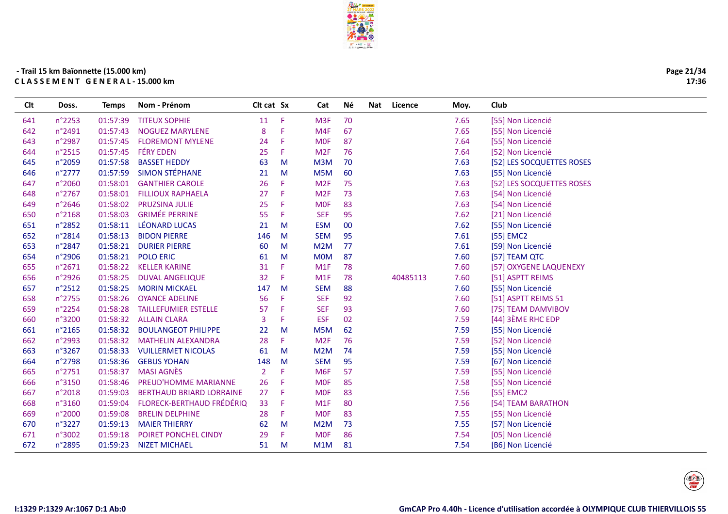

| Page 21/34 |
|------------|
| 17:36      |

| 70<br>n°2253<br><b>TITEUX SOPHIE</b><br>11<br>F<br>M <sub>3F</sub><br>7.65<br>01:57:39<br>[55] Non Licencié<br>641<br>n°2491<br>F<br>67<br>7.65<br>01:57:43<br><b>NOGUEZ MARYLENE</b><br>8<br>M4F<br>[55] Non Licencié<br>642<br>n°2987<br><b>FLOREMONT MYLENE</b><br>F<br><b>MOF</b><br>87<br>7.64<br>01:57:45<br>24<br>[55] Non Licencié<br>643<br><b>FÉRY EDEN</b><br>n°2515<br>01:57:45<br>F<br>7.64<br>644<br>25<br>M <sub>2F</sub><br>76<br>[52] Non Licencié<br><b>BASSET HEDDY</b><br>n°2059<br>01:57:58<br>63<br>M3M<br>70<br>7.63<br>[52] LES SOCQUETTES ROSES<br>645<br>M<br><b>SIMON STÉPHANE</b><br>$n^{\circ}$ 2777<br>01:57:59<br>21<br>M<br>M5M<br>60<br>7.63<br>[55] Non Licencié<br>646<br>n°2060<br>01:58:01<br><b>GANTHIER CAROLE</b><br>26<br>F<br>M <sub>2F</sub><br>75<br>7.63<br>[52] LES SOCQUETTES ROSES<br>647<br>F<br>n°2767<br>01:58:01<br><b>FILLIOUX RAPHAELA</b><br>27<br>M <sub>2F</sub><br>73<br>7.63<br>648<br>[54] Non Licencié<br><b>PRUZSINA JULIE</b><br>7.63<br>n°2646<br>01:58:02<br>25<br>F<br><b>MOF</b><br>83<br>[54] Non Licencié<br>649<br><b>GRIMÉE PERRINE</b><br>01:58:03<br>7.62<br>n°2168<br>55<br>F<br><b>SEF</b><br>95<br>[21] Non Licencié<br>650<br>01:58:11<br><b>LÉONARD LUCAS</b><br>7.62<br>n°2852<br>21<br>M<br><b>ESM</b><br>00<br>651<br>[55] Non Licencié<br>95<br>7.61<br>n°2814<br>01:58:13<br><b>BIDON PIERRE</b><br>146<br><b>SEM</b><br>[55] EMC2<br>652<br>M<br>n°2847<br>M2M<br>77<br>7.61<br>01:58:21<br><b>DURIER PIERRE</b><br>60<br>M<br>[59] Non Licencié<br>653<br>01:58:21<br><b>MOM</b><br>7.60<br>654<br>n°2906<br><b>POLO ERIC</b><br>61<br>M<br>87<br>[57] TEAM QTC<br>01:58:22<br>F<br>7.60<br>655<br>n°2671<br><b>KELLER KARINE</b><br>31<br>M <sub>1</sub> F<br>78<br>[57] OXYGENE LAQUENEXY<br>F<br>78<br>40485113<br>656<br>n°2926<br>01:58:25<br><b>DUVAL ANGELIQUE</b><br>32<br>M <sub>1</sub> F<br>7.60<br>[51] ASPTT REIMS<br>n°2512<br>88<br>01:58:25<br><b>MORIN MICKAEL</b><br>147<br>M<br><b>SEM</b><br>7.60<br>[55] Non Licencié<br>657<br>n°2755<br>01:58:26<br>F<br>92<br>7.60<br><b>OYANCE ADELINE</b><br>56<br><b>SEF</b><br>[51] ASPTT REIMS 51<br>658<br>n°2254<br>F<br><b>SEF</b><br>93<br>7.60<br>659<br>01:58:28<br><b>TAILLEFUMIER ESTELLE</b><br>57<br>[75] TEAM DAMVIBOV<br>7.59<br>[44] 3ÈME RHC EDP<br>n°3200<br>01:58:32<br>F<br><b>ESF</b><br>02<br>660<br><b>ALLAIN CLARA</b><br>3<br>n°2165<br>01:58:32<br><b>BOULANGEOT PHILIPPE</b><br>62<br>7.59<br>661<br>22<br>M<br>M5M<br>[55] Non Licencié<br>F<br>n°2993<br>M <sub>2F</sub><br>76<br>7.59<br>[52] Non Licencié<br>662<br>01:58:32<br><b>MATHELIN ALEXANDRA</b><br>28<br>n°3267<br>01:58:33<br><b>VUILLERMET NICOLAS</b><br>M<br>M2M<br>74<br>7.59<br>663<br>61<br>[55] Non Licencié<br>7.59<br>n°2798<br>01:58:36<br><b>GEBUS YOHAN</b><br>148<br><b>SEM</b><br>95<br>[67] Non Licencié<br>664<br>M<br><b>MASI AGNÈS</b><br>57<br>7.59<br>n°2751<br>01:58:37<br>$\overline{2}$<br>F<br>M <sub>6F</sub><br>[55] Non Licencié<br>665<br>F<br>n°3150<br>01:58:46<br><b>PREUD'HOMME MARIANNE</b><br>85<br>7.58<br>666<br>26<br><b>MOF</b><br>[55] Non Licencié<br>F<br>83<br>7.56<br>n°2018<br>01:59:03<br><b>BERTHAUD BRIARD LORRAINE</b><br>27<br><b>MOF</b><br>[55] EMC2<br>667<br><b>FLORECK-BERTHAUD FRÉDÉRIQ</b><br>80<br>n°3160<br>01:59:04<br>33<br>F<br>M <sub>1</sub> F<br>7.56<br>[54] TEAM BARATHON<br>668<br><b>MOF</b><br>7.55<br>n°2000<br>01:59:08<br><b>BRELIN DELPHINE</b><br>28<br>F<br>83<br>669<br>[55] Non Licencié<br>7.55<br>n°3227<br>01:59:13<br><b>MAIER THIERRY</b><br>62<br>M<br>M2M<br>73<br>[57] Non Licencié<br>670<br>F<br>86<br>7.54<br>n°3002<br>01:59:18<br><b>POIRET PONCHEL CINDY</b><br>29<br><b>MOF</b><br>[05] Non Licencié<br>671<br>672<br>n°2895<br>01:59:23<br><b>NIZET MICHAEL</b><br>51<br>M<br>M1M<br>81<br>7.54<br>[B6] Non Licencié | Clt | Doss. | <b>Temps</b> | Nom - Prénom | Clt cat Sx | Cat | Νé | Nat | Licence | Moy. | Club |
|------------------------------------------------------------------------------------------------------------------------------------------------------------------------------------------------------------------------------------------------------------------------------------------------------------------------------------------------------------------------------------------------------------------------------------------------------------------------------------------------------------------------------------------------------------------------------------------------------------------------------------------------------------------------------------------------------------------------------------------------------------------------------------------------------------------------------------------------------------------------------------------------------------------------------------------------------------------------------------------------------------------------------------------------------------------------------------------------------------------------------------------------------------------------------------------------------------------------------------------------------------------------------------------------------------------------------------------------------------------------------------------------------------------------------------------------------------------------------------------------------------------------------------------------------------------------------------------------------------------------------------------------------------------------------------------------------------------------------------------------------------------------------------------------------------------------------------------------------------------------------------------------------------------------------------------------------------------------------------------------------------------------------------------------------------------------------------------------------------------------------------------------------------------------------------------------------------------------------------------------------------------------------------------------------------------------------------------------------------------------------------------------------------------------------------------------------------------------------------------------------------------------------------------------------------------------------------------------------------------------------------------------------------------------------------------------------------------------------------------------------------------------------------------------------------------------------------------------------------------------------------------------------------------------------------------------------------------------------------------------------------------------------------------------------------------------------------------------------------------------------------------------------------------------------------------------------------------------------------------------------------------------------------------------------------------------------------------------------------------------------------------------------------------------------------------------------------------------------------------------------------------------------------------------------------------------------------------------------------------------------------------------------------------------------------------------------------------------------------------------------------------------------------------------------------------------------------------------------------|-----|-------|--------------|--------------|------------|-----|----|-----|---------|------|------|
|                                                                                                                                                                                                                                                                                                                                                                                                                                                                                                                                                                                                                                                                                                                                                                                                                                                                                                                                                                                                                                                                                                                                                                                                                                                                                                                                                                                                                                                                                                                                                                                                                                                                                                                                                                                                                                                                                                                                                                                                                                                                                                                                                                                                                                                                                                                                                                                                                                                                                                                                                                                                                                                                                                                                                                                                                                                                                                                                                                                                                                                                                                                                                                                                                                                                                                                                                                                                                                                                                                                                                                                                                                                                                                                                                                                                                                                            |     |       |              |              |            |     |    |     |         |      |      |
|                                                                                                                                                                                                                                                                                                                                                                                                                                                                                                                                                                                                                                                                                                                                                                                                                                                                                                                                                                                                                                                                                                                                                                                                                                                                                                                                                                                                                                                                                                                                                                                                                                                                                                                                                                                                                                                                                                                                                                                                                                                                                                                                                                                                                                                                                                                                                                                                                                                                                                                                                                                                                                                                                                                                                                                                                                                                                                                                                                                                                                                                                                                                                                                                                                                                                                                                                                                                                                                                                                                                                                                                                                                                                                                                                                                                                                                            |     |       |              |              |            |     |    |     |         |      |      |
|                                                                                                                                                                                                                                                                                                                                                                                                                                                                                                                                                                                                                                                                                                                                                                                                                                                                                                                                                                                                                                                                                                                                                                                                                                                                                                                                                                                                                                                                                                                                                                                                                                                                                                                                                                                                                                                                                                                                                                                                                                                                                                                                                                                                                                                                                                                                                                                                                                                                                                                                                                                                                                                                                                                                                                                                                                                                                                                                                                                                                                                                                                                                                                                                                                                                                                                                                                                                                                                                                                                                                                                                                                                                                                                                                                                                                                                            |     |       |              |              |            |     |    |     |         |      |      |
|                                                                                                                                                                                                                                                                                                                                                                                                                                                                                                                                                                                                                                                                                                                                                                                                                                                                                                                                                                                                                                                                                                                                                                                                                                                                                                                                                                                                                                                                                                                                                                                                                                                                                                                                                                                                                                                                                                                                                                                                                                                                                                                                                                                                                                                                                                                                                                                                                                                                                                                                                                                                                                                                                                                                                                                                                                                                                                                                                                                                                                                                                                                                                                                                                                                                                                                                                                                                                                                                                                                                                                                                                                                                                                                                                                                                                                                            |     |       |              |              |            |     |    |     |         |      |      |
|                                                                                                                                                                                                                                                                                                                                                                                                                                                                                                                                                                                                                                                                                                                                                                                                                                                                                                                                                                                                                                                                                                                                                                                                                                                                                                                                                                                                                                                                                                                                                                                                                                                                                                                                                                                                                                                                                                                                                                                                                                                                                                                                                                                                                                                                                                                                                                                                                                                                                                                                                                                                                                                                                                                                                                                                                                                                                                                                                                                                                                                                                                                                                                                                                                                                                                                                                                                                                                                                                                                                                                                                                                                                                                                                                                                                                                                            |     |       |              |              |            |     |    |     |         |      |      |
|                                                                                                                                                                                                                                                                                                                                                                                                                                                                                                                                                                                                                                                                                                                                                                                                                                                                                                                                                                                                                                                                                                                                                                                                                                                                                                                                                                                                                                                                                                                                                                                                                                                                                                                                                                                                                                                                                                                                                                                                                                                                                                                                                                                                                                                                                                                                                                                                                                                                                                                                                                                                                                                                                                                                                                                                                                                                                                                                                                                                                                                                                                                                                                                                                                                                                                                                                                                                                                                                                                                                                                                                                                                                                                                                                                                                                                                            |     |       |              |              |            |     |    |     |         |      |      |
|                                                                                                                                                                                                                                                                                                                                                                                                                                                                                                                                                                                                                                                                                                                                                                                                                                                                                                                                                                                                                                                                                                                                                                                                                                                                                                                                                                                                                                                                                                                                                                                                                                                                                                                                                                                                                                                                                                                                                                                                                                                                                                                                                                                                                                                                                                                                                                                                                                                                                                                                                                                                                                                                                                                                                                                                                                                                                                                                                                                                                                                                                                                                                                                                                                                                                                                                                                                                                                                                                                                                                                                                                                                                                                                                                                                                                                                            |     |       |              |              |            |     |    |     |         |      |      |
|                                                                                                                                                                                                                                                                                                                                                                                                                                                                                                                                                                                                                                                                                                                                                                                                                                                                                                                                                                                                                                                                                                                                                                                                                                                                                                                                                                                                                                                                                                                                                                                                                                                                                                                                                                                                                                                                                                                                                                                                                                                                                                                                                                                                                                                                                                                                                                                                                                                                                                                                                                                                                                                                                                                                                                                                                                                                                                                                                                                                                                                                                                                                                                                                                                                                                                                                                                                                                                                                                                                                                                                                                                                                                                                                                                                                                                                            |     |       |              |              |            |     |    |     |         |      |      |
|                                                                                                                                                                                                                                                                                                                                                                                                                                                                                                                                                                                                                                                                                                                                                                                                                                                                                                                                                                                                                                                                                                                                                                                                                                                                                                                                                                                                                                                                                                                                                                                                                                                                                                                                                                                                                                                                                                                                                                                                                                                                                                                                                                                                                                                                                                                                                                                                                                                                                                                                                                                                                                                                                                                                                                                                                                                                                                                                                                                                                                                                                                                                                                                                                                                                                                                                                                                                                                                                                                                                                                                                                                                                                                                                                                                                                                                            |     |       |              |              |            |     |    |     |         |      |      |
|                                                                                                                                                                                                                                                                                                                                                                                                                                                                                                                                                                                                                                                                                                                                                                                                                                                                                                                                                                                                                                                                                                                                                                                                                                                                                                                                                                                                                                                                                                                                                                                                                                                                                                                                                                                                                                                                                                                                                                                                                                                                                                                                                                                                                                                                                                                                                                                                                                                                                                                                                                                                                                                                                                                                                                                                                                                                                                                                                                                                                                                                                                                                                                                                                                                                                                                                                                                                                                                                                                                                                                                                                                                                                                                                                                                                                                                            |     |       |              |              |            |     |    |     |         |      |      |
|                                                                                                                                                                                                                                                                                                                                                                                                                                                                                                                                                                                                                                                                                                                                                                                                                                                                                                                                                                                                                                                                                                                                                                                                                                                                                                                                                                                                                                                                                                                                                                                                                                                                                                                                                                                                                                                                                                                                                                                                                                                                                                                                                                                                                                                                                                                                                                                                                                                                                                                                                                                                                                                                                                                                                                                                                                                                                                                                                                                                                                                                                                                                                                                                                                                                                                                                                                                                                                                                                                                                                                                                                                                                                                                                                                                                                                                            |     |       |              |              |            |     |    |     |         |      |      |
|                                                                                                                                                                                                                                                                                                                                                                                                                                                                                                                                                                                                                                                                                                                                                                                                                                                                                                                                                                                                                                                                                                                                                                                                                                                                                                                                                                                                                                                                                                                                                                                                                                                                                                                                                                                                                                                                                                                                                                                                                                                                                                                                                                                                                                                                                                                                                                                                                                                                                                                                                                                                                                                                                                                                                                                                                                                                                                                                                                                                                                                                                                                                                                                                                                                                                                                                                                                                                                                                                                                                                                                                                                                                                                                                                                                                                                                            |     |       |              |              |            |     |    |     |         |      |      |
|                                                                                                                                                                                                                                                                                                                                                                                                                                                                                                                                                                                                                                                                                                                                                                                                                                                                                                                                                                                                                                                                                                                                                                                                                                                                                                                                                                                                                                                                                                                                                                                                                                                                                                                                                                                                                                                                                                                                                                                                                                                                                                                                                                                                                                                                                                                                                                                                                                                                                                                                                                                                                                                                                                                                                                                                                                                                                                                                                                                                                                                                                                                                                                                                                                                                                                                                                                                                                                                                                                                                                                                                                                                                                                                                                                                                                                                            |     |       |              |              |            |     |    |     |         |      |      |
|                                                                                                                                                                                                                                                                                                                                                                                                                                                                                                                                                                                                                                                                                                                                                                                                                                                                                                                                                                                                                                                                                                                                                                                                                                                                                                                                                                                                                                                                                                                                                                                                                                                                                                                                                                                                                                                                                                                                                                                                                                                                                                                                                                                                                                                                                                                                                                                                                                                                                                                                                                                                                                                                                                                                                                                                                                                                                                                                                                                                                                                                                                                                                                                                                                                                                                                                                                                                                                                                                                                                                                                                                                                                                                                                                                                                                                                            |     |       |              |              |            |     |    |     |         |      |      |
|                                                                                                                                                                                                                                                                                                                                                                                                                                                                                                                                                                                                                                                                                                                                                                                                                                                                                                                                                                                                                                                                                                                                                                                                                                                                                                                                                                                                                                                                                                                                                                                                                                                                                                                                                                                                                                                                                                                                                                                                                                                                                                                                                                                                                                                                                                                                                                                                                                                                                                                                                                                                                                                                                                                                                                                                                                                                                                                                                                                                                                                                                                                                                                                                                                                                                                                                                                                                                                                                                                                                                                                                                                                                                                                                                                                                                                                            |     |       |              |              |            |     |    |     |         |      |      |
|                                                                                                                                                                                                                                                                                                                                                                                                                                                                                                                                                                                                                                                                                                                                                                                                                                                                                                                                                                                                                                                                                                                                                                                                                                                                                                                                                                                                                                                                                                                                                                                                                                                                                                                                                                                                                                                                                                                                                                                                                                                                                                                                                                                                                                                                                                                                                                                                                                                                                                                                                                                                                                                                                                                                                                                                                                                                                                                                                                                                                                                                                                                                                                                                                                                                                                                                                                                                                                                                                                                                                                                                                                                                                                                                                                                                                                                            |     |       |              |              |            |     |    |     |         |      |      |
|                                                                                                                                                                                                                                                                                                                                                                                                                                                                                                                                                                                                                                                                                                                                                                                                                                                                                                                                                                                                                                                                                                                                                                                                                                                                                                                                                                                                                                                                                                                                                                                                                                                                                                                                                                                                                                                                                                                                                                                                                                                                                                                                                                                                                                                                                                                                                                                                                                                                                                                                                                                                                                                                                                                                                                                                                                                                                                                                                                                                                                                                                                                                                                                                                                                                                                                                                                                                                                                                                                                                                                                                                                                                                                                                                                                                                                                            |     |       |              |              |            |     |    |     |         |      |      |
|                                                                                                                                                                                                                                                                                                                                                                                                                                                                                                                                                                                                                                                                                                                                                                                                                                                                                                                                                                                                                                                                                                                                                                                                                                                                                                                                                                                                                                                                                                                                                                                                                                                                                                                                                                                                                                                                                                                                                                                                                                                                                                                                                                                                                                                                                                                                                                                                                                                                                                                                                                                                                                                                                                                                                                                                                                                                                                                                                                                                                                                                                                                                                                                                                                                                                                                                                                                                                                                                                                                                                                                                                                                                                                                                                                                                                                                            |     |       |              |              |            |     |    |     |         |      |      |
|                                                                                                                                                                                                                                                                                                                                                                                                                                                                                                                                                                                                                                                                                                                                                                                                                                                                                                                                                                                                                                                                                                                                                                                                                                                                                                                                                                                                                                                                                                                                                                                                                                                                                                                                                                                                                                                                                                                                                                                                                                                                                                                                                                                                                                                                                                                                                                                                                                                                                                                                                                                                                                                                                                                                                                                                                                                                                                                                                                                                                                                                                                                                                                                                                                                                                                                                                                                                                                                                                                                                                                                                                                                                                                                                                                                                                                                            |     |       |              |              |            |     |    |     |         |      |      |
|                                                                                                                                                                                                                                                                                                                                                                                                                                                                                                                                                                                                                                                                                                                                                                                                                                                                                                                                                                                                                                                                                                                                                                                                                                                                                                                                                                                                                                                                                                                                                                                                                                                                                                                                                                                                                                                                                                                                                                                                                                                                                                                                                                                                                                                                                                                                                                                                                                                                                                                                                                                                                                                                                                                                                                                                                                                                                                                                                                                                                                                                                                                                                                                                                                                                                                                                                                                                                                                                                                                                                                                                                                                                                                                                                                                                                                                            |     |       |              |              |            |     |    |     |         |      |      |
|                                                                                                                                                                                                                                                                                                                                                                                                                                                                                                                                                                                                                                                                                                                                                                                                                                                                                                                                                                                                                                                                                                                                                                                                                                                                                                                                                                                                                                                                                                                                                                                                                                                                                                                                                                                                                                                                                                                                                                                                                                                                                                                                                                                                                                                                                                                                                                                                                                                                                                                                                                                                                                                                                                                                                                                                                                                                                                                                                                                                                                                                                                                                                                                                                                                                                                                                                                                                                                                                                                                                                                                                                                                                                                                                                                                                                                                            |     |       |              |              |            |     |    |     |         |      |      |
|                                                                                                                                                                                                                                                                                                                                                                                                                                                                                                                                                                                                                                                                                                                                                                                                                                                                                                                                                                                                                                                                                                                                                                                                                                                                                                                                                                                                                                                                                                                                                                                                                                                                                                                                                                                                                                                                                                                                                                                                                                                                                                                                                                                                                                                                                                                                                                                                                                                                                                                                                                                                                                                                                                                                                                                                                                                                                                                                                                                                                                                                                                                                                                                                                                                                                                                                                                                                                                                                                                                                                                                                                                                                                                                                                                                                                                                            |     |       |              |              |            |     |    |     |         |      |      |
|                                                                                                                                                                                                                                                                                                                                                                                                                                                                                                                                                                                                                                                                                                                                                                                                                                                                                                                                                                                                                                                                                                                                                                                                                                                                                                                                                                                                                                                                                                                                                                                                                                                                                                                                                                                                                                                                                                                                                                                                                                                                                                                                                                                                                                                                                                                                                                                                                                                                                                                                                                                                                                                                                                                                                                                                                                                                                                                                                                                                                                                                                                                                                                                                                                                                                                                                                                                                                                                                                                                                                                                                                                                                                                                                                                                                                                                            |     |       |              |              |            |     |    |     |         |      |      |
|                                                                                                                                                                                                                                                                                                                                                                                                                                                                                                                                                                                                                                                                                                                                                                                                                                                                                                                                                                                                                                                                                                                                                                                                                                                                                                                                                                                                                                                                                                                                                                                                                                                                                                                                                                                                                                                                                                                                                                                                                                                                                                                                                                                                                                                                                                                                                                                                                                                                                                                                                                                                                                                                                                                                                                                                                                                                                                                                                                                                                                                                                                                                                                                                                                                                                                                                                                                                                                                                                                                                                                                                                                                                                                                                                                                                                                                            |     |       |              |              |            |     |    |     |         |      |      |
|                                                                                                                                                                                                                                                                                                                                                                                                                                                                                                                                                                                                                                                                                                                                                                                                                                                                                                                                                                                                                                                                                                                                                                                                                                                                                                                                                                                                                                                                                                                                                                                                                                                                                                                                                                                                                                                                                                                                                                                                                                                                                                                                                                                                                                                                                                                                                                                                                                                                                                                                                                                                                                                                                                                                                                                                                                                                                                                                                                                                                                                                                                                                                                                                                                                                                                                                                                                                                                                                                                                                                                                                                                                                                                                                                                                                                                                            |     |       |              |              |            |     |    |     |         |      |      |
|                                                                                                                                                                                                                                                                                                                                                                                                                                                                                                                                                                                                                                                                                                                                                                                                                                                                                                                                                                                                                                                                                                                                                                                                                                                                                                                                                                                                                                                                                                                                                                                                                                                                                                                                                                                                                                                                                                                                                                                                                                                                                                                                                                                                                                                                                                                                                                                                                                                                                                                                                                                                                                                                                                                                                                                                                                                                                                                                                                                                                                                                                                                                                                                                                                                                                                                                                                                                                                                                                                                                                                                                                                                                                                                                                                                                                                                            |     |       |              |              |            |     |    |     |         |      |      |
|                                                                                                                                                                                                                                                                                                                                                                                                                                                                                                                                                                                                                                                                                                                                                                                                                                                                                                                                                                                                                                                                                                                                                                                                                                                                                                                                                                                                                                                                                                                                                                                                                                                                                                                                                                                                                                                                                                                                                                                                                                                                                                                                                                                                                                                                                                                                                                                                                                                                                                                                                                                                                                                                                                                                                                                                                                                                                                                                                                                                                                                                                                                                                                                                                                                                                                                                                                                                                                                                                                                                                                                                                                                                                                                                                                                                                                                            |     |       |              |              |            |     |    |     |         |      |      |
|                                                                                                                                                                                                                                                                                                                                                                                                                                                                                                                                                                                                                                                                                                                                                                                                                                                                                                                                                                                                                                                                                                                                                                                                                                                                                                                                                                                                                                                                                                                                                                                                                                                                                                                                                                                                                                                                                                                                                                                                                                                                                                                                                                                                                                                                                                                                                                                                                                                                                                                                                                                                                                                                                                                                                                                                                                                                                                                                                                                                                                                                                                                                                                                                                                                                                                                                                                                                                                                                                                                                                                                                                                                                                                                                                                                                                                                            |     |       |              |              |            |     |    |     |         |      |      |
|                                                                                                                                                                                                                                                                                                                                                                                                                                                                                                                                                                                                                                                                                                                                                                                                                                                                                                                                                                                                                                                                                                                                                                                                                                                                                                                                                                                                                                                                                                                                                                                                                                                                                                                                                                                                                                                                                                                                                                                                                                                                                                                                                                                                                                                                                                                                                                                                                                                                                                                                                                                                                                                                                                                                                                                                                                                                                                                                                                                                                                                                                                                                                                                                                                                                                                                                                                                                                                                                                                                                                                                                                                                                                                                                                                                                                                                            |     |       |              |              |            |     |    |     |         |      |      |
|                                                                                                                                                                                                                                                                                                                                                                                                                                                                                                                                                                                                                                                                                                                                                                                                                                                                                                                                                                                                                                                                                                                                                                                                                                                                                                                                                                                                                                                                                                                                                                                                                                                                                                                                                                                                                                                                                                                                                                                                                                                                                                                                                                                                                                                                                                                                                                                                                                                                                                                                                                                                                                                                                                                                                                                                                                                                                                                                                                                                                                                                                                                                                                                                                                                                                                                                                                                                                                                                                                                                                                                                                                                                                                                                                                                                                                                            |     |       |              |              |            |     |    |     |         |      |      |
|                                                                                                                                                                                                                                                                                                                                                                                                                                                                                                                                                                                                                                                                                                                                                                                                                                                                                                                                                                                                                                                                                                                                                                                                                                                                                                                                                                                                                                                                                                                                                                                                                                                                                                                                                                                                                                                                                                                                                                                                                                                                                                                                                                                                                                                                                                                                                                                                                                                                                                                                                                                                                                                                                                                                                                                                                                                                                                                                                                                                                                                                                                                                                                                                                                                                                                                                                                                                                                                                                                                                                                                                                                                                                                                                                                                                                                                            |     |       |              |              |            |     |    |     |         |      |      |
|                                                                                                                                                                                                                                                                                                                                                                                                                                                                                                                                                                                                                                                                                                                                                                                                                                                                                                                                                                                                                                                                                                                                                                                                                                                                                                                                                                                                                                                                                                                                                                                                                                                                                                                                                                                                                                                                                                                                                                                                                                                                                                                                                                                                                                                                                                                                                                                                                                                                                                                                                                                                                                                                                                                                                                                                                                                                                                                                                                                                                                                                                                                                                                                                                                                                                                                                                                                                                                                                                                                                                                                                                                                                                                                                                                                                                                                            |     |       |              |              |            |     |    |     |         |      |      |

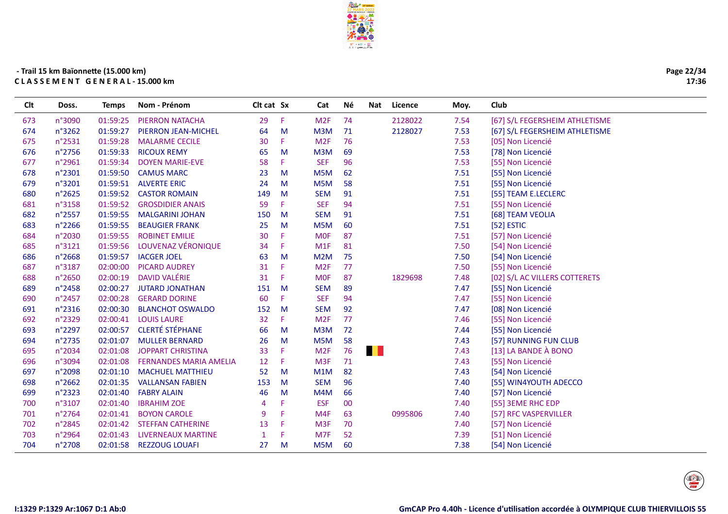

÷.

| n°3090<br>01:59:25<br><b>PIERRON NATACHA</b><br>29<br>F.<br>M <sub>2F</sub><br>74<br>2128022<br>7.54<br>[67] S/L FEGERSHEIM ATHLETISME<br>673<br>01:59:27<br>2128027<br>7.53<br>n°3262<br>PIERRON JEAN-MICHEL<br>64<br>M<br>M3M<br>71<br>[67] S/L FEGERSHEIM ATHLETISME<br>674<br>F.<br>76<br>n°2531<br>01:59:28<br>M <sub>2F</sub><br>7.53<br>[05] Non Licencié<br>675<br><b>MALARME CECILE</b><br>30<br>69<br>$n^{\circ}$ 2756<br>01:59:33<br><b>RICOUX REMY</b><br>M<br>M3M<br>7.53<br>[78] Non Licencié<br>676<br>65<br>n°2961<br>01:59:34<br>58<br>F.<br><b>SEF</b><br>96<br>7.53<br>[55] Non Licencié<br><b>DOYEN MARIE-EVE</b><br>677<br>62<br>n°2301<br>01:59:50<br>23<br>M<br>M5M<br>7.51<br>[55] Non Licencié<br>678<br><b>CAMUS MARC</b><br>58<br>n°3201<br>01:59:51<br><b>ALVERTE ERIC</b><br>M5M<br>7.51<br>[55] Non Licencié<br>679<br>24<br>M<br>n°2625<br>01:59:52<br>M<br><b>SEM</b><br>91<br>7.51<br><b>CASTOR ROMAIN</b><br>149<br>[55] TEAM E.LECLERC<br>680<br>F.<br>94<br>n°3158<br>01:59:52<br><b>GROSDIDIER ANAIS</b><br>59<br><b>SEF</b><br>7.51<br>681<br>[55] Non Licencié<br>91<br>n°2557<br>01:59:55<br><b>MALGARINI JOHAN</b><br><b>SEM</b><br>7.51<br>[68] TEAM VEOLIA<br>682<br>150<br>M<br>n°2266<br>01:59:55<br><b>BEAUGIER FRANK</b><br>25<br>M<br>M5M<br>60<br>7.51<br>[52] ESTIC<br>683<br>01:59:55<br><b>ROBINET EMILIE</b><br>7.51<br>n°2030<br>30<br>F.<br><b>MOF</b><br>87<br>[57] Non Licencié<br>684<br>LOUVENAZ VÉRONIQUE<br>01:59:56<br>7.50<br>[54] Non Licencié<br>n°3121<br>34<br>F.<br>M1F<br>81<br>685<br>n°2668<br>01:59:57<br><b>IACGER JOEL</b><br>M<br>75<br>7.50<br>686<br>63<br>M2M<br>[54] Non Licencié<br>02:00:00<br><b>PICARD AUDREY</b><br>77<br>n°3187<br>31<br>F<br>M <sub>2F</sub><br>7.50<br>[55] Non Licencié<br>687<br><b>DAVID VALÉRIE</b><br>n°2650<br>02:00:19<br>31<br>F<br><b>MOF</b><br>87<br>1829698<br>7.48<br>[02] S/L AC VILLERS COTTERETS<br>688<br>02:00:27<br>689<br>n°2458<br><b>JUTARD JONATHAN</b><br>151<br>M<br><b>SEM</b><br>89<br>7.47<br>[55] Non Licencié<br>$n^{\circ}$ 2457<br>02:00:28<br><b>GERARD DORINE</b><br>60<br>F.<br><b>SEF</b><br>94<br>7.47<br>[55] Non Licencié<br>690<br>n°2316<br>02:00:30<br><b>BLANCHOT OSWALDO</b><br><b>SEM</b><br>92<br>7.47<br>152<br>M<br>[08] Non Licencié<br>691<br>F.<br>77<br>n°2329<br>02:00:41<br><b>LOUIS LAURE</b><br>32<br>M <sub>2F</sub><br>7.46<br>692<br>[55] Non Licencié<br><b>CLERTÉ STÉPHANE</b><br>72<br>n°2297<br>02:00:57<br>66<br>M<br>M3M<br>7.44<br>[55] Non Licencié<br>693<br>n°2735<br>M<br>[57] RUNNING FUN CLUB<br>02:01:07<br><b>MULLER BERNARD</b><br>26<br>M5M<br>58<br>7.43<br>694<br><b>ALL ST</b><br>[13] LA BANDE À BONO<br>n°2034<br>02:01:08<br><b>JOPPART CHRISTINA</b><br>33<br>F<br>M <sub>2F</sub><br>76<br>7.43<br>695<br>F<br>M <sub>3F</sub><br>71<br>7.43<br>[55] Non Licencié<br>n°3094<br>02:01:08<br><b>FERNANDES MARIA AMELIA</b><br>12<br>696<br>M<br>82<br>[54] Non Licencié<br>697<br>n°2098<br>02:01:10<br><b>MACHUEL MATTHIEU</b><br>52<br>M1M<br>7.43<br>96<br>$n^{\circ}2662$<br><b>VALLANSAN FABIEN</b><br><b>SEM</b><br>7.40<br>[55] WIN4YOUTH ADECCO<br>698<br>02:01:35<br>153<br>M<br>66<br>n°2323<br>02:01:40<br><b>FABRY ALAIN</b><br>46<br>M<br>M4M<br>7.40<br>[57] Non Licencié<br>699<br>n°3107<br>02:01:40<br>F<br><b>ESF</b><br>00<br><b>IBRAHIM ZOE</b><br>7.40<br>[55] 3EME RHC EDP<br>700<br>4<br>n°2764<br>02:01:41<br>F<br>M4F<br>0995806<br><b>BOYON CAROLE</b><br>9<br>63<br>7.40<br>[57] RFC VASPERVILLER<br>701<br>70<br>n°2845<br>02:01:42<br><b>STEFFAN CATHERINE</b><br>13<br>F<br>M <sub>3F</sub><br>7.40<br>[57] Non Licencié<br>702<br>52<br>F<br>M7F<br>[51] Non Licencié<br>n°2964<br>02:01:43<br>LIVERNEAUX MARTINE<br>7.39<br>703<br>$\mathbf{1}$ | Clt | Doss. | <b>Temps</b> | Nom - Prénom | Clt cat Sx | Cat | Νé | Nat | Licence | Moy. | Club |
|--------------------------------------------------------------------------------------------------------------------------------------------------------------------------------------------------------------------------------------------------------------------------------------------------------------------------------------------------------------------------------------------------------------------------------------------------------------------------------------------------------------------------------------------------------------------------------------------------------------------------------------------------------------------------------------------------------------------------------------------------------------------------------------------------------------------------------------------------------------------------------------------------------------------------------------------------------------------------------------------------------------------------------------------------------------------------------------------------------------------------------------------------------------------------------------------------------------------------------------------------------------------------------------------------------------------------------------------------------------------------------------------------------------------------------------------------------------------------------------------------------------------------------------------------------------------------------------------------------------------------------------------------------------------------------------------------------------------------------------------------------------------------------------------------------------------------------------------------------------------------------------------------------------------------------------------------------------------------------------------------------------------------------------------------------------------------------------------------------------------------------------------------------------------------------------------------------------------------------------------------------------------------------------------------------------------------------------------------------------------------------------------------------------------------------------------------------------------------------------------------------------------------------------------------------------------------------------------------------------------------------------------------------------------------------------------------------------------------------------------------------------------------------------------------------------------------------------------------------------------------------------------------------------------------------------------------------------------------------------------------------------------------------------------------------------------------------------------------------------------------------------------------------------------------------------------------------------------------------------------------------------------------------------------------------------------------------------------------------------------------------------------------------------------------------------------------------------------------------------------------------------------------------------------------------------------------------------------------------------------------------------------------------------------------------------------------------------------------------------------------------------------------|-----|-------|--------------|--------------|------------|-----|----|-----|---------|------|------|
|                                                                                                                                                                                                                                                                                                                                                                                                                                                                                                                                                                                                                                                                                                                                                                                                                                                                                                                                                                                                                                                                                                                                                                                                                                                                                                                                                                                                                                                                                                                                                                                                                                                                                                                                                                                                                                                                                                                                                                                                                                                                                                                                                                                                                                                                                                                                                                                                                                                                                                                                                                                                                                                                                                                                                                                                                                                                                                                                                                                                                                                                                                                                                                                                                                                                                                                                                                                                                                                                                                                                                                                                                                                                                                                                                                          |     |       |              |              |            |     |    |     |         |      |      |
|                                                                                                                                                                                                                                                                                                                                                                                                                                                                                                                                                                                                                                                                                                                                                                                                                                                                                                                                                                                                                                                                                                                                                                                                                                                                                                                                                                                                                                                                                                                                                                                                                                                                                                                                                                                                                                                                                                                                                                                                                                                                                                                                                                                                                                                                                                                                                                                                                                                                                                                                                                                                                                                                                                                                                                                                                                                                                                                                                                                                                                                                                                                                                                                                                                                                                                                                                                                                                                                                                                                                                                                                                                                                                                                                                                          |     |       |              |              |            |     |    |     |         |      |      |
|                                                                                                                                                                                                                                                                                                                                                                                                                                                                                                                                                                                                                                                                                                                                                                                                                                                                                                                                                                                                                                                                                                                                                                                                                                                                                                                                                                                                                                                                                                                                                                                                                                                                                                                                                                                                                                                                                                                                                                                                                                                                                                                                                                                                                                                                                                                                                                                                                                                                                                                                                                                                                                                                                                                                                                                                                                                                                                                                                                                                                                                                                                                                                                                                                                                                                                                                                                                                                                                                                                                                                                                                                                                                                                                                                                          |     |       |              |              |            |     |    |     |         |      |      |
|                                                                                                                                                                                                                                                                                                                                                                                                                                                                                                                                                                                                                                                                                                                                                                                                                                                                                                                                                                                                                                                                                                                                                                                                                                                                                                                                                                                                                                                                                                                                                                                                                                                                                                                                                                                                                                                                                                                                                                                                                                                                                                                                                                                                                                                                                                                                                                                                                                                                                                                                                                                                                                                                                                                                                                                                                                                                                                                                                                                                                                                                                                                                                                                                                                                                                                                                                                                                                                                                                                                                                                                                                                                                                                                                                                          |     |       |              |              |            |     |    |     |         |      |      |
|                                                                                                                                                                                                                                                                                                                                                                                                                                                                                                                                                                                                                                                                                                                                                                                                                                                                                                                                                                                                                                                                                                                                                                                                                                                                                                                                                                                                                                                                                                                                                                                                                                                                                                                                                                                                                                                                                                                                                                                                                                                                                                                                                                                                                                                                                                                                                                                                                                                                                                                                                                                                                                                                                                                                                                                                                                                                                                                                                                                                                                                                                                                                                                                                                                                                                                                                                                                                                                                                                                                                                                                                                                                                                                                                                                          |     |       |              |              |            |     |    |     |         |      |      |
|                                                                                                                                                                                                                                                                                                                                                                                                                                                                                                                                                                                                                                                                                                                                                                                                                                                                                                                                                                                                                                                                                                                                                                                                                                                                                                                                                                                                                                                                                                                                                                                                                                                                                                                                                                                                                                                                                                                                                                                                                                                                                                                                                                                                                                                                                                                                                                                                                                                                                                                                                                                                                                                                                                                                                                                                                                                                                                                                                                                                                                                                                                                                                                                                                                                                                                                                                                                                                                                                                                                                                                                                                                                                                                                                                                          |     |       |              |              |            |     |    |     |         |      |      |
|                                                                                                                                                                                                                                                                                                                                                                                                                                                                                                                                                                                                                                                                                                                                                                                                                                                                                                                                                                                                                                                                                                                                                                                                                                                                                                                                                                                                                                                                                                                                                                                                                                                                                                                                                                                                                                                                                                                                                                                                                                                                                                                                                                                                                                                                                                                                                                                                                                                                                                                                                                                                                                                                                                                                                                                                                                                                                                                                                                                                                                                                                                                                                                                                                                                                                                                                                                                                                                                                                                                                                                                                                                                                                                                                                                          |     |       |              |              |            |     |    |     |         |      |      |
|                                                                                                                                                                                                                                                                                                                                                                                                                                                                                                                                                                                                                                                                                                                                                                                                                                                                                                                                                                                                                                                                                                                                                                                                                                                                                                                                                                                                                                                                                                                                                                                                                                                                                                                                                                                                                                                                                                                                                                                                                                                                                                                                                                                                                                                                                                                                                                                                                                                                                                                                                                                                                                                                                                                                                                                                                                                                                                                                                                                                                                                                                                                                                                                                                                                                                                                                                                                                                                                                                                                                                                                                                                                                                                                                                                          |     |       |              |              |            |     |    |     |         |      |      |
|                                                                                                                                                                                                                                                                                                                                                                                                                                                                                                                                                                                                                                                                                                                                                                                                                                                                                                                                                                                                                                                                                                                                                                                                                                                                                                                                                                                                                                                                                                                                                                                                                                                                                                                                                                                                                                                                                                                                                                                                                                                                                                                                                                                                                                                                                                                                                                                                                                                                                                                                                                                                                                                                                                                                                                                                                                                                                                                                                                                                                                                                                                                                                                                                                                                                                                                                                                                                                                                                                                                                                                                                                                                                                                                                                                          |     |       |              |              |            |     |    |     |         |      |      |
|                                                                                                                                                                                                                                                                                                                                                                                                                                                                                                                                                                                                                                                                                                                                                                                                                                                                                                                                                                                                                                                                                                                                                                                                                                                                                                                                                                                                                                                                                                                                                                                                                                                                                                                                                                                                                                                                                                                                                                                                                                                                                                                                                                                                                                                                                                                                                                                                                                                                                                                                                                                                                                                                                                                                                                                                                                                                                                                                                                                                                                                                                                                                                                                                                                                                                                                                                                                                                                                                                                                                                                                                                                                                                                                                                                          |     |       |              |              |            |     |    |     |         |      |      |
|                                                                                                                                                                                                                                                                                                                                                                                                                                                                                                                                                                                                                                                                                                                                                                                                                                                                                                                                                                                                                                                                                                                                                                                                                                                                                                                                                                                                                                                                                                                                                                                                                                                                                                                                                                                                                                                                                                                                                                                                                                                                                                                                                                                                                                                                                                                                                                                                                                                                                                                                                                                                                                                                                                                                                                                                                                                                                                                                                                                                                                                                                                                                                                                                                                                                                                                                                                                                                                                                                                                                                                                                                                                                                                                                                                          |     |       |              |              |            |     |    |     |         |      |      |
|                                                                                                                                                                                                                                                                                                                                                                                                                                                                                                                                                                                                                                                                                                                                                                                                                                                                                                                                                                                                                                                                                                                                                                                                                                                                                                                                                                                                                                                                                                                                                                                                                                                                                                                                                                                                                                                                                                                                                                                                                                                                                                                                                                                                                                                                                                                                                                                                                                                                                                                                                                                                                                                                                                                                                                                                                                                                                                                                                                                                                                                                                                                                                                                                                                                                                                                                                                                                                                                                                                                                                                                                                                                                                                                                                                          |     |       |              |              |            |     |    |     |         |      |      |
|                                                                                                                                                                                                                                                                                                                                                                                                                                                                                                                                                                                                                                                                                                                                                                                                                                                                                                                                                                                                                                                                                                                                                                                                                                                                                                                                                                                                                                                                                                                                                                                                                                                                                                                                                                                                                                                                                                                                                                                                                                                                                                                                                                                                                                                                                                                                                                                                                                                                                                                                                                                                                                                                                                                                                                                                                                                                                                                                                                                                                                                                                                                                                                                                                                                                                                                                                                                                                                                                                                                                                                                                                                                                                                                                                                          |     |       |              |              |            |     |    |     |         |      |      |
|                                                                                                                                                                                                                                                                                                                                                                                                                                                                                                                                                                                                                                                                                                                                                                                                                                                                                                                                                                                                                                                                                                                                                                                                                                                                                                                                                                                                                                                                                                                                                                                                                                                                                                                                                                                                                                                                                                                                                                                                                                                                                                                                                                                                                                                                                                                                                                                                                                                                                                                                                                                                                                                                                                                                                                                                                                                                                                                                                                                                                                                                                                                                                                                                                                                                                                                                                                                                                                                                                                                                                                                                                                                                                                                                                                          |     |       |              |              |            |     |    |     |         |      |      |
|                                                                                                                                                                                                                                                                                                                                                                                                                                                                                                                                                                                                                                                                                                                                                                                                                                                                                                                                                                                                                                                                                                                                                                                                                                                                                                                                                                                                                                                                                                                                                                                                                                                                                                                                                                                                                                                                                                                                                                                                                                                                                                                                                                                                                                                                                                                                                                                                                                                                                                                                                                                                                                                                                                                                                                                                                                                                                                                                                                                                                                                                                                                                                                                                                                                                                                                                                                                                                                                                                                                                                                                                                                                                                                                                                                          |     |       |              |              |            |     |    |     |         |      |      |
|                                                                                                                                                                                                                                                                                                                                                                                                                                                                                                                                                                                                                                                                                                                                                                                                                                                                                                                                                                                                                                                                                                                                                                                                                                                                                                                                                                                                                                                                                                                                                                                                                                                                                                                                                                                                                                                                                                                                                                                                                                                                                                                                                                                                                                                                                                                                                                                                                                                                                                                                                                                                                                                                                                                                                                                                                                                                                                                                                                                                                                                                                                                                                                                                                                                                                                                                                                                                                                                                                                                                                                                                                                                                                                                                                                          |     |       |              |              |            |     |    |     |         |      |      |
|                                                                                                                                                                                                                                                                                                                                                                                                                                                                                                                                                                                                                                                                                                                                                                                                                                                                                                                                                                                                                                                                                                                                                                                                                                                                                                                                                                                                                                                                                                                                                                                                                                                                                                                                                                                                                                                                                                                                                                                                                                                                                                                                                                                                                                                                                                                                                                                                                                                                                                                                                                                                                                                                                                                                                                                                                                                                                                                                                                                                                                                                                                                                                                                                                                                                                                                                                                                                                                                                                                                                                                                                                                                                                                                                                                          |     |       |              |              |            |     |    |     |         |      |      |
|                                                                                                                                                                                                                                                                                                                                                                                                                                                                                                                                                                                                                                                                                                                                                                                                                                                                                                                                                                                                                                                                                                                                                                                                                                                                                                                                                                                                                                                                                                                                                                                                                                                                                                                                                                                                                                                                                                                                                                                                                                                                                                                                                                                                                                                                                                                                                                                                                                                                                                                                                                                                                                                                                                                                                                                                                                                                                                                                                                                                                                                                                                                                                                                                                                                                                                                                                                                                                                                                                                                                                                                                                                                                                                                                                                          |     |       |              |              |            |     |    |     |         |      |      |
|                                                                                                                                                                                                                                                                                                                                                                                                                                                                                                                                                                                                                                                                                                                                                                                                                                                                                                                                                                                                                                                                                                                                                                                                                                                                                                                                                                                                                                                                                                                                                                                                                                                                                                                                                                                                                                                                                                                                                                                                                                                                                                                                                                                                                                                                                                                                                                                                                                                                                                                                                                                                                                                                                                                                                                                                                                                                                                                                                                                                                                                                                                                                                                                                                                                                                                                                                                                                                                                                                                                                                                                                                                                                                                                                                                          |     |       |              |              |            |     |    |     |         |      |      |
|                                                                                                                                                                                                                                                                                                                                                                                                                                                                                                                                                                                                                                                                                                                                                                                                                                                                                                                                                                                                                                                                                                                                                                                                                                                                                                                                                                                                                                                                                                                                                                                                                                                                                                                                                                                                                                                                                                                                                                                                                                                                                                                                                                                                                                                                                                                                                                                                                                                                                                                                                                                                                                                                                                                                                                                                                                                                                                                                                                                                                                                                                                                                                                                                                                                                                                                                                                                                                                                                                                                                                                                                                                                                                                                                                                          |     |       |              |              |            |     |    |     |         |      |      |
|                                                                                                                                                                                                                                                                                                                                                                                                                                                                                                                                                                                                                                                                                                                                                                                                                                                                                                                                                                                                                                                                                                                                                                                                                                                                                                                                                                                                                                                                                                                                                                                                                                                                                                                                                                                                                                                                                                                                                                                                                                                                                                                                                                                                                                                                                                                                                                                                                                                                                                                                                                                                                                                                                                                                                                                                                                                                                                                                                                                                                                                                                                                                                                                                                                                                                                                                                                                                                                                                                                                                                                                                                                                                                                                                                                          |     |       |              |              |            |     |    |     |         |      |      |
|                                                                                                                                                                                                                                                                                                                                                                                                                                                                                                                                                                                                                                                                                                                                                                                                                                                                                                                                                                                                                                                                                                                                                                                                                                                                                                                                                                                                                                                                                                                                                                                                                                                                                                                                                                                                                                                                                                                                                                                                                                                                                                                                                                                                                                                                                                                                                                                                                                                                                                                                                                                                                                                                                                                                                                                                                                                                                                                                                                                                                                                                                                                                                                                                                                                                                                                                                                                                                                                                                                                                                                                                                                                                                                                                                                          |     |       |              |              |            |     |    |     |         |      |      |
|                                                                                                                                                                                                                                                                                                                                                                                                                                                                                                                                                                                                                                                                                                                                                                                                                                                                                                                                                                                                                                                                                                                                                                                                                                                                                                                                                                                                                                                                                                                                                                                                                                                                                                                                                                                                                                                                                                                                                                                                                                                                                                                                                                                                                                                                                                                                                                                                                                                                                                                                                                                                                                                                                                                                                                                                                                                                                                                                                                                                                                                                                                                                                                                                                                                                                                                                                                                                                                                                                                                                                                                                                                                                                                                                                                          |     |       |              |              |            |     |    |     |         |      |      |
|                                                                                                                                                                                                                                                                                                                                                                                                                                                                                                                                                                                                                                                                                                                                                                                                                                                                                                                                                                                                                                                                                                                                                                                                                                                                                                                                                                                                                                                                                                                                                                                                                                                                                                                                                                                                                                                                                                                                                                                                                                                                                                                                                                                                                                                                                                                                                                                                                                                                                                                                                                                                                                                                                                                                                                                                                                                                                                                                                                                                                                                                                                                                                                                                                                                                                                                                                                                                                                                                                                                                                                                                                                                                                                                                                                          |     |       |              |              |            |     |    |     |         |      |      |
|                                                                                                                                                                                                                                                                                                                                                                                                                                                                                                                                                                                                                                                                                                                                                                                                                                                                                                                                                                                                                                                                                                                                                                                                                                                                                                                                                                                                                                                                                                                                                                                                                                                                                                                                                                                                                                                                                                                                                                                                                                                                                                                                                                                                                                                                                                                                                                                                                                                                                                                                                                                                                                                                                                                                                                                                                                                                                                                                                                                                                                                                                                                                                                                                                                                                                                                                                                                                                                                                                                                                                                                                                                                                                                                                                                          |     |       |              |              |            |     |    |     |         |      |      |
|                                                                                                                                                                                                                                                                                                                                                                                                                                                                                                                                                                                                                                                                                                                                                                                                                                                                                                                                                                                                                                                                                                                                                                                                                                                                                                                                                                                                                                                                                                                                                                                                                                                                                                                                                                                                                                                                                                                                                                                                                                                                                                                                                                                                                                                                                                                                                                                                                                                                                                                                                                                                                                                                                                                                                                                                                                                                                                                                                                                                                                                                                                                                                                                                                                                                                                                                                                                                                                                                                                                                                                                                                                                                                                                                                                          |     |       |              |              |            |     |    |     |         |      |      |
|                                                                                                                                                                                                                                                                                                                                                                                                                                                                                                                                                                                                                                                                                                                                                                                                                                                                                                                                                                                                                                                                                                                                                                                                                                                                                                                                                                                                                                                                                                                                                                                                                                                                                                                                                                                                                                                                                                                                                                                                                                                                                                                                                                                                                                                                                                                                                                                                                                                                                                                                                                                                                                                                                                                                                                                                                                                                                                                                                                                                                                                                                                                                                                                                                                                                                                                                                                                                                                                                                                                                                                                                                                                                                                                                                                          |     |       |              |              |            |     |    |     |         |      |      |
|                                                                                                                                                                                                                                                                                                                                                                                                                                                                                                                                                                                                                                                                                                                                                                                                                                                                                                                                                                                                                                                                                                                                                                                                                                                                                                                                                                                                                                                                                                                                                                                                                                                                                                                                                                                                                                                                                                                                                                                                                                                                                                                                                                                                                                                                                                                                                                                                                                                                                                                                                                                                                                                                                                                                                                                                                                                                                                                                                                                                                                                                                                                                                                                                                                                                                                                                                                                                                                                                                                                                                                                                                                                                                                                                                                          |     |       |              |              |            |     |    |     |         |      |      |
|                                                                                                                                                                                                                                                                                                                                                                                                                                                                                                                                                                                                                                                                                                                                                                                                                                                                                                                                                                                                                                                                                                                                                                                                                                                                                                                                                                                                                                                                                                                                                                                                                                                                                                                                                                                                                                                                                                                                                                                                                                                                                                                                                                                                                                                                                                                                                                                                                                                                                                                                                                                                                                                                                                                                                                                                                                                                                                                                                                                                                                                                                                                                                                                                                                                                                                                                                                                                                                                                                                                                                                                                                                                                                                                                                                          |     |       |              |              |            |     |    |     |         |      |      |
|                                                                                                                                                                                                                                                                                                                                                                                                                                                                                                                                                                                                                                                                                                                                                                                                                                                                                                                                                                                                                                                                                                                                                                                                                                                                                                                                                                                                                                                                                                                                                                                                                                                                                                                                                                                                                                                                                                                                                                                                                                                                                                                                                                                                                                                                                                                                                                                                                                                                                                                                                                                                                                                                                                                                                                                                                                                                                                                                                                                                                                                                                                                                                                                                                                                                                                                                                                                                                                                                                                                                                                                                                                                                                                                                                                          |     |       |              |              |            |     |    |     |         |      |      |
|                                                                                                                                                                                                                                                                                                                                                                                                                                                                                                                                                                                                                                                                                                                                                                                                                                                                                                                                                                                                                                                                                                                                                                                                                                                                                                                                                                                                                                                                                                                                                                                                                                                                                                                                                                                                                                                                                                                                                                                                                                                                                                                                                                                                                                                                                                                                                                                                                                                                                                                                                                                                                                                                                                                                                                                                                                                                                                                                                                                                                                                                                                                                                                                                                                                                                                                                                                                                                                                                                                                                                                                                                                                                                                                                                                          |     |       |              |              |            |     |    |     |         |      |      |
| n°2708<br>02:01:58<br><b>REZZOUG LOUAFI</b><br>60<br>[54] Non Licencié<br>27<br>M<br>M5M<br>7.38<br>704                                                                                                                                                                                                                                                                                                                                                                                                                                                                                                                                                                                                                                                                                                                                                                                                                                                                                                                                                                                                                                                                                                                                                                                                                                                                                                                                                                                                                                                                                                                                                                                                                                                                                                                                                                                                                                                                                                                                                                                                                                                                                                                                                                                                                                                                                                                                                                                                                                                                                                                                                                                                                                                                                                                                                                                                                                                                                                                                                                                                                                                                                                                                                                                                                                                                                                                                                                                                                                                                                                                                                                                                                                                                  |     |       |              |              |            |     |    |     |         |      |      |

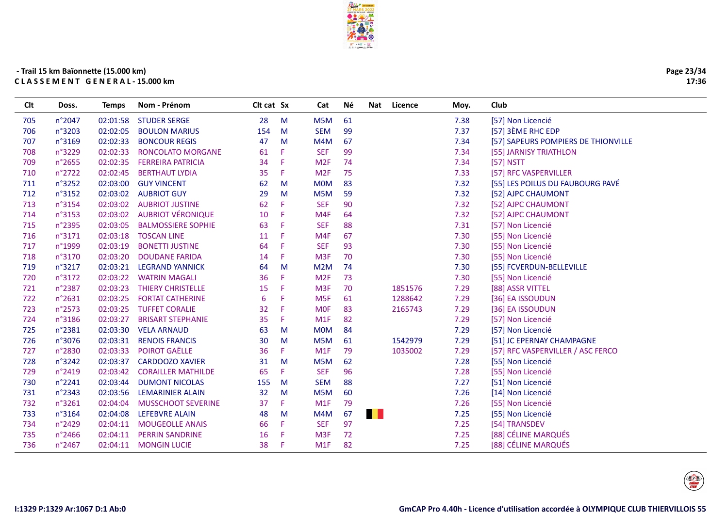

| Page 23/34 |
|------------|
| 17:36      |

| Clt | Doss.  | <b>Temps</b> | Nom - Prénom              | Clt cat Sx |    | Cat             | Νé | Nat | Licence | Moy. | Club                                |
|-----|--------|--------------|---------------------------|------------|----|-----------------|----|-----|---------|------|-------------------------------------|
| 705 | n°2047 | 02:01:58     | <b>STUDER SERGE</b>       | 28         | M  | M5M             | 61 |     |         | 7.38 | [57] Non Licencié                   |
| 706 | n°3203 | 02:02:05     | <b>BOULON MARIUS</b>      | 154        | M  | <b>SEM</b>      | 99 |     |         | 7.37 | [57] 3ÈME RHC EDP                   |
| 707 | n°3169 | 02:02:33     | <b>BONCOUR REGIS</b>      | 47         | M  | M4M             | 67 |     |         | 7.34 | [57] SAPEURS POMPIERS DE THIONVILLE |
| 708 | n°3229 | 02:02:33     | RONCOLATO MORGANE         | 61         | F. | <b>SEF</b>      | 99 |     |         | 7.34 | [55] JARNISY TRIATHLON              |
| 709 | n°2655 | 02:02:35     | <b>FERREIRA PATRICIA</b>  | 34         | F  | M2F             | 74 |     |         | 7.34 | [57] NSTT                           |
| 710 | n°2722 | 02:02:45     | <b>BERTHAUT LYDIA</b>     | 35         | F. | M2F             | 75 |     |         | 7.33 | [57] RFC VASPERVILLER               |
| 711 | n°3252 |              | 02:03:00 GUY VINCENT      | 62         | M  | <b>MOM</b>      | 83 |     |         | 7.32 | [55] LES POILUS DU FAUBOURG PAVÉ    |
| 712 | n°3152 | 02:03:02     | <b>AUBRIOT GUY</b>        | 29         | M  | M5M             | 59 |     |         | 7.32 | [52] AJPC CHAUMONT                  |
| 713 | n°3154 | 02:03:02     | <b>AUBRIOT JUSTINE</b>    | 62         | F. | <b>SEF</b>      | 90 |     |         | 7.32 | [52] AJPC CHAUMONT                  |
| 714 | n°3153 | 02:03:02     | <b>AUBRIOT VÉRONIQUE</b>  | 10         | F. | M4F             | 64 |     |         | 7.32 | [52] AJPC CHAUMONT                  |
| 715 | n°2395 | 02:03:05     | <b>BALMOSSIERE SOPHIE</b> | 63         | F  | <b>SEF</b>      | 88 |     |         | 7.31 | [57] Non Licencié                   |
| 716 | n°3171 | 02:03:18     | <b>TOSCAN LINE</b>        | 11         | F  | M4F             | 67 |     |         | 7.30 | [55] Non Licencié                   |
| 717 | n°1999 | 02:03:19     | <b>BONETTI JUSTINE</b>    | 64         | F  | <b>SEF</b>      | 93 |     |         | 7.30 | [55] Non Licencié                   |
| 718 | n°3170 | 02:03:20     | <b>DOUDANE FARIDA</b>     | 14         | F. | M3F             | 70 |     |         | 7.30 | [55] Non Licencié                   |
| 719 | n°3217 | 02:03:21     | <b>LEGRAND YANNICK</b>    | 64         | M  | M2M             | 74 |     |         | 7.30 | [55] FCVERDUN-BELLEVILLE            |
| 720 | n°3172 | 02:03:22     | <b>WATRIN MAGALI</b>      | 36         | F. | M2F             | 73 |     |         | 7.30 | [55] Non Licencié                   |
| 721 | n°2387 | 02:03:23     | <b>THIERY CHRISTELLE</b>  | 15         | F  | M <sub>3F</sub> | 70 |     | 1851576 | 7.29 | [88] ASSR VITTEL                    |
| 722 | n°2631 | 02:03:25     | <b>FORTAT CATHERINE</b>   | 6          | F  | M <sub>5F</sub> | 61 |     | 1288642 | 7.29 | [36] EA ISSOUDUN                    |
| 723 | n°2573 | 02:03:25     | <b>TUFFET CORALIE</b>     | 32         | F  | <b>MOF</b>      | 83 |     | 2165743 | 7.29 | [36] EA ISSOUDUN                    |
| 724 | n°3186 | 02:03:27     | <b>BRISART STEPHANIE</b>  | 35         | F. | M1F             | 82 |     |         | 7.29 | [57] Non Licencié                   |
| 725 | n°2381 | 02:03:30     | <b>VELA ARNAUD</b>        | 63         | M  | <b>MOM</b>      | 84 |     |         | 7.29 | [57] Non Licencié                   |
| 726 | n°3076 | 02:03:31     | <b>RENOIS FRANCIS</b>     | 30         | M  | M5M             | 61 |     | 1542979 | 7.29 | [51] JC EPERNAY CHAMPAGNE           |
| 727 | n°2830 | 02:03:33     | POIROT GAËLLE             | 36         | F. | M1F             | 79 |     | 1035002 | 7.29 | [57] RFC VASPERVILLER / ASC FERCO   |
| 728 | n°3242 | 02:03:37     | <b>CARDOOZO XAVIER</b>    | 31         | M  | M5M             | 62 |     |         | 7.28 | [55] Non Licencié                   |
| 729 | n°2419 | 02:03:42     | <b>CORAILLER MATHILDE</b> | 65         | F. | <b>SEF</b>      | 96 |     |         | 7.28 | [55] Non Licencié                   |
| 730 | n°2241 | 02:03:44     | <b>DUMONT NICOLAS</b>     | 155        | M  | <b>SEM</b>      | 88 |     |         | 7.27 | [51] Non Licencié                   |
| 731 | n°2343 | 02:03:56     | <b>LEMARINIER ALAIN</b>   | 32         | M  | M5M             | 60 |     |         | 7.26 | [14] Non Licencié                   |
| 732 | n°3261 | 02:04:04     | <b>MUSSCHOOT SEVERINE</b> | 37         | F. | M1F             | 79 |     |         | 7.26 | [55] Non Licencié                   |
| 733 | n°3164 | 02:04:08     | <b>LEFEBVRE ALAIN</b>     | 48         | M  | M4M             | 67 | . . |         | 7.25 | [55] Non Licencié                   |
| 734 | n°2429 | 02:04:11     | <b>MOUGEOLLE ANAIS</b>    | 66         | F. | <b>SEF</b>      | 97 |     |         | 7.25 | [54] TRANSDEV                       |
| 735 | n°2466 | 02:04:11     | <b>PERRIN SANDRINE</b>    | 16         | F  | M3F             | 72 |     |         | 7.25 | [88] CÉLINE MARQUÉS                 |
| 736 | n°2467 | 02:04:11     | <b>MONGIN LUCIE</b>       | 38         | F. | M1F             | 82 |     |         | 7.25 | [88] CÉLINE MARQUÉS                 |
|     |        |              |                           |            |    |                 |    |     |         |      |                                     |

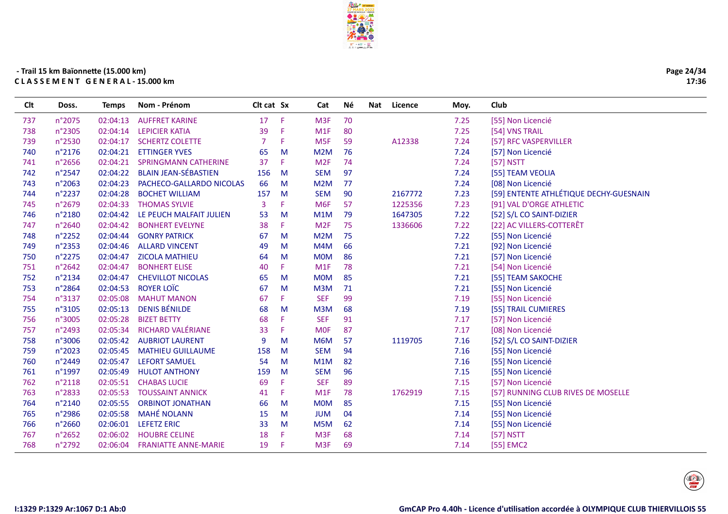

| Page 24/34 |
|------------|
| 17:36      |

| Clt | Doss.  | <b>Temps</b> | Nom - Prénom                | Clt cat Sx |    | Cat              | Νé | Nat | Licence | Moy. | Club                                   |
|-----|--------|--------------|-----------------------------|------------|----|------------------|----|-----|---------|------|----------------------------------------|
| 737 | n°2075 | 02:04:13     | <b>AUFFRET KARINE</b>       | 17         | F  | M <sub>3F</sub>  | 70 |     |         | 7.25 | [55] Non Licencié                      |
| 738 | n°2305 | 02:04:14     | <b>LEPICIER KATIA</b>       | 39         | F  | M1F              | 80 |     |         | 7.25 | [54] VNS TRAIL                         |
| 739 | n°2530 | 02:04:17     | <b>SCHERTZ COLETTE</b>      | 7          | F  | M <sub>5F</sub>  | 59 |     | A12338  | 7.24 | [57] RFC VASPERVILLER                  |
| 740 | n°2176 | 02:04:21     | <b>ETTINGER YVES</b>        | 65         | M  | M <sub>2</sub> M | 76 |     |         | 7.24 | [57] Non Licencié                      |
| 741 | n°2656 | 02:04:21     | <b>SPRINGMANN CATHERINE</b> | 37         | F  | M <sub>2F</sub>  | 74 |     |         | 7.24 | [57] NSTT                              |
| 742 | n°2547 | 02:04:22     | <b>BLAIN JEAN-SÉBASTIEN</b> | 156        | M  | <b>SEM</b>       | 97 |     |         | 7.24 | [55] TEAM VEOLIA                       |
| 743 | n°2063 | 02:04:23     | PACHECO-GALLARDO NICOLAS    | 66         | M  | M2M              | 77 |     |         | 7.24 | [08] Non Licencié                      |
| 744 | n°2237 | 02:04:28     | <b>BOCHET WILLIAM</b>       | 157        | M  | <b>SEM</b>       | 90 |     | 2167772 | 7.23 | [59] ENTENTE ATHLÉTIQUE DECHY-GUESNAIN |
| 745 | n°2679 | 02:04:33     | <b>THOMAS SYLVIE</b>        | 3          |    | M <sub>6F</sub>  | 57 |     | 1225356 | 7.23 | [91] VAL D'ORGE ATHLETIC               |
| 746 | n°2180 | 02:04:42     | LE PEUCH MALFAIT JULIEN     | 53         | M  | M1M              | 79 |     | 1647305 | 7.22 | [52] S/L CO SAINT-DIZIER               |
| 747 | n°2640 | 02:04:42     | <b>BONHERT EVELYNE</b>      | 38         | F  | M <sub>2F</sub>  | 75 |     | 1336606 | 7.22 | [22] AC VILLERS-COTTERÊT               |
| 748 | n°2252 | 02:04:44     | <b>GONRY PATRICK</b>        | 67         | M  | M2M              | 75 |     |         | 7.22 | [55] Non Licencié                      |
| 749 | n°2353 | 02:04:46     | <b>ALLARD VINCENT</b>       | 49         | M  | M4M              | 66 |     |         | 7.21 | [92] Non Licencié                      |
| 750 | n°2275 | 02:04:47     | <b>ZICOLA MATHIEU</b>       | 64         | м  | <b>MOM</b>       | 86 |     |         | 7.21 | [57] Non Licencié                      |
| 751 | n°2642 | 02:04:47     | <b>BONHERT ELISE</b>        | 40         | F. | M1F              | 78 |     |         | 7.21 | [54] Non Licencié                      |
| 752 | n°2134 | 02:04:47     | <b>CHEVILLOT NICOLAS</b>    | 65         | M  | <b>MOM</b>       | 85 |     |         | 7.21 | [55] TEAM SAKOCHE                      |
| 753 | n°2864 | 02:04:53     | <b>ROYER LOÏC</b>           | 67         | M  | M3M              | 71 |     |         | 7.21 | [55] Non Licencié                      |
| 754 | n°3137 | 02:05:08     | <b>MAHUT MANON</b>          | 67         | F. | <b>SEF</b>       | 99 |     |         | 7.19 | [55] Non Licencié                      |
| 755 | n°3105 | 02:05:13     | <b>DENIS BÉNILDE</b>        | 68         | M  | M3M              | 68 |     |         | 7.19 | [55] TRAIL CUMIERES                    |
| 756 | n°3005 | 02:05:28     | <b>BIZET BETTY</b>          | 68         | F  | <b>SEF</b>       | 91 |     |         | 7.17 | [57] Non Licencié                      |
| 757 | n°2493 | 02:05:34     | <b>RICHARD VALÉRIANE</b>    | 33         | F  | <b>MOF</b>       | 87 |     |         | 7.17 | [08] Non Licencié                      |
| 758 | n°3006 | 02:05:42     | <b>AUBRIOT LAURENT</b>      | 9          | M  | M6M              | 57 |     | 1119705 | 7.16 | [52] S/L CO SAINT-DIZIER               |
| 759 | n°2023 | 02:05:45     | <b>MATHIEU GUILLAUME</b>    | 158        | M  | <b>SEM</b>       | 94 |     |         | 7.16 | [55] Non Licencié                      |
| 760 | n°2449 | 02:05:47     | <b>LEFORT SAMUEL</b>        | 54         | M  | M1M              | 82 |     |         | 7.16 | [55] Non Licencié                      |
| 761 | n°1997 | 02:05:49     | <b>HULOT ANTHONY</b>        | 159        | M  | <b>SEM</b>       | 96 |     |         | 7.15 | [55] Non Licencié                      |
| 762 | n°2118 | 02:05:51     | <b>CHABAS LUCIE</b>         | 69         | F  | <b>SEF</b>       | 89 |     |         | 7.15 | [57] Non Licencié                      |
| 763 | n°2833 | 02:05:53     | <b>TOUSSAINT ANNICK</b>     | 41         | F  | M1F              | 78 |     | 1762919 | 7.15 | [57] RUNNING CLUB RIVES DE MOSELLE     |
| 764 | n°2140 | 02:05:55     | <b>ORBINOT JONATHAN</b>     | 66         | M  | <b>MOM</b>       | 85 |     |         | 7.15 | [55] Non Licencié                      |
| 765 | n°2986 | 02:05:58     | <b>MAHÉ NOLANN</b>          | 15         | м  | <b>JUM</b>       | 04 |     |         | 7.14 | [55] Non Licencié                      |
| 766 | n°2660 | 02:06:01     | <b>LEFETZ ERIC</b>          | 33         | M  | M5M              | 62 |     |         | 7.14 | [55] Non Licencié                      |
| 767 | n°2652 | 02:06:02     | <b>HOUBRE CELINE</b>        | 18         | F  | M <sub>3F</sub>  | 68 |     |         | 7.14 | [57] NSTT                              |
| 768 | n°2792 | 02:06:04     | <b>FRANIATTE ANNE-MARIE</b> | 19         | F. | M <sub>3F</sub>  | 69 |     |         | 7.14 | [55] EMC2                              |
|     |        |              |                             |            |    |                  |    |     |         |      |                                        |

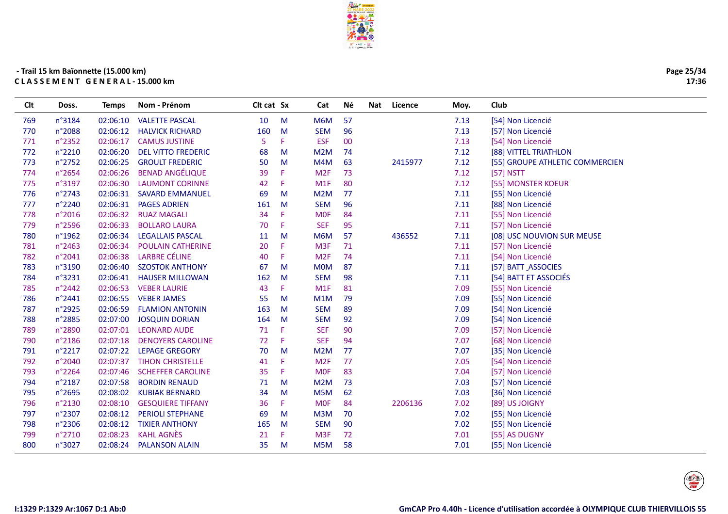

| Page 25/34 |
|------------|
| 17:36      |

| <b>CIt</b> | Doss.  | Temps    | Nom - Prénom              | Cit cat Sx |    | Cat              | Né | Nat | Licence | Moy. | Club                            |
|------------|--------|----------|---------------------------|------------|----|------------------|----|-----|---------|------|---------------------------------|
| 769        | n°3184 | 02:06:10 | <b>VALETTE PASCAL</b>     | 10         | M  | M6M              | 57 |     |         | 7.13 | [54] Non Licencié               |
| 770        | n°2088 | 02:06:12 | <b>HALVICK RICHARD</b>    | 160        | M  | <b>SEM</b>       | 96 |     |         | 7.13 | [57] Non Licencié               |
| 771        | n°2352 | 02:06:17 | <b>CAMUS JUSTINE</b>      | 5          | F. | <b>ESF</b>       | 00 |     |         | 7.13 | [54] Non Licencié               |
| 772        | n°2210 | 02:06:20 | <b>DEL VITTO FREDERIC</b> | 68         | M  | M <sub>2</sub> M | 74 |     |         | 7.12 | [88] VITTEL TRIATHLON           |
| 773        | n°2752 | 02:06:25 | <b>GROULT FREDERIC</b>    | 50         | M  | M4M              | 63 |     | 2415977 | 7.12 | [55] GROUPE ATHLETIC COMMERCIEN |
| 774        | n°2654 | 02:06:26 | <b>BENAD ANGÉLIQUE</b>    | 39         | F  | M <sub>2F</sub>  | 73 |     |         | 7.12 | [57] NSTT                       |
| 775        | n°3197 | 02:06:30 | <b>LAUMONT CORINNE</b>    | 42         | F. | M1F              | 80 |     |         | 7.12 | [55] MONSTER KOEUR              |
| 776        | n°2743 | 02:06:31 | <b>SAVARD EMMANUEL</b>    | 69         | M  | M <sub>2</sub> M | 77 |     |         | 7.11 | [55] Non Licencié               |
| 777        | n°2240 | 02:06:31 | <b>PAGES ADRIEN</b>       | 161        | M  | <b>SEM</b>       | 96 |     |         | 7.11 | [88] Non Licencié               |
| 778        | n°2016 | 02:06:32 | <b>RUAZ MAGALI</b>        | 34         | F. | <b>MOF</b>       | 84 |     |         | 7.11 | [55] Non Licencié               |
| 779        | n°2596 | 02:06:33 | <b>BOLLARO LAURA</b>      | 70         | F. | <b>SEF</b>       | 95 |     |         | 7.11 | [57] Non Licencié               |
| 780        | n°1962 | 02:06:34 | <b>LEGALLAIS PASCAL</b>   | 11         | M  | M6M              | 57 |     | 436552  | 7.11 | [08] USC NOUVION SUR MEUSE      |
| 781        | n°2463 | 02:06:34 | <b>POULAIN CATHERINE</b>  | 20         | F  | M <sub>3F</sub>  | 71 |     |         | 7.11 | [57] Non Licencié               |
| 782        | n°2041 | 02:06:38 | <b>LARBRE CÉLINE</b>      | 40         | F  | M <sub>2F</sub>  | 74 |     |         | 7.11 | [54] Non Licencié               |
| 783        | n°3190 | 02:06:40 | <b>SZOSTOK ANTHONY</b>    | 67         | M  | <b>MOM</b>       | 87 |     |         | 7.11 | [57] BATT ASSOCIES              |
| 784        | n°3231 | 02:06:41 | <b>HAUSER MILLOWAN</b>    | 162        | M  | <b>SEM</b>       | 98 |     |         | 7.11 | [54] BATT ET ASSOCIÉS           |
| 785        | n°2442 | 02:06:53 | <b>VEBER LAURIE</b>       | 43         | F. | M1F              | 81 |     |         | 7.09 | [55] Non Licencié               |
| 786        | n°2441 | 02:06:55 | <b>VEBER JAMES</b>        | 55         | M  | M1M              | 79 |     |         | 7.09 | [55] Non Licencié               |
| 787        | n°2925 | 02:06:59 | <b>FLAMION ANTONIN</b>    | 163        | M  | <b>SEM</b>       | 89 |     |         | 7.09 | [54] Non Licencié               |
| 788        | n°2885 | 02:07:00 | <b>JOSQUIN DORIAN</b>     | 164        | M  | <b>SEM</b>       | 92 |     |         | 7.09 | [54] Non Licencié               |
| 789        | n°2890 | 02:07:01 | <b>LEONARD AUDE</b>       | 71         | F  | <b>SEF</b>       | 90 |     |         | 7.09 | [57] Non Licencié               |
| 790        | n°2186 | 02:07:18 | <b>DENOYERS CAROLINE</b>  | 72         | F  | <b>SEF</b>       | 94 |     |         | 7.07 | [68] Non Licencié               |
| 791        | n°2217 | 02:07:22 | <b>LEPAGE GREGORY</b>     | 70         | M  | M2M              | 77 |     |         | 7.07 | [35] Non Licencié               |
| 792        | n°2040 | 02:07:37 | <b>TIHON CHRISTELLE</b>   | 41         | F. | M <sub>2F</sub>  | 77 |     |         | 7.05 | [54] Non Licencié               |
| 793        | n°2264 | 02:07:46 | <b>SCHEFFER CAROLINE</b>  | 35         | F. | <b>MOF</b>       | 83 |     |         | 7.04 | [57] Non Licencié               |
| 794        | n°2187 | 02:07:58 | <b>BORDIN RENAUD</b>      | 71         | M  | M2M              | 73 |     |         | 7.03 | [57] Non Licencié               |
| 795        | n°2695 | 02:08:02 | <b>KUBIAK BERNARD</b>     | 34         | M  | M5M              | 62 |     |         | 7.03 | [36] Non Licencié               |
| 796        | n°2130 | 02:08:10 | <b>GESQUIERE TIFFANY</b>  | 36         | F. | <b>MOF</b>       | 84 |     | 2206136 | 7.02 | [89] US JOIGNY                  |
| 797        | n°2307 | 02:08:12 | <b>PERIOLI STEPHANE</b>   | 69         | M  | M <sub>3</sub> M | 70 |     |         | 7.02 | [55] Non Licencié               |
| 798        | n°2306 | 02:08:12 | <b>TIXIER ANTHONY</b>     | 165        | M  | <b>SEM</b>       | 90 |     |         | 7.02 | [55] Non Licencié               |
| 799        | n°2710 | 02:08:23 | <b>KAHL AGNÈS</b>         | 21         | F  | M <sub>3F</sub>  | 72 |     |         | 7.01 | [55] AS DUGNY                   |
| 800        | n°3027 | 02:08:24 | <b>PALANSON ALAIN</b>     | 35         | M  | M5M              | 58 |     |         | 7.01 | [55] Non Licencié               |
|            |        |          |                           |            |    |                  |    |     |         |      |                                 |

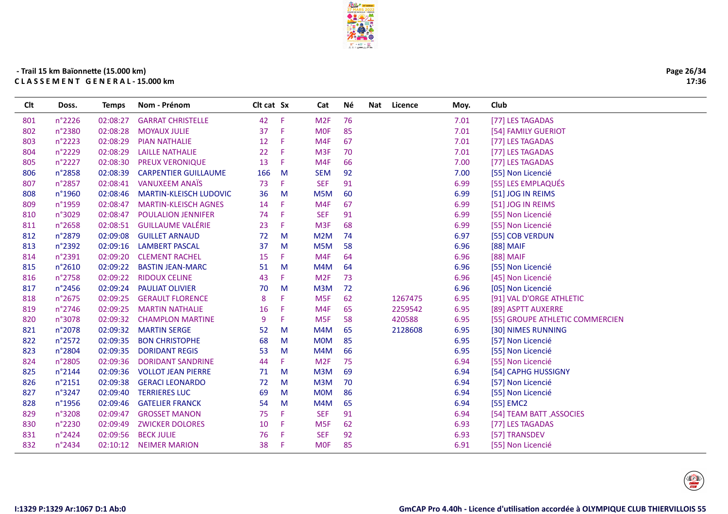

| Page 26/34 |
|------------|
| 17:36      |

| n°2226<br>02:08:27<br><b>GARRAT CHRISTELLE</b><br>42<br>Æ<br>M2F<br>76<br>7.01<br>801<br>[77] LES TAGADAS<br>85<br>n°2380<br>02:08:28<br><b>MOYAUX JULIE</b><br>37<br>F<br><b>MOF</b><br>7.01<br>802<br>[54] FAMILY GUERIOT<br>n°2223<br>02:08:29<br>12<br>M4F<br>67<br>7.01<br>803<br><b>PIAN NATHALIE</b><br>F<br>[77] LES TAGADAS<br>n°2229<br>02:08:29<br><b>LAILLE NATHALIE</b><br>22<br>M <sub>3F</sub><br>7.01<br>[77] LES TAGADAS<br>804<br>F<br>70<br>n°2227<br>13<br>02:08:30<br><b>PREUX VERONIQUE</b><br>F<br>M4F<br>66<br>7.00<br>[77] LES TAGADAS<br>805<br>n°2858<br>02:08:39<br><b>CARPENTIER GUILLAUME</b><br>166<br><b>SEM</b><br>92<br>7.00<br>[55] Non Licencié<br>806<br>M<br><b>VANUXEEM ANAÏS</b><br><b>SEF</b><br>91<br>n°2857<br>02:08:41<br>73<br>F<br>6.99<br>[55] LES EMPLAQUÉS<br>807<br>n°1960<br>02:08:46<br>36<br>M<br>M5M<br>60<br>808<br><b>MARTIN-KLEISCH LUDOVIC</b><br>6.99<br>[51] JOG IN REIMS<br>n°1959<br>02:08:47<br><b>MARTIN-KLEISCH AGNES</b><br>M4F<br>67<br>6.99<br>809<br>14<br>F<br>[51] JOG IN REIMS<br>n°3029<br>02:08:47<br><b>POULALION JENNIFER</b><br><b>SEF</b><br>91<br>6.99<br>74<br>F<br>[55] Non Licencié<br>810<br><b>GUILLAUME VALÉRIE</b><br>n°2658<br>02:08:51<br>M <sub>3F</sub><br>68<br>811<br>23<br>F<br>6.99<br>[55] Non Licencié<br>n°2879<br>02:09:08<br><b>GUILLET ARNAUD</b><br>72<br>M2M<br>74<br>6.97<br>[55] COB VERDUN<br>812<br>M<br>813<br>n°2392<br>02:09:16<br><b>LAMBERT PASCAL</b><br>37<br>M5M<br>58<br>6.96<br>M<br>[88] MAIF<br>n°2391<br>02:09:20<br><b>CLEMENT RACHEL</b><br>15<br>M4F<br>64<br>6.96<br>[88] MAIF<br>814<br>F.<br>02:09:22<br>815<br>n°2610<br><b>BASTIN JEAN-MARC</b><br>M<br>M4M<br>64<br>6.96<br>[55] Non Licencié<br>51<br>n°2758<br><b>RIDOUX CELINE</b><br>M <sub>2F</sub><br>73<br>02:09:22<br>43<br>F<br>6.96<br>[45] Non Licencié<br>816<br>n°2456<br>02:09:24<br>M3M<br>72<br>6.96<br><b>PAULIAT OLIVIER</b><br>70<br>M<br>[05] Non Licencié<br>817<br>n°2675<br>02:09:25<br>M <sub>5F</sub><br>62<br>1267475<br>818<br><b>GERAULT FLORENCE</b><br>8<br>6.95<br>[91] VAL D'ORGE ATHLETIC<br>F<br>n°2746<br>02:09:25<br>M4F<br>65<br>2259542<br>6.95<br>819<br><b>MARTIN NATHALIE</b><br>16<br>F<br>[89] ASPTT AUXERRE<br>n°3078<br>02:09:32<br><b>CHAMPLON MARTINE</b><br>9<br>F<br>M <sub>5F</sub><br>58<br>420588<br>6.95<br>[55] GROUPE ATHLETIC COMMERCIEN<br>820<br>n°2078<br>02:09:32<br><b>MARTIN SERGE</b><br>M4M<br>65<br>2128608<br>6.95<br>[30] NIMES RUNNING<br>821<br>52<br>M<br>85<br>n°2572<br>02:09:35<br>68<br><b>MOM</b><br>6.95<br>[57] Non Licencié<br>822<br><b>BON CHRISTOPHE</b><br>M<br>n°2804<br>02:09:35<br>6.95<br>823<br><b>DORIDANT REGIS</b><br>53<br>M4M<br>66<br>[55] Non Licencié<br>M<br>n°2805<br>02:09:36<br>M <sub>2F</sub><br>75<br>6.94<br>824<br><b>DORIDANT SANDRINE</b><br>44<br>F.<br>[55] Non Licencié<br>n°2144<br>M3M<br>69<br>825<br>02:09:36<br><b>VOLLOT JEAN PIERRE</b><br>6.94<br>[54] CAPHG HUSSIGNY<br>71<br>M<br>M3M<br>70<br>n°2151<br>02:09:38<br><b>GERACI LEONARDO</b><br>72<br>M<br>6.94<br>[57] Non Licencié<br>826<br>86<br>n°3247<br>02:09:40<br><b>TERRIERES LUC</b><br>69<br><b>MOM</b><br>6.94<br>[55] Non Licencié<br>827<br>M<br>n°1956<br>02:09:46<br><b>GATELIER FRANCK</b><br>M4M<br>65<br>6.94<br>[55] EMC2<br>828<br>54<br>M<br><b>SEF</b><br>n°3208<br>02:09:47<br><b>GROSSET MANON</b><br>75<br>F<br>91<br>6.94<br>829<br>[54] TEAM BATT ASSOCIES<br>n°2230<br>02:09:49<br><b>ZWICKER DOLORES</b><br>10<br>F<br>62<br>M <sub>5F</sub><br>6.93<br>[77] LES TAGADAS<br>830<br>92<br>n°2424<br>02:09:56<br><b>BECK JULIE</b><br>76<br>F<br><b>SEF</b><br>6.93<br>[57] TRANSDEV<br>831<br>832<br>n°2434<br><b>NEIMER MARION</b><br>38<br>85<br>6.91<br>02:10:12<br>F.<br><b>MOF</b><br>[55] Non Licencié | <b>Clt</b> | Doss. | <b>Temps</b> | Nom - Prénom | Clt cat Sx | Cat | Νé | Nat | Licence | Moy. | Club |
|--------------------------------------------------------------------------------------------------------------------------------------------------------------------------------------------------------------------------------------------------------------------------------------------------------------------------------------------------------------------------------------------------------------------------------------------------------------------------------------------------------------------------------------------------------------------------------------------------------------------------------------------------------------------------------------------------------------------------------------------------------------------------------------------------------------------------------------------------------------------------------------------------------------------------------------------------------------------------------------------------------------------------------------------------------------------------------------------------------------------------------------------------------------------------------------------------------------------------------------------------------------------------------------------------------------------------------------------------------------------------------------------------------------------------------------------------------------------------------------------------------------------------------------------------------------------------------------------------------------------------------------------------------------------------------------------------------------------------------------------------------------------------------------------------------------------------------------------------------------------------------------------------------------------------------------------------------------------------------------------------------------------------------------------------------------------------------------------------------------------------------------------------------------------------------------------------------------------------------------------------------------------------------------------------------------------------------------------------------------------------------------------------------------------------------------------------------------------------------------------------------------------------------------------------------------------------------------------------------------------------------------------------------------------------------------------------------------------------------------------------------------------------------------------------------------------------------------------------------------------------------------------------------------------------------------------------------------------------------------------------------------------------------------------------------------------------------------------------------------------------------------------------------------------------------------------------------------------------------------------------------------------------------------------------------------------------------------------------------------------------------------------------------------------------------------------------------------------------------------------------------------------------------------------------------------------------------------------------------------------------------------------------------------------------------------------------------------------------------------------------------------------------------------------------|------------|-------|--------------|--------------|------------|-----|----|-----|---------|------|------|
|                                                                                                                                                                                                                                                                                                                                                                                                                                                                                                                                                                                                                                                                                                                                                                                                                                                                                                                                                                                                                                                                                                                                                                                                                                                                                                                                                                                                                                                                                                                                                                                                                                                                                                                                                                                                                                                                                                                                                                                                                                                                                                                                                                                                                                                                                                                                                                                                                                                                                                                                                                                                                                                                                                                                                                                                                                                                                                                                                                                                                                                                                                                                                                                                                                                                                                                                                                                                                                                                                                                                                                                                                                                                                                                                                                                                  |            |       |              |              |            |     |    |     |         |      |      |
|                                                                                                                                                                                                                                                                                                                                                                                                                                                                                                                                                                                                                                                                                                                                                                                                                                                                                                                                                                                                                                                                                                                                                                                                                                                                                                                                                                                                                                                                                                                                                                                                                                                                                                                                                                                                                                                                                                                                                                                                                                                                                                                                                                                                                                                                                                                                                                                                                                                                                                                                                                                                                                                                                                                                                                                                                                                                                                                                                                                                                                                                                                                                                                                                                                                                                                                                                                                                                                                                                                                                                                                                                                                                                                                                                                                                  |            |       |              |              |            |     |    |     |         |      |      |
|                                                                                                                                                                                                                                                                                                                                                                                                                                                                                                                                                                                                                                                                                                                                                                                                                                                                                                                                                                                                                                                                                                                                                                                                                                                                                                                                                                                                                                                                                                                                                                                                                                                                                                                                                                                                                                                                                                                                                                                                                                                                                                                                                                                                                                                                                                                                                                                                                                                                                                                                                                                                                                                                                                                                                                                                                                                                                                                                                                                                                                                                                                                                                                                                                                                                                                                                                                                                                                                                                                                                                                                                                                                                                                                                                                                                  |            |       |              |              |            |     |    |     |         |      |      |
|                                                                                                                                                                                                                                                                                                                                                                                                                                                                                                                                                                                                                                                                                                                                                                                                                                                                                                                                                                                                                                                                                                                                                                                                                                                                                                                                                                                                                                                                                                                                                                                                                                                                                                                                                                                                                                                                                                                                                                                                                                                                                                                                                                                                                                                                                                                                                                                                                                                                                                                                                                                                                                                                                                                                                                                                                                                                                                                                                                                                                                                                                                                                                                                                                                                                                                                                                                                                                                                                                                                                                                                                                                                                                                                                                                                                  |            |       |              |              |            |     |    |     |         |      |      |
|                                                                                                                                                                                                                                                                                                                                                                                                                                                                                                                                                                                                                                                                                                                                                                                                                                                                                                                                                                                                                                                                                                                                                                                                                                                                                                                                                                                                                                                                                                                                                                                                                                                                                                                                                                                                                                                                                                                                                                                                                                                                                                                                                                                                                                                                                                                                                                                                                                                                                                                                                                                                                                                                                                                                                                                                                                                                                                                                                                                                                                                                                                                                                                                                                                                                                                                                                                                                                                                                                                                                                                                                                                                                                                                                                                                                  |            |       |              |              |            |     |    |     |         |      |      |
|                                                                                                                                                                                                                                                                                                                                                                                                                                                                                                                                                                                                                                                                                                                                                                                                                                                                                                                                                                                                                                                                                                                                                                                                                                                                                                                                                                                                                                                                                                                                                                                                                                                                                                                                                                                                                                                                                                                                                                                                                                                                                                                                                                                                                                                                                                                                                                                                                                                                                                                                                                                                                                                                                                                                                                                                                                                                                                                                                                                                                                                                                                                                                                                                                                                                                                                                                                                                                                                                                                                                                                                                                                                                                                                                                                                                  |            |       |              |              |            |     |    |     |         |      |      |
|                                                                                                                                                                                                                                                                                                                                                                                                                                                                                                                                                                                                                                                                                                                                                                                                                                                                                                                                                                                                                                                                                                                                                                                                                                                                                                                                                                                                                                                                                                                                                                                                                                                                                                                                                                                                                                                                                                                                                                                                                                                                                                                                                                                                                                                                                                                                                                                                                                                                                                                                                                                                                                                                                                                                                                                                                                                                                                                                                                                                                                                                                                                                                                                                                                                                                                                                                                                                                                                                                                                                                                                                                                                                                                                                                                                                  |            |       |              |              |            |     |    |     |         |      |      |
|                                                                                                                                                                                                                                                                                                                                                                                                                                                                                                                                                                                                                                                                                                                                                                                                                                                                                                                                                                                                                                                                                                                                                                                                                                                                                                                                                                                                                                                                                                                                                                                                                                                                                                                                                                                                                                                                                                                                                                                                                                                                                                                                                                                                                                                                                                                                                                                                                                                                                                                                                                                                                                                                                                                                                                                                                                                                                                                                                                                                                                                                                                                                                                                                                                                                                                                                                                                                                                                                                                                                                                                                                                                                                                                                                                                                  |            |       |              |              |            |     |    |     |         |      |      |
|                                                                                                                                                                                                                                                                                                                                                                                                                                                                                                                                                                                                                                                                                                                                                                                                                                                                                                                                                                                                                                                                                                                                                                                                                                                                                                                                                                                                                                                                                                                                                                                                                                                                                                                                                                                                                                                                                                                                                                                                                                                                                                                                                                                                                                                                                                                                                                                                                                                                                                                                                                                                                                                                                                                                                                                                                                                                                                                                                                                                                                                                                                                                                                                                                                                                                                                                                                                                                                                                                                                                                                                                                                                                                                                                                                                                  |            |       |              |              |            |     |    |     |         |      |      |
|                                                                                                                                                                                                                                                                                                                                                                                                                                                                                                                                                                                                                                                                                                                                                                                                                                                                                                                                                                                                                                                                                                                                                                                                                                                                                                                                                                                                                                                                                                                                                                                                                                                                                                                                                                                                                                                                                                                                                                                                                                                                                                                                                                                                                                                                                                                                                                                                                                                                                                                                                                                                                                                                                                                                                                                                                                                                                                                                                                                                                                                                                                                                                                                                                                                                                                                                                                                                                                                                                                                                                                                                                                                                                                                                                                                                  |            |       |              |              |            |     |    |     |         |      |      |
|                                                                                                                                                                                                                                                                                                                                                                                                                                                                                                                                                                                                                                                                                                                                                                                                                                                                                                                                                                                                                                                                                                                                                                                                                                                                                                                                                                                                                                                                                                                                                                                                                                                                                                                                                                                                                                                                                                                                                                                                                                                                                                                                                                                                                                                                                                                                                                                                                                                                                                                                                                                                                                                                                                                                                                                                                                                                                                                                                                                                                                                                                                                                                                                                                                                                                                                                                                                                                                                                                                                                                                                                                                                                                                                                                                                                  |            |       |              |              |            |     |    |     |         |      |      |
|                                                                                                                                                                                                                                                                                                                                                                                                                                                                                                                                                                                                                                                                                                                                                                                                                                                                                                                                                                                                                                                                                                                                                                                                                                                                                                                                                                                                                                                                                                                                                                                                                                                                                                                                                                                                                                                                                                                                                                                                                                                                                                                                                                                                                                                                                                                                                                                                                                                                                                                                                                                                                                                                                                                                                                                                                                                                                                                                                                                                                                                                                                                                                                                                                                                                                                                                                                                                                                                                                                                                                                                                                                                                                                                                                                                                  |            |       |              |              |            |     |    |     |         |      |      |
|                                                                                                                                                                                                                                                                                                                                                                                                                                                                                                                                                                                                                                                                                                                                                                                                                                                                                                                                                                                                                                                                                                                                                                                                                                                                                                                                                                                                                                                                                                                                                                                                                                                                                                                                                                                                                                                                                                                                                                                                                                                                                                                                                                                                                                                                                                                                                                                                                                                                                                                                                                                                                                                                                                                                                                                                                                                                                                                                                                                                                                                                                                                                                                                                                                                                                                                                                                                                                                                                                                                                                                                                                                                                                                                                                                                                  |            |       |              |              |            |     |    |     |         |      |      |
|                                                                                                                                                                                                                                                                                                                                                                                                                                                                                                                                                                                                                                                                                                                                                                                                                                                                                                                                                                                                                                                                                                                                                                                                                                                                                                                                                                                                                                                                                                                                                                                                                                                                                                                                                                                                                                                                                                                                                                                                                                                                                                                                                                                                                                                                                                                                                                                                                                                                                                                                                                                                                                                                                                                                                                                                                                                                                                                                                                                                                                                                                                                                                                                                                                                                                                                                                                                                                                                                                                                                                                                                                                                                                                                                                                                                  |            |       |              |              |            |     |    |     |         |      |      |
|                                                                                                                                                                                                                                                                                                                                                                                                                                                                                                                                                                                                                                                                                                                                                                                                                                                                                                                                                                                                                                                                                                                                                                                                                                                                                                                                                                                                                                                                                                                                                                                                                                                                                                                                                                                                                                                                                                                                                                                                                                                                                                                                                                                                                                                                                                                                                                                                                                                                                                                                                                                                                                                                                                                                                                                                                                                                                                                                                                                                                                                                                                                                                                                                                                                                                                                                                                                                                                                                                                                                                                                                                                                                                                                                                                                                  |            |       |              |              |            |     |    |     |         |      |      |
|                                                                                                                                                                                                                                                                                                                                                                                                                                                                                                                                                                                                                                                                                                                                                                                                                                                                                                                                                                                                                                                                                                                                                                                                                                                                                                                                                                                                                                                                                                                                                                                                                                                                                                                                                                                                                                                                                                                                                                                                                                                                                                                                                                                                                                                                                                                                                                                                                                                                                                                                                                                                                                                                                                                                                                                                                                                                                                                                                                                                                                                                                                                                                                                                                                                                                                                                                                                                                                                                                                                                                                                                                                                                                                                                                                                                  |            |       |              |              |            |     |    |     |         |      |      |
|                                                                                                                                                                                                                                                                                                                                                                                                                                                                                                                                                                                                                                                                                                                                                                                                                                                                                                                                                                                                                                                                                                                                                                                                                                                                                                                                                                                                                                                                                                                                                                                                                                                                                                                                                                                                                                                                                                                                                                                                                                                                                                                                                                                                                                                                                                                                                                                                                                                                                                                                                                                                                                                                                                                                                                                                                                                                                                                                                                                                                                                                                                                                                                                                                                                                                                                                                                                                                                                                                                                                                                                                                                                                                                                                                                                                  |            |       |              |              |            |     |    |     |         |      |      |
|                                                                                                                                                                                                                                                                                                                                                                                                                                                                                                                                                                                                                                                                                                                                                                                                                                                                                                                                                                                                                                                                                                                                                                                                                                                                                                                                                                                                                                                                                                                                                                                                                                                                                                                                                                                                                                                                                                                                                                                                                                                                                                                                                                                                                                                                                                                                                                                                                                                                                                                                                                                                                                                                                                                                                                                                                                                                                                                                                                                                                                                                                                                                                                                                                                                                                                                                                                                                                                                                                                                                                                                                                                                                                                                                                                                                  |            |       |              |              |            |     |    |     |         |      |      |
|                                                                                                                                                                                                                                                                                                                                                                                                                                                                                                                                                                                                                                                                                                                                                                                                                                                                                                                                                                                                                                                                                                                                                                                                                                                                                                                                                                                                                                                                                                                                                                                                                                                                                                                                                                                                                                                                                                                                                                                                                                                                                                                                                                                                                                                                                                                                                                                                                                                                                                                                                                                                                                                                                                                                                                                                                                                                                                                                                                                                                                                                                                                                                                                                                                                                                                                                                                                                                                                                                                                                                                                                                                                                                                                                                                                                  |            |       |              |              |            |     |    |     |         |      |      |
|                                                                                                                                                                                                                                                                                                                                                                                                                                                                                                                                                                                                                                                                                                                                                                                                                                                                                                                                                                                                                                                                                                                                                                                                                                                                                                                                                                                                                                                                                                                                                                                                                                                                                                                                                                                                                                                                                                                                                                                                                                                                                                                                                                                                                                                                                                                                                                                                                                                                                                                                                                                                                                                                                                                                                                                                                                                                                                                                                                                                                                                                                                                                                                                                                                                                                                                                                                                                                                                                                                                                                                                                                                                                                                                                                                                                  |            |       |              |              |            |     |    |     |         |      |      |
|                                                                                                                                                                                                                                                                                                                                                                                                                                                                                                                                                                                                                                                                                                                                                                                                                                                                                                                                                                                                                                                                                                                                                                                                                                                                                                                                                                                                                                                                                                                                                                                                                                                                                                                                                                                                                                                                                                                                                                                                                                                                                                                                                                                                                                                                                                                                                                                                                                                                                                                                                                                                                                                                                                                                                                                                                                                                                                                                                                                                                                                                                                                                                                                                                                                                                                                                                                                                                                                                                                                                                                                                                                                                                                                                                                                                  |            |       |              |              |            |     |    |     |         |      |      |
|                                                                                                                                                                                                                                                                                                                                                                                                                                                                                                                                                                                                                                                                                                                                                                                                                                                                                                                                                                                                                                                                                                                                                                                                                                                                                                                                                                                                                                                                                                                                                                                                                                                                                                                                                                                                                                                                                                                                                                                                                                                                                                                                                                                                                                                                                                                                                                                                                                                                                                                                                                                                                                                                                                                                                                                                                                                                                                                                                                                                                                                                                                                                                                                                                                                                                                                                                                                                                                                                                                                                                                                                                                                                                                                                                                                                  |            |       |              |              |            |     |    |     |         |      |      |
|                                                                                                                                                                                                                                                                                                                                                                                                                                                                                                                                                                                                                                                                                                                                                                                                                                                                                                                                                                                                                                                                                                                                                                                                                                                                                                                                                                                                                                                                                                                                                                                                                                                                                                                                                                                                                                                                                                                                                                                                                                                                                                                                                                                                                                                                                                                                                                                                                                                                                                                                                                                                                                                                                                                                                                                                                                                                                                                                                                                                                                                                                                                                                                                                                                                                                                                                                                                                                                                                                                                                                                                                                                                                                                                                                                                                  |            |       |              |              |            |     |    |     |         |      |      |
|                                                                                                                                                                                                                                                                                                                                                                                                                                                                                                                                                                                                                                                                                                                                                                                                                                                                                                                                                                                                                                                                                                                                                                                                                                                                                                                                                                                                                                                                                                                                                                                                                                                                                                                                                                                                                                                                                                                                                                                                                                                                                                                                                                                                                                                                                                                                                                                                                                                                                                                                                                                                                                                                                                                                                                                                                                                                                                                                                                                                                                                                                                                                                                                                                                                                                                                                                                                                                                                                                                                                                                                                                                                                                                                                                                                                  |            |       |              |              |            |     |    |     |         |      |      |
|                                                                                                                                                                                                                                                                                                                                                                                                                                                                                                                                                                                                                                                                                                                                                                                                                                                                                                                                                                                                                                                                                                                                                                                                                                                                                                                                                                                                                                                                                                                                                                                                                                                                                                                                                                                                                                                                                                                                                                                                                                                                                                                                                                                                                                                                                                                                                                                                                                                                                                                                                                                                                                                                                                                                                                                                                                                                                                                                                                                                                                                                                                                                                                                                                                                                                                                                                                                                                                                                                                                                                                                                                                                                                                                                                                                                  |            |       |              |              |            |     |    |     |         |      |      |
|                                                                                                                                                                                                                                                                                                                                                                                                                                                                                                                                                                                                                                                                                                                                                                                                                                                                                                                                                                                                                                                                                                                                                                                                                                                                                                                                                                                                                                                                                                                                                                                                                                                                                                                                                                                                                                                                                                                                                                                                                                                                                                                                                                                                                                                                                                                                                                                                                                                                                                                                                                                                                                                                                                                                                                                                                                                                                                                                                                                                                                                                                                                                                                                                                                                                                                                                                                                                                                                                                                                                                                                                                                                                                                                                                                                                  |            |       |              |              |            |     |    |     |         |      |      |
|                                                                                                                                                                                                                                                                                                                                                                                                                                                                                                                                                                                                                                                                                                                                                                                                                                                                                                                                                                                                                                                                                                                                                                                                                                                                                                                                                                                                                                                                                                                                                                                                                                                                                                                                                                                                                                                                                                                                                                                                                                                                                                                                                                                                                                                                                                                                                                                                                                                                                                                                                                                                                                                                                                                                                                                                                                                                                                                                                                                                                                                                                                                                                                                                                                                                                                                                                                                                                                                                                                                                                                                                                                                                                                                                                                                                  |            |       |              |              |            |     |    |     |         |      |      |
|                                                                                                                                                                                                                                                                                                                                                                                                                                                                                                                                                                                                                                                                                                                                                                                                                                                                                                                                                                                                                                                                                                                                                                                                                                                                                                                                                                                                                                                                                                                                                                                                                                                                                                                                                                                                                                                                                                                                                                                                                                                                                                                                                                                                                                                                                                                                                                                                                                                                                                                                                                                                                                                                                                                                                                                                                                                                                                                                                                                                                                                                                                                                                                                                                                                                                                                                                                                                                                                                                                                                                                                                                                                                                                                                                                                                  |            |       |              |              |            |     |    |     |         |      |      |
|                                                                                                                                                                                                                                                                                                                                                                                                                                                                                                                                                                                                                                                                                                                                                                                                                                                                                                                                                                                                                                                                                                                                                                                                                                                                                                                                                                                                                                                                                                                                                                                                                                                                                                                                                                                                                                                                                                                                                                                                                                                                                                                                                                                                                                                                                                                                                                                                                                                                                                                                                                                                                                                                                                                                                                                                                                                                                                                                                                                                                                                                                                                                                                                                                                                                                                                                                                                                                                                                                                                                                                                                                                                                                                                                                                                                  |            |       |              |              |            |     |    |     |         |      |      |
|                                                                                                                                                                                                                                                                                                                                                                                                                                                                                                                                                                                                                                                                                                                                                                                                                                                                                                                                                                                                                                                                                                                                                                                                                                                                                                                                                                                                                                                                                                                                                                                                                                                                                                                                                                                                                                                                                                                                                                                                                                                                                                                                                                                                                                                                                                                                                                                                                                                                                                                                                                                                                                                                                                                                                                                                                                                                                                                                                                                                                                                                                                                                                                                                                                                                                                                                                                                                                                                                                                                                                                                                                                                                                                                                                                                                  |            |       |              |              |            |     |    |     |         |      |      |
|                                                                                                                                                                                                                                                                                                                                                                                                                                                                                                                                                                                                                                                                                                                                                                                                                                                                                                                                                                                                                                                                                                                                                                                                                                                                                                                                                                                                                                                                                                                                                                                                                                                                                                                                                                                                                                                                                                                                                                                                                                                                                                                                                                                                                                                                                                                                                                                                                                                                                                                                                                                                                                                                                                                                                                                                                                                                                                                                                                                                                                                                                                                                                                                                                                                                                                                                                                                                                                                                                                                                                                                                                                                                                                                                                                                                  |            |       |              |              |            |     |    |     |         |      |      |
|                                                                                                                                                                                                                                                                                                                                                                                                                                                                                                                                                                                                                                                                                                                                                                                                                                                                                                                                                                                                                                                                                                                                                                                                                                                                                                                                                                                                                                                                                                                                                                                                                                                                                                                                                                                                                                                                                                                                                                                                                                                                                                                                                                                                                                                                                                                                                                                                                                                                                                                                                                                                                                                                                                                                                                                                                                                                                                                                                                                                                                                                                                                                                                                                                                                                                                                                                                                                                                                                                                                                                                                                                                                                                                                                                                                                  |            |       |              |              |            |     |    |     |         |      |      |

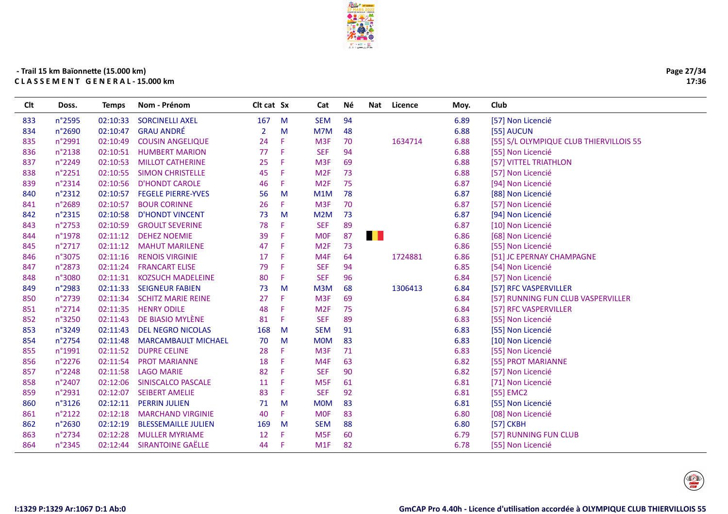

| Page 27/34 |
|------------|
| 17:36      |

| Clt | Doss.  | <b>Temps</b> | Nom - Prénom               | Clt cat Sx |    | Cat             | Νé | Nat | Licence | Moy. | Club                                    |
|-----|--------|--------------|----------------------------|------------|----|-----------------|----|-----|---------|------|-----------------------------------------|
| 833 | n°2595 | 02:10:33     | <b>SORCINELLI AXEL</b>     | 167        | M  | <b>SEM</b>      | 94 |     |         | 6.89 | [57] Non Licencié                       |
| 834 | n°2690 | 02:10:47     | <b>GRAU ANDRÉ</b>          | 2          | M  | M7M             | 48 |     |         | 6.88 | [55] AUCUN                              |
| 835 | n°2991 | 02:10:49     | <b>COUSIN ANGELIQUE</b>    | 24         | F  | M <sub>3F</sub> | 70 |     | 1634714 | 6.88 | [55] S/L OLYMPIQUE CLUB THIERVILLOIS 55 |
| 836 | n°2138 | 02:10:51     | <b>HUMBERT MARION</b>      | 77         | F  | <b>SEF</b>      | 94 |     |         | 6.88 | [55] Non Licencié                       |
| 837 | n°2249 | 02:10:53     | <b>MILLOT CATHERINE</b>    | 25         | Æ  | M <sub>3F</sub> | 69 |     |         | 6.88 | [57] VITTEL TRIATHLON                   |
| 838 | n°2251 | 02:10:55     | <b>SIMON CHRISTELLE</b>    | 45         | Æ  | M2F             | 73 |     |         | 6.88 | [57] Non Licencié                       |
| 839 | n°2314 | 02:10:56     | <b>D'HONDT CAROLE</b>      | 46         | Æ  | M <sub>2F</sub> | 75 |     |         | 6.87 | [94] Non Licencié                       |
| 840 | n°2312 | 02:10:57     | <b>FEGELE PIERRE-YVES</b>  | 56         | M  | M1M             | 78 |     |         | 6.87 | [88] Non Licencié                       |
| 841 | n°2689 | 02:10:57     | <b>BOUR CORINNE</b>        | 26         | F. | M <sub>3F</sub> | 70 |     |         | 6.87 | [57] Non Licencié                       |
| 842 | n°2315 | 02:10:58     | <b>D'HONDT VINCENT</b>     | 73         | M  | M2M             | 73 |     |         | 6.87 | [94] Non Licencié                       |
| 843 | n°2753 | 02:10:59     | <b>GROULT SEVERINE</b>     | 78         | F  | <b>SEF</b>      | 89 |     |         | 6.87 | [10] Non Licencié                       |
| 844 | n°1978 | 02:11:12     | <b>DEHEZ NOEMIE</b>        | 39         | F  | <b>MOF</b>      | 87 | . . |         | 6.86 | [68] Non Licencié                       |
| 845 | n°2717 | 02:11:12     | <b>MAHUT MARILENE</b>      | 47         | F  | M <sub>2F</sub> | 73 |     |         | 6.86 | [55] Non Licencié                       |
| 846 | n°3075 | 02:11:16     | <b>RENOIS VIRGINIE</b>     | 17         | F  | M4F             | 64 |     | 1724881 | 6.86 | [51] JC EPERNAY CHAMPAGNE               |
| 847 | n°2873 | 02:11:24     | <b>FRANCART ELISE</b>      | 79         | Æ  | <b>SEF</b>      | 94 |     |         | 6.85 | [54] Non Licencié                       |
| 848 | n°3080 | 02:11:31     | <b>KOZSUCH MADELEINE</b>   | 80         | Æ  | <b>SEF</b>      | 96 |     |         | 6.84 | [57] Non Licencié                       |
| 849 | n°2983 | 02:11:33     | <b>SEIGNEUR FABIEN</b>     | 73         | M  | M3M             | 68 |     | 1306413 | 6.84 | [57] RFC VASPERVILLER                   |
| 850 | n°2739 | 02:11:34     | <b>SCHITZ MARIE REINE</b>  | 27         | F  | M <sub>3F</sub> | 69 |     |         | 6.84 | [57] RUNNING FUN CLUB VASPERVILLER      |
| 851 | n°2714 | 02:11:35     | <b>HENRY ODILE</b>         | 48         | F  | M <sub>2F</sub> | 75 |     |         | 6.84 | [57] RFC VASPERVILLER                   |
| 852 | n°3250 | 02:11:43     | DE BIASIO MYLÈNE           | 81         | F  | <b>SEF</b>      | 89 |     |         | 6.83 | [55] Non Licencié                       |
| 853 | n°3249 | 02:11:43     | <b>DEL NEGRO NICOLAS</b>   | 168        | M  | <b>SEM</b>      | 91 |     |         | 6.83 | [55] Non Licencié                       |
| 854 | n°2754 | 02:11:48     | <b>MARCAMBAULT MICHAEL</b> | 70         | M  | <b>MOM</b>      | 83 |     |         | 6.83 | [10] Non Licencié                       |
| 855 | n°1991 | 02:11:52     | <b>DUPRE CELINE</b>        | 28         | F  | M <sub>3F</sub> | 71 |     |         | 6.83 | [55] Non Licencié                       |
| 856 | n°2276 | 02:11:54     | <b>PROT MARIANNE</b>       | 18         | Æ  | M4F             | 63 |     |         | 6.82 | [55] PROT MARIANNE                      |
| 857 | n°2248 | 02:11:58     | <b>LAGO MARIE</b>          | 82         | Æ  | <b>SEF</b>      | 90 |     |         | 6.82 | [57] Non Licencié                       |
| 858 | n°2407 | 02:12:06     | SINISCALCO PASCALE         | 11         | -F | M <sub>5F</sub> | 61 |     |         | 6.81 | [71] Non Licencié                       |
| 859 | n°2931 | 02:12:07     | <b>SEIBERT AMELIE</b>      | 83         | Æ  | <b>SEF</b>      | 92 |     |         | 6.81 | [55] EMC2                               |
| 860 | n°3126 | 02:12:11     | <b>PERRIN JULIEN</b>       | 71         | M  | <b>MOM</b>      | 83 |     |         | 6.81 | [55] Non Licencié                       |
| 861 | n°2122 | 02:12:18     | <b>MARCHAND VIRGINIE</b>   | 40         | F  | <b>MOF</b>      | 83 |     |         | 6.80 | [08] Non Licencié                       |
| 862 | n°2630 | 02:12:19     | <b>BLESSEMAILLE JULIEN</b> | 169        | M  | <b>SEM</b>      | 88 |     |         | 6.80 | [57] CKBH                               |
| 863 | n°2734 | 02:12:28     | <b>MULLER MYRIAME</b>      | 12         | F  | M <sub>5F</sub> | 60 |     |         | 6.79 | [57] RUNNING FUN CLUB                   |
| 864 | n°2345 | 02:12:44     | <b>SIRANTOINE GAËLLE</b>   | 44         | -F | M1F             | 82 |     |         | 6.78 | [55] Non Licencié                       |
|     |        |              |                            |            |    |                 |    |     |         |      |                                         |

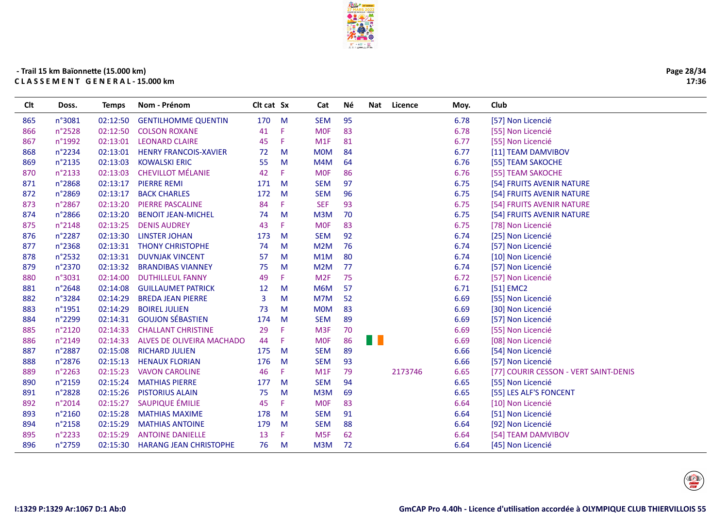

| Page 28/34 |
|------------|
| 17:36      |

| 95<br>n°3081<br>02:12:50<br><b>GENTILHOMME QUENTIN</b><br>170<br>M<br><b>SEM</b><br>6.78<br>865<br>[57] Non Licencié<br><b>MOF</b><br>83<br>6.78<br>n°2528<br>02:12:50<br>41<br>Æ<br>[55] Non Licencié<br>866<br><b>COLSON ROXANE</b><br>n°1992<br>02:13:01<br><b>LEONARD CLAIRE</b><br>45<br>F<br>M1F<br>81<br>6.77<br>[55] Non Licencié<br>867<br>6.77<br>n°2234<br>02:13:01<br><b>HENRY FRANCOIS-XAVIER</b><br><b>MOM</b><br>84<br>[11] TEAM DAMVIBOV<br>868<br>72<br>M<br>n°2135<br>02:13:03<br><b>KOWALSKI ERIC</b><br>55<br>M4M<br>64<br>6.76<br>[55] TEAM SAKOCHE<br>869<br>M<br><b>CHEVILLOT MÉLANIE</b><br>86<br>n°2133<br>02:13:03<br>42<br>F.<br><b>MOF</b><br>6.76<br>[55] TEAM SAKOCHE<br>870<br>97<br>n°2868<br>02:13:17<br><b>PIERRE REMI</b><br>171<br>M<br><b>SEM</b><br>6.75<br>[54] FRUITS AVENIR NATURE<br>871<br>872<br>n°2869<br>02:13:17<br>172<br><b>SEM</b><br>96<br>6.75<br><b>BACK CHARLES</b><br>M<br>[54] FRUITS AVENIR NATURE<br>02:13:20<br>F<br><b>SEF</b><br>93<br>6.75<br>873<br>n°2867<br><b>PIERRE PASCALINE</b><br>84<br>[54] FRUITS AVENIR NATURE<br>70<br>874<br>n°2866<br>02:13:20<br><b>BENOIT JEAN-MICHEL</b><br>74<br>M<br>M <sub>3</sub> M<br>6.75<br>[54] FRUITS AVENIR NATURE |  |
|-----------------------------------------------------------------------------------------------------------------------------------------------------------------------------------------------------------------------------------------------------------------------------------------------------------------------------------------------------------------------------------------------------------------------------------------------------------------------------------------------------------------------------------------------------------------------------------------------------------------------------------------------------------------------------------------------------------------------------------------------------------------------------------------------------------------------------------------------------------------------------------------------------------------------------------------------------------------------------------------------------------------------------------------------------------------------------------------------------------------------------------------------------------------------------------------------------------------------------|--|
|                                                                                                                                                                                                                                                                                                                                                                                                                                                                                                                                                                                                                                                                                                                                                                                                                                                                                                                                                                                                                                                                                                                                                                                                                             |  |
|                                                                                                                                                                                                                                                                                                                                                                                                                                                                                                                                                                                                                                                                                                                                                                                                                                                                                                                                                                                                                                                                                                                                                                                                                             |  |
|                                                                                                                                                                                                                                                                                                                                                                                                                                                                                                                                                                                                                                                                                                                                                                                                                                                                                                                                                                                                                                                                                                                                                                                                                             |  |
|                                                                                                                                                                                                                                                                                                                                                                                                                                                                                                                                                                                                                                                                                                                                                                                                                                                                                                                                                                                                                                                                                                                                                                                                                             |  |
|                                                                                                                                                                                                                                                                                                                                                                                                                                                                                                                                                                                                                                                                                                                                                                                                                                                                                                                                                                                                                                                                                                                                                                                                                             |  |
|                                                                                                                                                                                                                                                                                                                                                                                                                                                                                                                                                                                                                                                                                                                                                                                                                                                                                                                                                                                                                                                                                                                                                                                                                             |  |
|                                                                                                                                                                                                                                                                                                                                                                                                                                                                                                                                                                                                                                                                                                                                                                                                                                                                                                                                                                                                                                                                                                                                                                                                                             |  |
|                                                                                                                                                                                                                                                                                                                                                                                                                                                                                                                                                                                                                                                                                                                                                                                                                                                                                                                                                                                                                                                                                                                                                                                                                             |  |
|                                                                                                                                                                                                                                                                                                                                                                                                                                                                                                                                                                                                                                                                                                                                                                                                                                                                                                                                                                                                                                                                                                                                                                                                                             |  |
|                                                                                                                                                                                                                                                                                                                                                                                                                                                                                                                                                                                                                                                                                                                                                                                                                                                                                                                                                                                                                                                                                                                                                                                                                             |  |
| F.<br><b>MOF</b><br>83<br>6.75<br>n°2148<br>02:13:25<br><b>DENIS AUDREY</b><br>43<br>875<br>[78] Non Licencié                                                                                                                                                                                                                                                                                                                                                                                                                                                                                                                                                                                                                                                                                                                                                                                                                                                                                                                                                                                                                                                                                                               |  |
| 92<br>n°2287<br>02:13:30<br><b>LINSTER JOHAN</b><br>173<br><b>SEM</b><br>6.74<br>[25] Non Licencié<br>876<br>M                                                                                                                                                                                                                                                                                                                                                                                                                                                                                                                                                                                                                                                                                                                                                                                                                                                                                                                                                                                                                                                                                                              |  |
| 877<br>n°2368<br>02:13:31<br><b>THONY CHRISTOPHE</b><br>M <sub>2</sub> M<br>76<br>6.74<br>[57] Non Licencié<br>74<br>M                                                                                                                                                                                                                                                                                                                                                                                                                                                                                                                                                                                                                                                                                                                                                                                                                                                                                                                                                                                                                                                                                                      |  |
| 80<br>n°2532<br>02:13:31<br><b>DUVNJAK VINCENT</b><br>57<br>M<br>M <sub>1</sub> M<br>6.74<br>[10] Non Licencié<br>878                                                                                                                                                                                                                                                                                                                                                                                                                                                                                                                                                                                                                                                                                                                                                                                                                                                                                                                                                                                                                                                                                                       |  |
| 77<br>879<br>n°2370<br>02:13:32<br><b>BRANDIBAS VIANNEY</b><br>75<br>M <sub>2</sub> M<br>6.74<br>[57] Non Licencié<br>M                                                                                                                                                                                                                                                                                                                                                                                                                                                                                                                                                                                                                                                                                                                                                                                                                                                                                                                                                                                                                                                                                                     |  |
| M <sub>2F</sub><br>75<br>n°3031<br>02:14:00<br><b>DUTHILLEUL FANNY</b><br>49<br>F.<br>6.72<br>[57] Non Licencié<br>880                                                                                                                                                                                                                                                                                                                                                                                                                                                                                                                                                                                                                                                                                                                                                                                                                                                                                                                                                                                                                                                                                                      |  |
| 57<br>n°2648<br>02:14:08<br>M6M<br>6.71<br>881<br><b>GUILLAUMET PATRICK</b><br>12<br>M<br>[51] EMC2                                                                                                                                                                                                                                                                                                                                                                                                                                                                                                                                                                                                                                                                                                                                                                                                                                                                                                                                                                                                                                                                                                                         |  |
| 52<br>6.69<br>n°3284<br>02:14:29<br>3<br>M7M<br>[55] Non Licencié<br>882<br><b>BREDA JEAN PIERRE</b><br>м                                                                                                                                                                                                                                                                                                                                                                                                                                                                                                                                                                                                                                                                                                                                                                                                                                                                                                                                                                                                                                                                                                                   |  |
| 83<br>n°1951<br>02:14:29<br><b>BOIREL JULIEN</b><br>73<br><b>MOM</b><br>6.69<br>[30] Non Licencié<br>883<br>M                                                                                                                                                                                                                                                                                                                                                                                                                                                                                                                                                                                                                                                                                                                                                                                                                                                                                                                                                                                                                                                                                                               |  |
| <b>GOUJON SÉBASTIEN</b><br>89<br>n°2299<br>02:14:31<br>174<br><b>SEM</b><br>6.69<br>884<br>M<br>[57] Non Licencié                                                                                                                                                                                                                                                                                                                                                                                                                                                                                                                                                                                                                                                                                                                                                                                                                                                                                                                                                                                                                                                                                                           |  |
| n°2120<br>02:14:33<br><b>CHALLANT CHRISTINE</b><br>29<br>F<br>M <sub>3F</sub><br>70<br>6.69<br>[55] Non Licencié<br>885                                                                                                                                                                                                                                                                                                                                                                                                                                                                                                                                                                                                                                                                                                                                                                                                                                                                                                                                                                                                                                                                                                     |  |
| M.<br>86<br>n°2149<br>02:14:33<br>ALVES DE OLIVEIRA MACHADO<br>44<br>F<br><b>MOF</b><br>6.69<br>[08] Non Licencié<br>886                                                                                                                                                                                                                                                                                                                                                                                                                                                                                                                                                                                                                                                                                                                                                                                                                                                                                                                                                                                                                                                                                                    |  |
| 887<br>n°2887<br>02:15:08<br><b>RICHARD JULIEN</b><br>175<br><b>SEM</b><br>89<br>6.66<br>[54] Non Licencié<br>M                                                                                                                                                                                                                                                                                                                                                                                                                                                                                                                                                                                                                                                                                                                                                                                                                                                                                                                                                                                                                                                                                                             |  |
| n°2876<br>02:15:13<br><b>HENAUX FLORIAN</b><br>176<br><b>SEM</b><br>93<br>6.66<br>[57] Non Licencié<br>888<br>M                                                                                                                                                                                                                                                                                                                                                                                                                                                                                                                                                                                                                                                                                                                                                                                                                                                                                                                                                                                                                                                                                                             |  |
| n°2263<br>79<br>2173746<br>02:15:23<br><b>VAVON CAROLINE</b><br>46<br>F.<br>M1F<br>6.65<br>[77] COURIR CESSON - VERT SAINT-DENIS<br>889                                                                                                                                                                                                                                                                                                                                                                                                                                                                                                                                                                                                                                                                                                                                                                                                                                                                                                                                                                                                                                                                                     |  |
| n°2159<br>02:15:24<br><b>MATHIAS PIERRE</b><br>177<br>M<br><b>SEM</b><br>94<br>6.65<br>890<br>[55] Non Licencié                                                                                                                                                                                                                                                                                                                                                                                                                                                                                                                                                                                                                                                                                                                                                                                                                                                                                                                                                                                                                                                                                                             |  |
| n°2828<br>02:15:26<br><b>PISTORIUS ALAIN</b><br>75<br>M <sub>3</sub> M<br>69<br>6.65<br>[55] LES ALF'S FONCENT<br>891<br>M                                                                                                                                                                                                                                                                                                                                                                                                                                                                                                                                                                                                                                                                                                                                                                                                                                                                                                                                                                                                                                                                                                  |  |
| SAUPIQUE ÉMILIE<br>6.64<br>n°2014<br>02:15:27<br>45<br>F.<br><b>MOF</b><br>83<br>[10] Non Licencié<br>892                                                                                                                                                                                                                                                                                                                                                                                                                                                                                                                                                                                                                                                                                                                                                                                                                                                                                                                                                                                                                                                                                                                   |  |
| 02:15:28<br><b>MATHIAS MAXIME</b><br><b>SEM</b><br>91<br>6.64<br>893<br>n°2160<br>178<br>M<br>[51] Non Licencié                                                                                                                                                                                                                                                                                                                                                                                                                                                                                                                                                                                                                                                                                                                                                                                                                                                                                                                                                                                                                                                                                                             |  |
| 88<br>n°2158<br>02:15:29<br><b>MATHIAS ANTOINE</b><br>179<br><b>SEM</b><br>6.64<br>894<br>M<br>[92] Non Licencié                                                                                                                                                                                                                                                                                                                                                                                                                                                                                                                                                                                                                                                                                                                                                                                                                                                                                                                                                                                                                                                                                                            |  |
| 13<br>62<br>n°2233<br>02:15:29<br><b>ANTOINE DANIELLE</b><br>F.<br>M <sub>5F</sub><br>6.64<br>[54] TEAM DAMVIBOV<br>895                                                                                                                                                                                                                                                                                                                                                                                                                                                                                                                                                                                                                                                                                                                                                                                                                                                                                                                                                                                                                                                                                                     |  |
| n°2759<br>02:15:30<br><b>HARANG JEAN CHRISTOPHE</b><br>76<br>M <sub>3</sub> M<br>72<br>[45] Non Licencié<br>896<br>M<br>6.64                                                                                                                                                                                                                                                                                                                                                                                                                                                                                                                                                                                                                                                                                                                                                                                                                                                                                                                                                                                                                                                                                                |  |

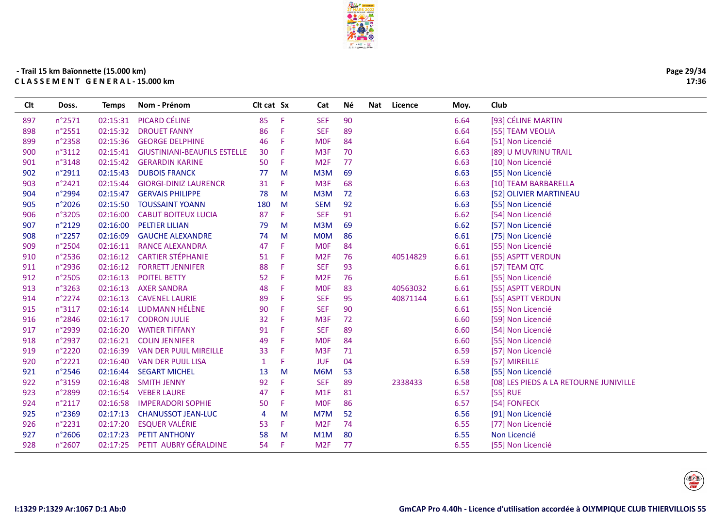| Page 29/34 |
|------------|
| 17:36      |

| Clt | Doss.  | Temps    | Nom - Prénom                        | Clt cat Sx     |   | Cat              | Né | Nat | Licence  | Moy. | Club                                   |
|-----|--------|----------|-------------------------------------|----------------|---|------------------|----|-----|----------|------|----------------------------------------|
| 897 | n°2571 | 02:15:31 | PICARD CÉLINE                       | 85             | F | <b>SEF</b>       | 90 |     |          | 6.64 | [93] CÉLINE MARTIN                     |
| 898 | n°2551 | 02:15:32 | <b>DROUET FANNY</b>                 | 86             | F | <b>SEF</b>       | 89 |     |          | 6.64 | [55] TEAM VEOLIA                       |
| 899 | n°2358 | 02:15:36 | <b>GEORGE DELPHINE</b>              | 46             | F | <b>MOF</b>       | 84 |     |          | 6.64 | [51] Non Licencié                      |
| 900 | n°3112 | 02:15:41 | <b>GIUSTINIANI-BEAUFILS ESTELLE</b> | 30             | F | M <sub>3F</sub>  | 70 |     |          | 6.63 | [89] U MUVRINU TRAIL                   |
| 901 | n°3148 | 02:15:42 | <b>GERARDIN KARINE</b>              | 50             | F | M <sub>2F</sub>  | 77 |     |          | 6.63 | [10] Non Licencié                      |
| 902 | n°2911 | 02:15:43 | <b>DUBOIS FRANCK</b>                | 77             | M | M3M              | 69 |     |          | 6.63 | [55] Non Licencié                      |
| 903 | n°2421 | 02:15:44 | <b>GIORGI-DINIZ LAURENCR</b>        | 31             | F | M <sub>3F</sub>  | 68 |     |          | 6.63 | [10] TEAM BARBARELLA                   |
| 904 | n°2994 | 02:15:47 | <b>GERVAIS PHILIPPE</b>             | 78             | M | M <sub>3</sub> M | 72 |     |          | 6.63 | [52] OLIVIER MARTINEAU                 |
| 905 | n°2026 | 02:15:50 | <b>TOUSSAINT YOANN</b>              | 180            | M | <b>SEM</b>       | 92 |     |          | 6.63 | [55] Non Licencié                      |
| 906 | n°3205 | 02:16:00 | <b>CABUT BOITEUX LUCIA</b>          | 87             | F | <b>SEF</b>       | 91 |     |          | 6.62 | [54] Non Licencié                      |
| 907 | n°2129 | 02:16:00 | <b>PELTIER LILIAN</b>               | 79             | M | M <sub>3</sub> M | 69 |     |          | 6.62 | [57] Non Licencié                      |
| 908 | n°2257 | 02:16:09 | <b>GAUCHE ALEXANDRE</b>             | 74             | M | <b>MOM</b>       | 86 |     |          | 6.61 | [75] Non Licencié                      |
| 909 | n°2504 | 02:16:11 | <b>RANCE ALEXANDRA</b>              | 47             | F | <b>MOF</b>       | 84 |     |          | 6.61 | [55] Non Licencié                      |
| 910 | n°2536 | 02:16:12 | <b>CARTIER STÉPHANIE</b>            | 51             | F | M <sub>2F</sub>  | 76 |     | 40514829 | 6.61 | [55] ASPTT VERDUN                      |
| 911 | n°2936 | 02:16:12 | <b>FORRETT JENNIFER</b>             | 88             | F | <b>SEF</b>       | 93 |     |          | 6.61 | [57] TEAM QTC                          |
| 912 | n°2505 | 02:16:13 | <b>POITEL BETTY</b>                 | 52             | F | M <sub>2F</sub>  | 76 |     |          | 6.61 | [55] Non Licencié                      |
| 913 | n°3263 | 02:16:13 | <b>AXER SANDRA</b>                  | 48             | F | <b>MOF</b>       | 83 |     | 40563032 | 6.61 | [55] ASPTT VERDUN                      |
| 914 | n°2274 | 02:16:13 | <b>CAVENEL LAURIE</b>               | 89             | F | <b>SEF</b>       | 95 |     | 40871144 | 6.61 | [55] ASPTT VERDUN                      |
| 915 | n°3117 | 02:16:14 | LUDMANN HÉLÈNE                      | 90             | F | <b>SEF</b>       | 90 |     |          | 6.61 | [55] Non Licencié                      |
| 916 | n°2846 | 02:16:17 | <b>CODRON JULIE</b>                 | 32             | F | M <sub>3F</sub>  | 72 |     |          | 6.60 | [59] Non Licencié                      |
| 917 | n°2939 | 02:16:20 | <b>WATIER TIFFANY</b>               | 91             | F | <b>SEF</b>       | 89 |     |          | 6.60 | [54] Non Licencié                      |
| 918 | n°2937 | 02:16:21 | <b>COLIN JENNIFER</b>               | 49             | F | <b>MOF</b>       | 84 |     |          | 6.60 | [55] Non Licencié                      |
| 919 | n°2220 | 02:16:39 | VAN DER PUIJL MIREILLE              | 33             | F | M <sub>3F</sub>  | 71 |     |          | 6.59 | [57] Non Licencié                      |
| 920 | n°2221 | 02:16:40 | <b>VAN DER PUIJL LISA</b>           | $\mathbf{1}$   | F | <b>JUF</b>       | 04 |     |          | 6.59 | [57] MIREILLE                          |
| 921 | n°2546 | 02:16:44 | <b>SEGART MICHEL</b>                | 13             | M | M6M              | 53 |     |          | 6.58 | [55] Non Licencié                      |
| 922 | n°3159 | 02:16:48 | <b>SMITH JENNY</b>                  | 92             | F | <b>SEF</b>       | 89 |     | 2338433  | 6.58 | [08] LES PIEDS A LA RETOURNE JUNIVILLE |
| 923 | n°2899 | 02:16:54 | <b>VEBER LAURE</b>                  | 47             | F | M1F              | 81 |     |          | 6.57 | [55] RUE                               |
| 924 | n°2117 | 02:16:58 | <b>IMPERADORI SOPHIE</b>            | 50             | F | <b>MOF</b>       | 86 |     |          | 6.57 | [54] FONFECK                           |
| 925 | n°2369 | 02:17:13 | <b>CHANUSSOT JEAN-LUC</b>           | $\overline{4}$ | M | M7M              | 52 |     |          | 6.56 | [91] Non Licencié                      |
| 926 | n°2231 | 02:17:20 | <b>ESQUER VALÉRIE</b>               | 53             | F | M <sub>2F</sub>  | 74 |     |          | 6.55 | [77] Non Licencié                      |
| 927 | n°2606 | 02:17:23 | <b>PETIT ANTHONY</b>                | 58             | M | M1M              | 80 |     |          | 6.55 | Non Licencié                           |
| 928 | n°2607 | 02:17:25 | PETIT AUBRY GÉRALDINE               | 54             | F | M <sub>2F</sub>  | 77 |     |          | 6.55 | [55] Non Licencié                      |
|     |        |          |                                     |                |   |                  |    |     |          |      |                                        |

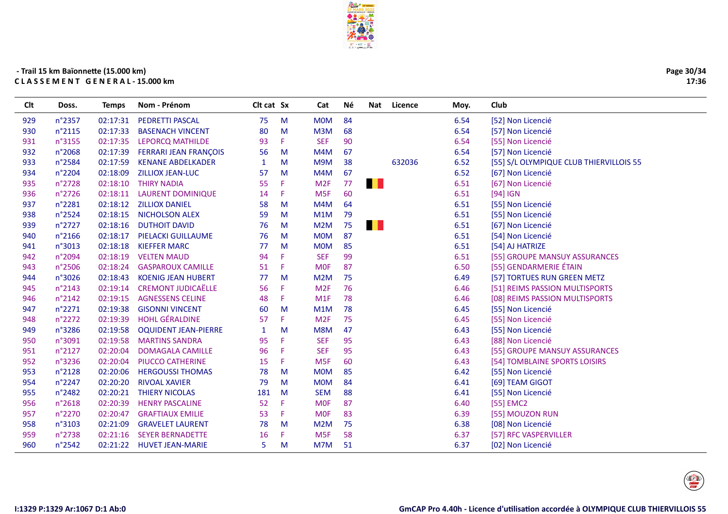

| Page 30/34 |
|------------|
| 17:36      |

| Clt | Doss.  | <b>Temps</b> | Nom - Prénom                 | Clt cat Sx |    | Cat             | Νé | Nat | Licence | Moy. | Club                                    |
|-----|--------|--------------|------------------------------|------------|----|-----------------|----|-----|---------|------|-----------------------------------------|
| 929 | n°2357 | 02:17:31     | PEDRETTI PASCAL              | 75         | M  | <b>MOM</b>      | 84 |     |         | 6.54 | [52] Non Licencié                       |
| 930 | n°2115 | 02:17:33     | <b>BASENACH VINCENT</b>      | 80         | M  | M3M             | 68 |     |         | 6.54 | [57] Non Licencié                       |
| 931 | n°3155 | 02:17:35     | <b>LEPORCQ MATHILDE</b>      | 93         | F. | <b>SEF</b>      | 90 |     |         | 6.54 | [55] Non Licencié                       |
| 932 | n°2068 | 02:17:39     | <b>FERRARI JEAN FRANÇOIS</b> | 56         | M  | M4M             | 67 |     |         | 6.54 | [57] Non Licencié                       |
| 933 | n°2584 | 02:17:59     | <b>KENANE ABDELKADER</b>     | 1          | M  | M9M             | 38 |     | 632036  | 6.52 | [55] S/L OLYMPIQUE CLUB THIERVILLOIS 55 |
| 934 | n°2204 | 02:18:09     | <b>ZILLIOX JEAN-LUC</b>      | 57         | M  | M4M             | 67 |     |         | 6.52 | [67] Non Licencié                       |
| 935 | n°2728 | 02:18:10     | <b>THIRY NADIA</b>           | 55         | F  | M <sub>2F</sub> | 77 | . . |         | 6.51 | [67] Non Licencié                       |
| 936 | n°2726 | 02:18:11     | <b>LAURENT DOMINIQUE</b>     | 14         | F  | M <sub>5F</sub> | 60 |     |         | 6.51 | $[94]$ IGN                              |
| 937 | n°2281 | 02:18:12     | <b>ZILLIOX DANIEL</b>        | 58         | M  | M4M             | 64 |     |         | 6.51 | [55] Non Licencié                       |
| 938 | n°2524 | 02:18:15     | <b>NICHOLSON ALEX</b>        | 59         | M  | M1M             | 79 |     |         | 6.51 | [55] Non Licencié                       |
| 939 | n°2727 | 02:18:16     | <b>DUTHOIT DAVID</b>         | 76         | м  | M2M             | 75 | . . |         | 6.51 | [67] Non Licencié                       |
| 940 | n°2166 | 02:18:17     | PIELACKI GUILLAUME           | 76         | M  | <b>MOM</b>      | 87 |     |         | 6.51 | [54] Non Licencié                       |
| 941 | n°3013 | 02:18:18     | <b>KIEFFER MARC</b>          | 77         | M  | <b>MOM</b>      | 85 |     |         | 6.51 | [54] AJ HATRIZE                         |
| 942 | n°2094 | 02:18:19     | <b>VELTEN MAUD</b>           | 94         | F  | <b>SEF</b>      | 99 |     |         | 6.51 | [55] GROUPE MANSUY ASSURANCES           |
| 943 | n°2506 | 02:18:24     | <b>GASPAROUX CAMILLE</b>     | 51         | F  | <b>MOF</b>      | 87 |     |         | 6.50 | [55] GENDARMERIE ÉTAIN                  |
| 944 | n°3026 | 02:18:43     | <b>KOENIG JEAN HUBERT</b>    | 77         | M  | M2M             | 75 |     |         | 6.49 | [57] TORTUES RUN GREEN METZ             |
| 945 | n°2143 | 02:19:14     | <b>CREMONT JUDICAËLLE</b>    | 56         | F  | M <sub>2F</sub> | 76 |     |         | 6.46 | [51] REIMS PASSION MULTISPORTS          |
| 946 | n°2142 | 02:19:15     | <b>AGNESSENS CELINE</b>      | 48         | F  | M1F             | 78 |     |         | 6.46 | [08] REIMS PASSION MULTISPORTS          |
| 947 | n°2271 | 02:19:38     | <b>GISONNI VINCENT</b>       | 60         | M  | M1M             | 78 |     |         | 6.45 | [55] Non Licencié                       |
| 948 | n°2272 | 02:19:39     | <b>HOHL GÉRALDINE</b>        | 57         | F  | M <sub>2F</sub> | 75 |     |         | 6.45 | [55] Non Licencié                       |
| 949 | n°3286 | 02:19:58     | <b>OQUIDENT JEAN-PIERRE</b>  | 1          | м  | M8M             | 47 |     |         | 6.43 | [55] Non Licencié                       |
| 950 | n°3091 | 02:19:58     | <b>MARTINS SANDRA</b>        | 95         | F  | <b>SEF</b>      | 95 |     |         | 6.43 | [88] Non Licencié                       |
| 951 | n°2127 | 02:20:04     | <b>DOMAGALA CAMILLE</b>      | 96         | F  | <b>SEF</b>      | 95 |     |         | 6.43 | [55] GROUPE MANSUY ASSURANCES           |
| 952 | n°3236 | 02:20:04     | PIUCCO CATHERINE             | 15         | F  | M <sub>5F</sub> | 60 |     |         | 6.43 | [54] TOMBLAINE SPORTS LOISIRS           |
| 953 | n°2128 | 02:20:06     | <b>HERGOUSSI THOMAS</b>      | 78         | M  | <b>MOM</b>      | 85 |     |         | 6.42 | [55] Non Licencié                       |
| 954 | n°2247 | 02:20:20     | <b>RIVOAL XAVIER</b>         | 79         | M  | <b>MOM</b>      | 84 |     |         | 6.41 | [69] TEAM GIGOT                         |
| 955 | n°2482 | 02:20:21     | <b>THIERY NICOLAS</b>        | 181        | M  | <b>SEM</b>      | 88 |     |         | 6.41 | [55] Non Licencié                       |
| 956 | n°2618 | 02:20:39     | <b>HENRY PASCALINE</b>       | 52         | F  | <b>MOF</b>      | 87 |     |         | 6.40 | [55] EMC2                               |
| 957 | n°2270 | 02:20:47     | <b>GRAFTIAUX EMILIE</b>      | 53         | F  | <b>MOF</b>      | 83 |     |         | 6.39 | [55] MOUZON RUN                         |
| 958 | n°3103 | 02:21:09     | <b>GRAVELET LAURENT</b>      | 78         | M  | M2M             | 75 |     |         | 6.38 | [08] Non Licencié                       |
| 959 | n°2738 | 02:21:16     | <b>SEYER BERNADETTE</b>      | 16         | F  | M <sub>5F</sub> | 58 |     |         | 6.37 | [57] RFC VASPERVILLER                   |
| 960 | n°2542 | 02:21:22     | <b>HUVET JEAN-MARIE</b>      | 5          | м  | M7M             | 51 |     |         | 6.37 | [02] Non Licencié                       |
|     |        |              |                              |            |    |                 |    |     |         |      |                                         |

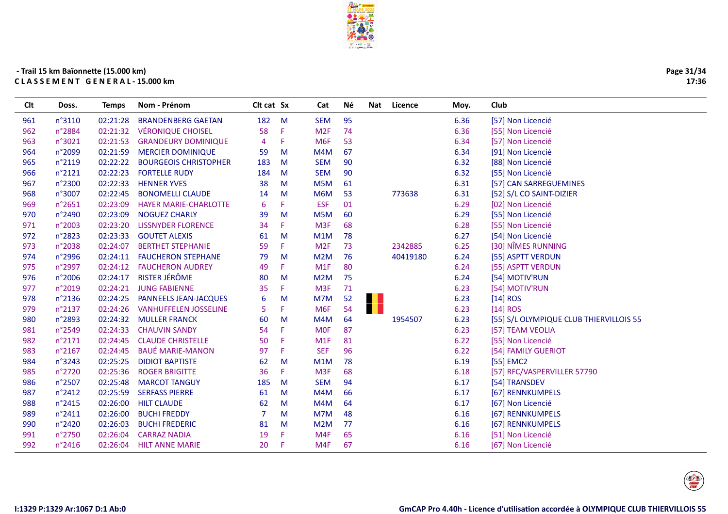

| Page 31/34 |
|------------|
| 17:36      |

| <b>CIt</b> | Doss.           | Temps    | Nom - Prénom                 | Cit cat Sx |    | Cat              | Né | Nat | Licence  | Moy. | Club                                    |
|------------|-----------------|----------|------------------------------|------------|----|------------------|----|-----|----------|------|-----------------------------------------|
| 961        | n°3110          | 02:21:28 | <b>BRANDENBERG GAETAN</b>    | 182        | M  | <b>SEM</b>       | 95 |     |          | 6.36 | [57] Non Licencié                       |
| 962        | n°2884          | 02:21:32 | <b>VÉRONIQUE CHOISEL</b>     | 58         | F  | M <sub>2F</sub>  | 74 |     |          | 6.36 | [55] Non Licencié                       |
| 963        | n°3021          | 02:21:53 | <b>GRANDEURY DOMINIQUE</b>   | 4          | F  | M <sub>6F</sub>  | 53 |     |          | 6.34 | [57] Non Licencié                       |
| 964        | n°2099          | 02:21:59 | <b>MERCIER DOMINIQUE</b>     | 59         | M  | M4M              | 67 |     |          | 6.34 | [91] Non Licencié                       |
| 965        | n°2119          | 02:22:22 | <b>BOURGEOIS CHRISTOPHER</b> | 183        | M  | <b>SEM</b>       | 90 |     |          | 6.32 | [88] Non Licencié                       |
| 966        | n°2121          | 02:22:23 | <b>FORTELLE RUDY</b>         | 184        | M  | <b>SEM</b>       | 90 |     |          | 6.32 | [55] Non Licencié                       |
| 967        | n°2300          | 02:22:33 | <b>HENNER YVES</b>           | 38         | M  | M5M              | 61 |     |          | 6.31 | [57] CAN SARREGUEMINES                  |
| 968        | n°3007          | 02:22:45 | <b>BONOMELLI CLAUDE</b>      | 14         | M  | M6M              | 53 |     | 773638   | 6.31 | [52] S/L CO SAINT-DIZIER                |
| 969        | n°2651          | 02:23:09 | <b>HAYER MARIE-CHARLOTTE</b> | 6          | F  | <b>ESF</b>       | 01 |     |          | 6.29 | [02] Non Licencié                       |
| 970        | n°2490          | 02:23:09 | <b>NOGUEZ CHARLY</b>         | 39         | M  | M <sub>5</sub> M | 60 |     |          | 6.29 | [55] Non Licencié                       |
| 971        | n°2003          | 02:23:20 | <b>LISSNYDER FLORENCE</b>    | 34         | F  | M <sub>3F</sub>  | 68 |     |          | 6.28 | [55] Non Licencié                       |
| 972        | n°2823          | 02:23:33 | <b>GOUTET ALEXIS</b>         | 61         | M  | M1M              | 78 |     |          | 6.27 | [54] Non Licencié                       |
| 973        | n°2038          | 02:24:07 | <b>BERTHET STEPHANIE</b>     | 59         | F  | M <sub>2F</sub>  | 73 |     | 2342885  | 6.25 | [30] NÎMES RUNNING                      |
| 974        | n°2996          | 02:24:11 | <b>FAUCHERON STEPHANE</b>    | 79         | M  | M <sub>2</sub> M | 76 |     | 40419180 | 6.24 | [55] ASPTT VERDUN                       |
| 975        | n°2997          | 02:24:12 | <b>FAUCHERON AUDREY</b>      | 49         | F. | M1F              | 80 |     |          | 6.24 | [55] ASPTT VERDUN                       |
| 976        | n°2006          | 02:24:17 | <b>RISTER JÉRÔME</b>         | 80         | M  | M <sub>2</sub> M | 75 |     |          | 6.24 | [54] MOTIV'RUN                          |
| 977        | n°2019          | 02:24:21 | <b>JUNG FABIENNE</b>         | 35         | F. | M <sub>3F</sub>  | 71 |     |          | 6.23 | [54] MOTIV'RUN                          |
| 978        | n°2136          | 02:24:25 | PANNEELS JEAN-JACQUES        | 6          | M  | M7M              | 52 | . . |          | 6.23 | $[14]$ ROS                              |
| 979        | n°2137          | 02:24:26 | <b>VANHUFFELEN JOSSELINE</b> | 5          | F. | M <sub>6F</sub>  | 54 | . . |          | 6.23 | $[14]$ ROS                              |
| 980        | n°2893          | 02:24:32 | <b>MULLER FRANCK</b>         | 60         | M  | M4M              | 64 |     | 1954507  | 6.23 | [55] S/L OLYMPIQUE CLUB THIERVILLOIS 55 |
| 981        | n°2549          | 02:24:33 | <b>CHAUVIN SANDY</b>         | 54         | F  | <b>MOF</b>       | 87 |     |          | 6.23 | [57] TEAM VEOLIA                        |
| 982        | n°2171          | 02:24:45 | <b>CLAUDE CHRISTELLE</b>     | 50         | F  | M1F              | 81 |     |          | 6.22 | [55] Non Licencié                       |
| 983        | $n^{\circ}2167$ | 02:24:45 | <b>BAUÉ MARIE-MANON</b>      | 97         | F  | <b>SEF</b>       | 96 |     |          | 6.22 | [54] FAMILY GUERIOT                     |
| 984        | n°3243          | 02:25:25 | <b>DIDIOT BAPTISTE</b>       | 62         | M  | M1M              | 78 |     |          | 6.19 | [55] EMC2                               |
| 985        | n°2720          | 02:25:36 | <b>ROGER BRIGITTE</b>        | 36         | F. | M <sub>3F</sub>  | 68 |     |          | 6.18 | [57] RFC/VASPERVILLER 57790             |
| 986        | n°2507          | 02:25:48 | <b>MARCOT TANGUY</b>         | 185        | M  | <b>SEM</b>       | 94 |     |          | 6.17 | [54] TRANSDEV                           |
| 987        | n°2412          | 02:25:59 | <b>SERFASS PIERRE</b>        | 61         | M  | M4M              | 66 |     |          | 6.17 | [67] RENNKUMPELS                        |
| 988        | n°2415          | 02:26:00 | <b>HILT CLAUDE</b>           | 62         | M  | M4M              | 64 |     |          | 6.17 | [67] Non Licencié                       |
| 989        | n°2411          | 02:26:00 | <b>BUCHI FREDDY</b>          | 7          | M  | M7M              | 48 |     |          | 6.16 | [67] RENNKUMPELS                        |
| 990        | n°2420          | 02:26:03 | <b>BUCHI FREDERIC</b>        | 81         | M  | M <sub>2</sub> M | 77 |     |          | 6.16 | [67] RENNKUMPELS                        |
| 991        | n°2750          | 02:26:04 | <b>CARRAZ NADIA</b>          | 19         | F  | M4F              | 65 |     |          | 6.16 | [51] Non Licencié                       |
| 992        | n°2416          | 02:26:04 | <b>HILT ANNE MARIE</b>       | 20         | F. | M4F              | 67 |     |          | 6.16 | [67] Non Licencié                       |
|            |                 |          |                              |            |    |                  |    |     |          |      |                                         |

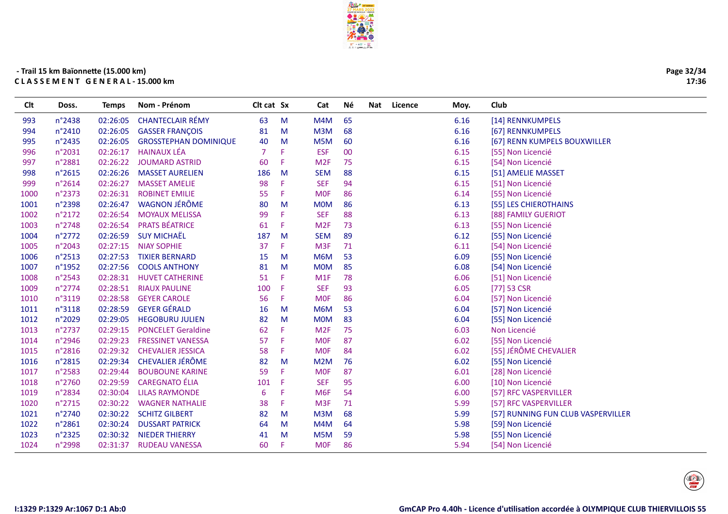

Clt Doss. Temps Nom-Prénom <br />
Clt cat Sx <br />
Cat Né Nat Licence Moy. Club

| Page 32/34<br>17:36 |
|---------------------|
|                     |
|                     |

| 993  | n°2438 | 02:26:05 | <b>CHANTECLAIR RÉMY</b>      | 63  | M | M4M              | 65 | 6.16 | [14] RENNKUMPELS                   |
|------|--------|----------|------------------------------|-----|---|------------------|----|------|------------------------------------|
| 994  | n°2410 | 02:26:05 | <b>GASSER FRANÇOIS</b>       | 81  | M | M3M              | 68 | 6.16 | [67] RENNKUMPELS                   |
| 995  | n°2435 | 02:26:05 | <b>GROSSTEPHAN DOMINIQUE</b> | 40  | M | M <sub>5</sub> M | 60 | 6.16 | [67] RENN KUMPELS BOUXWILLER       |
| 996  | n°2031 | 02:26:17 | <b>HAINAUX LÉA</b>           | 7   |   | <b>ESF</b>       | 00 | 6.15 | [55] Non Licencié                  |
| 997  | n°2881 | 02:26:22 | <b>JOUMARD ASTRID</b>        | 60  | F | M <sub>2F</sub>  | 75 | 6.15 | [54] Non Licencié                  |
| 998  | n°2615 | 02:26:26 | <b>MASSET AURELIEN</b>       | 186 | M | <b>SEM</b>       | 88 | 6.15 | [51] AMELIE MASSET                 |
| 999  | n°2614 | 02:26:27 | <b>MASSET AMELIE</b>         | 98  | F | <b>SEF</b>       | 94 | 6.15 | [51] Non Licencié                  |
| 1000 | n°2373 | 02:26:31 | <b>ROBINET EMILIE</b>        | 55  | F | <b>MOF</b>       | 86 | 6.14 | [55] Non Licencié                  |
| 1001 | n°2398 | 02:26:47 | <b>WAGNON JÉRÔME</b>         | 80  | M | <b>MOM</b>       | 86 | 6.13 | [55] LES CHIEROTHAINS              |
| 1002 | n°2172 | 02:26:54 | <b>MOYAUX MELISSA</b>        | 99  | F | <b>SEF</b>       | 88 | 6.13 | [88] FAMILY GUERIOT                |
| 1003 | n°2748 | 02:26:54 | <b>PRATS BÉATRICE</b>        | 61  | F | M <sub>2F</sub>  | 73 | 6.13 | [55] Non Licencié                  |
| 1004 | n°2772 | 02:26:59 | <b>SUY MICHAËL</b>           | 187 | M | <b>SEM</b>       | 89 | 6.12 | [55] Non Licencié                  |
| 1005 | n°2043 | 02:27:15 | <b>NIAY SOPHIE</b>           | 37  | F | M <sub>3F</sub>  | 71 | 6.11 | [54] Non Licencié                  |
| 1006 | n°2513 | 02:27:53 | <b>TIXIER BERNARD</b>        | 15  | M | M6M              | 53 | 6.09 | [55] Non Licencié                  |
| 1007 | n°1952 | 02:27:56 | <b>COOLS ANTHONY</b>         | 81  | M | <b>MOM</b>       | 85 | 6.08 | [54] Non Licencié                  |
| 1008 | n°2543 | 02:28:31 | <b>HUVET CATHERINE</b>       | 51  | F | M <sub>1</sub> F | 78 | 6.06 | [51] Non Licencié                  |
| 1009 | n°2774 | 02:28:51 | <b>RIAUX PAULINE</b>         | 100 | F | <b>SEF</b>       | 93 | 6.05 | $[77]$ 53 CSR                      |
| 1010 | n°3119 | 02:28:58 | <b>GEYER CAROLE</b>          | 56  | F | <b>MOF</b>       | 86 | 6.04 | [57] Non Licencié                  |
| 1011 | n°3118 | 02:28:59 | <b>GEYER GÉRALD</b>          | 16  | M | M6M              | 53 | 6.04 | [57] Non Licencié                  |
| 1012 | n°2029 | 02:29:05 | <b>HEGOBURU JULIEN</b>       | 82  | M | <b>MOM</b>       | 83 | 6.04 | [55] Non Licencié                  |
| 1013 | n°2737 | 02:29:15 | <b>PONCELET Geraldine</b>    | 62  | F | M <sub>2F</sub>  | 75 | 6.03 | Non Licencié                       |
| 1014 | n°2946 | 02:29:23 | <b>FRESSINET VANESSA</b>     | 57  | F | <b>MOF</b>       | 87 | 6.02 | [55] Non Licencié                  |
| 1015 | n°2816 | 02:29:32 | <b>CHEVALIER JESSICA</b>     | 58  | F | <b>MOF</b>       | 84 | 6.02 | [55] JÉRÔME CHEVALIER              |
| 1016 | n°2815 | 02:29:34 | <b>CHEVALIER JÉRÔME</b>      | 82  | M | M <sub>2</sub> M | 76 | 6.02 | [55] Non Licencié                  |
| 1017 | n°2583 | 02:29:44 | <b>BOUBOUNE KARINE</b>       | 59  | F | <b>MOF</b>       | 87 | 6.01 | [28] Non Licencié                  |
| 1018 | n°2760 | 02:29:59 | <b>CAREGNATO ÉLIA</b>        | 101 | Æ | <b>SEF</b>       | 95 | 6.00 | [10] Non Licencié                  |
| 1019 | n°2834 | 02:30:04 | <b>LILAS RAYMONDE</b>        | 6   | F | M <sub>6F</sub>  | 54 | 6.00 | [57] RFC VASPERVILLER              |
| 1020 | n°2715 | 02:30:22 | <b>WAGNER NATHALIE</b>       | 38  | F | M <sub>3F</sub>  | 71 | 5.99 | [57] RFC VASPERVILLER              |
| 1021 | n°2740 | 02:30:22 | <b>SCHITZ GILBERT</b>        | 82  | M | M3M              | 68 | 5.99 | [57] RUNNING FUN CLUB VASPERVILLER |
| 1022 | n°2861 | 02:30:24 | <b>DUSSART PATRICK</b>       | 64  | M | M4M              | 64 | 5.98 | [59] Non Licencié                  |
| 1023 | n°2325 | 02:30:32 | NIEDER THIERRY               | 41  | M | M <sub>5</sub> M | 59 | 5.98 | [55] Non Licencié                  |
| 1024 | n°2998 | 02:31:37 | <b>RUDEAU VANESSA</b>        | 60  | F | <b>MOF</b>       | 86 | 5.94 | [54] Non Licencié                  |
|      |        |          |                              |     |   |                  |    |      |                                    |

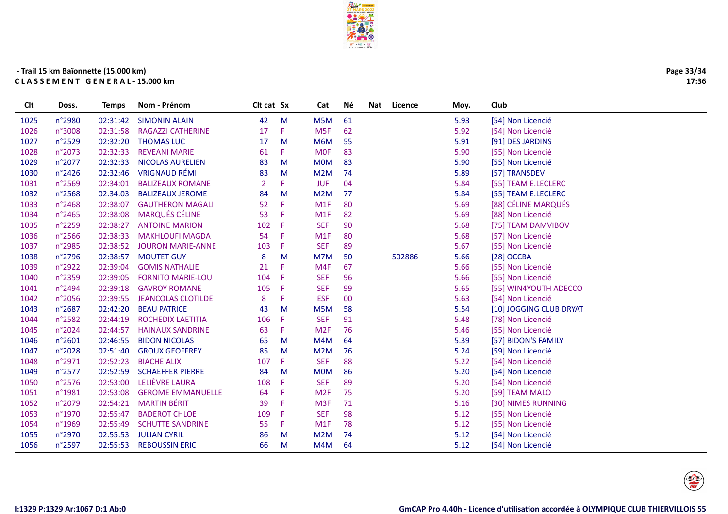

| Page 33/34 |
|------------|
| 17:36      |

| <b>Clt</b> | Doss.  | Temps    | Nom - Prénom              | Clt cat Sx     |    | Cat              | Né | Nat | Licence | Moy. | Club                    |
|------------|--------|----------|---------------------------|----------------|----|------------------|----|-----|---------|------|-------------------------|
| 1025       | n°2980 | 02:31:42 | <b>SIMONIN ALAIN</b>      | 42             | M  | M5M              | 61 |     |         | 5.93 | [54] Non Licencié       |
| 1026       | n°3008 | 02:31:58 | <b>RAGAZZI CATHERINE</b>  | 17             | F  | M <sub>5F</sub>  | 62 |     |         | 5.92 | [54] Non Licencié       |
| 1027       | n°2529 | 02:32:20 | <b>THOMAS LUC</b>         | 17             | M  | M6M              | 55 |     |         | 5.91 | [91] DES JARDINS        |
| 1028       | n°2073 | 02:32:33 | <b>REVEANI MARIE</b>      | 61             | F  | <b>MOF</b>       | 83 |     |         | 5.90 | [55] Non Licencié       |
| 1029       | n°2077 | 02:32:33 | <b>NICOLAS AURELIEN</b>   | 83             | M  | <b>MOM</b>       | 83 |     |         | 5.90 | [55] Non Licencié       |
| 1030       | n°2426 | 02:32:46 | <b>VRIGNAUD RÉMI</b>      | 83             | M  | M2M              | 74 |     |         | 5.89 | [57] TRANSDEV           |
| 1031       | n°2569 | 02:34:01 | <b>BALIZEAUX ROMANE</b>   | $\overline{2}$ | F  | <b>JUF</b>       | 04 |     |         | 5.84 | [55] TEAM E.LECLERC     |
| 1032       | n°2568 | 02:34:03 | <b>BALIZEAUX JEROME</b>   | 84             | M  | M <sub>2</sub> M | 77 |     |         | 5.84 | [55] TEAM E.LECLERC     |
| 1033       | n°2468 | 02:38:07 | <b>GAUTHERON MAGALI</b>   | 52             | F  | M1F              | 80 |     |         | 5.69 | [88] CÉLINE MARQUÉS     |
| 1034       | n°2465 | 02:38:08 | <b>MARQUÉS CÉLINE</b>     | 53             | F. | M <sub>1</sub> F | 82 |     |         | 5.69 | [88] Non Licencié       |
| 1035       | n°2259 | 02:38:27 | <b>ANTOINE MARION</b>     | 102            | -F | <b>SEF</b>       | 90 |     |         | 5.68 | [75] TEAM DAMVIBOV      |
| 1036       | n°2566 | 02:38:33 | <b>MAKHLOUFI MAGDA</b>    | 54             | Æ  | M1F              | 80 |     |         | 5.68 | [57] Non Licencié       |
| 1037       | n°2985 | 02:38:52 | <b>JOURON MARIE-ANNE</b>  | 103            | Æ  | <b>SEF</b>       | 89 |     |         | 5.67 | [55] Non Licencié       |
| 1038       | n°2796 | 02:38:57 | <b>MOUTET GUY</b>         | 8              | M  | M7M              | 50 |     | 502886  | 5.66 | [28] OCCBA              |
| 1039       | n°2922 | 02:39:04 | <b>GOMIS NATHALIE</b>     | 21             | F  | M4F              | 67 |     |         | 5.66 | [55] Non Licencié       |
| 1040       | n°2359 | 02:39:05 | <b>FORNITO MARIE-LOU</b>  | 104            | -F | <b>SEF</b>       | 96 |     |         | 5.66 | [55] Non Licencié       |
| 1041       | n°2494 | 02:39:18 | <b>GAVROY ROMANE</b>      | 105            | -F | <b>SEF</b>       | 99 |     |         | 5.65 | [55] WIN4YOUTH ADECCO   |
| 1042       | n°2056 | 02:39:55 | <b>JEANCOLAS CLOTILDE</b> | 8              | F  | <b>ESF</b>       | 00 |     |         | 5.63 | [54] Non Licencié       |
| 1043       | n°2687 | 02:42:20 | <b>BEAU PATRICE</b>       | 43             | M  | M <sub>5</sub> M | 58 |     |         | 5.54 | [10] JOGGING CLUB DRYAT |
| 1044       | n°2582 | 02:44:19 | ROCHEDIX LAETITIA         | 106            | F  | <b>SEF</b>       | 91 |     |         | 5.48 | [78] Non Licencié       |
| 1045       | n°2024 | 02:44:57 | <b>HAINAUX SANDRINE</b>   | 63             | F  | M <sub>2F</sub>  | 76 |     |         | 5.46 | [55] Non Licencié       |
| 1046       | n°2601 | 02:46:55 | <b>BIDON NICOLAS</b>      | 65             | M  | M4M              | 64 |     |         | 5.39 | [57] BIDON'S FAMILY     |
| 1047       | n°2028 | 02:51:40 | <b>GROUX GEOFFREY</b>     | 85             | M  | M2M              | 76 |     |         | 5.24 | [59] Non Licencié       |
| 1048       | n°2971 | 02:52:23 | <b>BIACHE ALIX</b>        | 107            | F  | <b>SEF</b>       | 88 |     |         | 5.22 | [54] Non Licencié       |
| 1049       | n°2577 | 02:52:59 | <b>SCHAEFFER PIERRE</b>   | 84             | M  | <b>MOM</b>       | 86 |     |         | 5.20 | [54] Non Licencié       |
| 1050       | n°2576 | 02:53:00 | LELIÈVRE LAURA            | 108            | F  | <b>SEF</b>       | 89 |     |         | 5.20 | [54] Non Licencié       |
| 1051       | n°1981 | 02:53:08 | <b>GEROME EMMANUELLE</b>  | 64             | F  | M <sub>2F</sub>  | 75 |     |         | 5.20 | [59] TEAM MALO          |
| 1052       | n°2079 | 02:54:21 | <b>MARTIN BÉRIT</b>       | 39             | Æ  | M <sub>3F</sub>  | 71 |     |         | 5.16 | [30] NIMES RUNNING      |
| 1053       | n°1970 | 02:55:47 | <b>BADEROT CHLOE</b>      | 109            | -F | <b>SEF</b>       | 98 |     |         | 5.12 | [55] Non Licencié       |
| 1054       | n°1969 | 02:55:49 | <b>SCHUTTE SANDRINE</b>   | 55             | F  | M <sub>1</sub> F | 78 |     |         | 5.12 | [55] Non Licencié       |
| 1055       | n°2970 | 02:55:53 | <b>JULIAN CYRIL</b>       | 86             | M  | M2M              | 74 |     |         | 5.12 | [54] Non Licencié       |
| 1056       | n°2597 | 02:55:53 | <b>REBOUSSIN ERIC</b>     | 66             | M  | M4M              | 64 |     |         | 5.12 | [54] Non Licencié       |